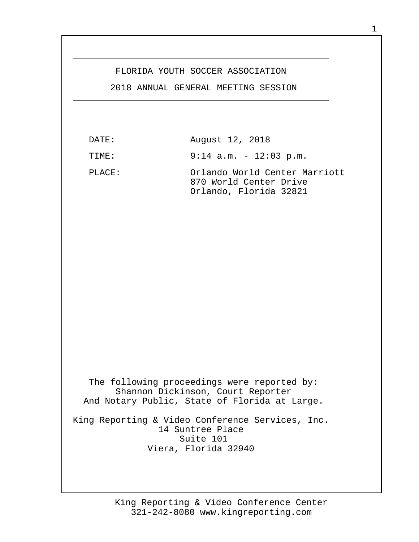## FLORIDA YOUTH SOCCER ASSOCIATION

\_\_\_\_\_\_\_\_\_\_\_\_\_\_\_\_\_\_\_\_\_\_\_\_\_\_\_\_\_\_\_\_\_\_\_\_\_\_\_\_\_\_\_\_\_\_\_\_

 2018 ANNUAL GENERAL MEETING SESSION \_\_\_\_\_\_\_\_\_\_\_\_\_\_\_\_\_\_\_\_\_\_\_\_\_\_\_\_\_\_\_\_\_\_\_\_\_\_\_\_\_\_\_\_\_\_\_\_

| DATE:            | August 12, 2018                                                                                                                   |
|------------------|-----------------------------------------------------------------------------------------------------------------------------------|
| TIME:            | $9:14$ a.m. - 12:03 p.m.                                                                                                          |
| PLACE:           | Orlando World Center Marriott<br>870 World Center Drive<br>Orlando, Florida 32821                                                 |
|                  |                                                                                                                                   |
|                  |                                                                                                                                   |
|                  |                                                                                                                                   |
|                  |                                                                                                                                   |
|                  | The following proceedings were reported by:<br>Shannon Dickinson, Court Reporter<br>And Notary Public, State of Florida at Large. |
| 14 Suntree Place | King Reporting & Video Conference Services, Inc.<br>Suite 101<br>Viera, Florida 32940                                             |
|                  |                                                                                                                                   |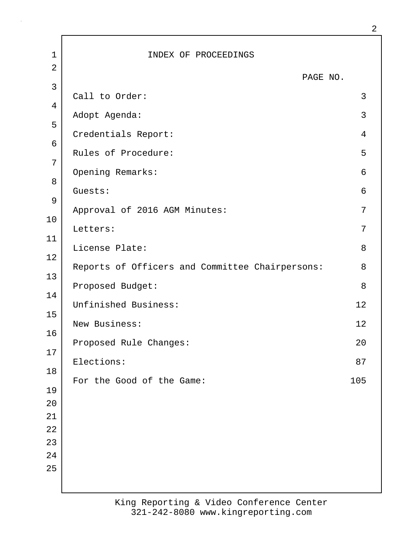1 | INDEX OF PROCEEDINGS 2 PAGE NO. 3 Call to Order: 3 4 Adopt Agenda: 3 5 Credentials Report: 4 6 Rules of Procedure: 5 7 Opening Remarks: 6 8 Guests: 6 9 Approval of 2016 AGM Minutes: 7 10 Letters: 7 11 License Plate: 8 12 Reports of Officers and Committee Chairpersons: 8 13 Proposed Budget: 8 14 Unfinished Business: 12 15 New Business: 12 16 Proposed Rule Changes: 20 17 Elections: 87 18 For the Good of the Game: 105 19 20 21 22 23  $2.4$ 25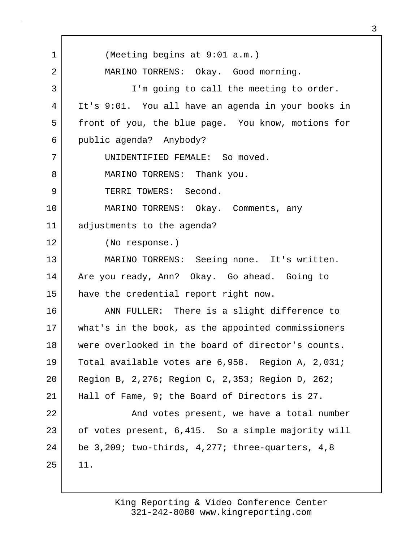1 (Meeting begins at 9:01 a.m.) 2 MARINO TORRENS: Okay. Good morning. 3 I'm going to call the meeting to order. 4 It's 9:01. You all have an agenda in your books in 5 front of you, the blue page. You know, motions for 6 public agenda? Anybody? 7 UNIDENTIFIED FEMALE: So moved. 8 MARINO TORRENS: Thank you. 9 TERRI TOWERS: Second. 10 MARINO TORRENS: Okay. Comments, any 11 adjustments to the agenda? 12 (No response.) 13 MARINO TORRENS: Seeing none. It's written. 14 | Are you ready, Ann? Okay. Go ahead. Going to 15 have the credential report right now. 16 ANN FULLER: There is a slight difference to 17 what's in the book, as the appointed commissioners 18 were overlooked in the board of director's counts. 19 Total available votes are 6,958. Region A, 2,031; 20 Region B, 2,276; Region C, 2,353; Region D, 262; 21 | Hall of Fame, 9; the Board of Directors is 27. 22 | And votes present, we have a total number 23 of votes present, 6,415. So a simple majority will 24 be 3,209; two-thirds, 4,277; three-quarters, 4,8  $25$  11.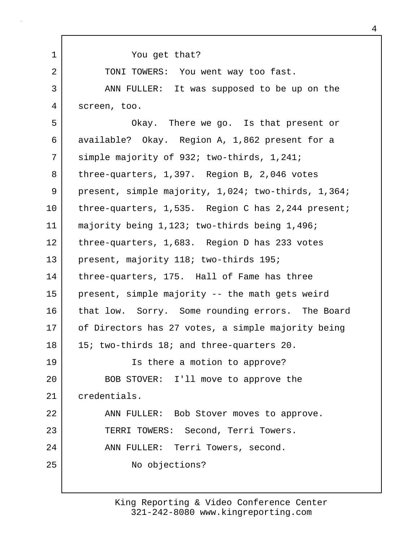| $\mathbf 1$ | You get that?                                       |
|-------------|-----------------------------------------------------|
| 2           | TONI TOWERS: You went way too fast.                 |
| 3           | ANN FULLER: It was supposed to be up on the         |
| 4           | screen, too.                                        |
| 5           | Okay. There we go. Is that present or               |
| 6           | available? Okay. Region A, 1,862 present for a      |
| 7           | simple majority of 932; two-thirds, 1,241;          |
| 8           | three-quarters, 1,397. Region B, 2,046 votes        |
| 9           | present, simple majority, 1,024; two-thirds, 1,364; |
| 10          | three-quarters, 1,535. Region C has 2,244 present;  |
| 11          | majority being 1,123; two-thirds being 1,496;       |
| 12          | three-quarters, 1,683. Region D has 233 votes       |
| 13          | present, majority 118; two-thirds 195;              |
| 14          | three-quarters, 175. Hall of Fame has three         |
| 15          | present, simple majority -- the math gets weird     |
| 16          | that low. Sorry. Some rounding errors. The Board    |
| 17          | of Directors has 27 votes, a simple majority being  |
| 18          | 15; two-thirds 18; and three-quarters 20.           |
| 19          | Is there a motion to approve?                       |
| 20          | BOB STOVER: I'll move to approve the                |
| 21          | credentials.                                        |
| 22          | ANN FULLER: Bob Stover moves to approve.            |
| 23          | TERRI TOWERS: Second, Terri Towers.                 |
| 24          | ANN FULLER: Terri Towers, second.                   |
| 25          | No objections?                                      |
|             |                                                     |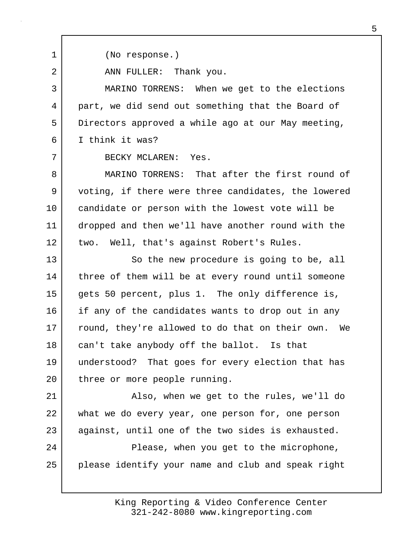1 (No response.) 2 ANN FULLER: Thank you. 3 MARINO TORRENS: When we get to the elections 4 part, we did send out something that the Board of 5 Directors approved a while ago at our May meeting, 6 I think it was? 7 BECKY MCLAREN: Yes. 8 MARINO TORRENS: That after the first round of 9 voting, if there were three candidates, the lowered 10 candidate or person with the lowest vote will be 11 dropped and then we'll have another round with the 12 two. Well, that's against Robert's Rules. 13 So the new procedure is going to be, all 14 three of them will be at every round until someone 15 gets 50 percent, plus 1. The only difference is, 16 if any of the candidates wants to drop out in any 17 | round, they're allowed to do that on their own. We 18 can't take anybody off the ballot. Is that 19 understood? That goes for every election that has 20 | three or more people running. 21 Also, when we get to the rules, we'll do 22 what we do every year, one person for, one person 23 against, until one of the two sides is exhausted. 24 | Please, when you get to the microphone, 25 please identify your name and club and speak right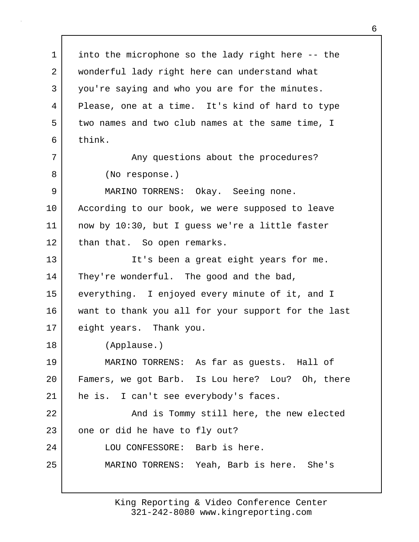1 into the microphone so the lady right here -- the 2 wonderful lady right here can understand what 3 you're saying and who you are for the minutes. 4 Please, one at a time. It's kind of hard to type 5 two names and two club names at the same time, I 6 think. 7 | The Superstions about the procedures? 8 (No response.) 9 MARINO TORRENS: Okay. Seeing none. 10 | According to our book, we were supposed to leave 11 now by 10:30, but I guess we're a little faster 12 than that. So open remarks. 13 It's been a great eight years for me. 14 They're wonderful. The good and the bad, 15 everything. I enjoyed every minute of it, and I 16 want to thank you all for your support for the last 17 eight years. Thank you. 18 (Applause.) 19 MARINO TORRENS: As far as guests. Hall of 20 Famers, we got Barb. Is Lou here? Lou? Oh, there 21 he is. I can't see everybody's faces. 22 | The Sand is Tommy still here, the new elected 23 | one or did he have to fly out? 24 | LOU CONFESSORE: Barb is here. 25 MARINO TORRENS: Yeah, Barb is here. She's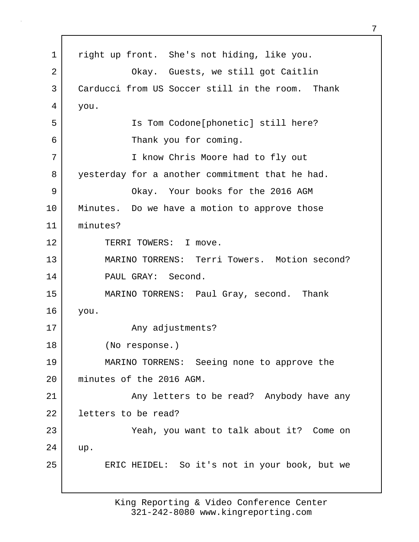1 | right up front. She's not hiding, like you. 2 | Chay. Guests, we still got Caitlin 3 Carducci from US Soccer still in the room. Thank 4 you. 5 Is Tom Codone[phonetic] still here? 6 Thank you for coming. 7 I know Chris Moore had to fly out 8 yesterday for a another commitment that he had. 9 Okay. Your books for the 2016 AGM 10 Minutes. Do we have a motion to approve those 11 minutes? 12 TERRI TOWERS: I move. 13 MARINO TORRENS: Terri Towers. Motion second? 14 PAUL GRAY: Second. 15 MARINO TORRENS: Paul Gray, second. Thank 16 you. 17 Any adjustments? 18 (No response.) 19 MARINO TORRENS: Seeing none to approve the 20 minutes of the 2016 AGM. 21 | Any letters to be read? Anybody have any 22 l letters to be read? 23 Yeah, you want to talk about it? Come on 24 up. 25 | ERIC HEIDEL: So it's not in your book, but we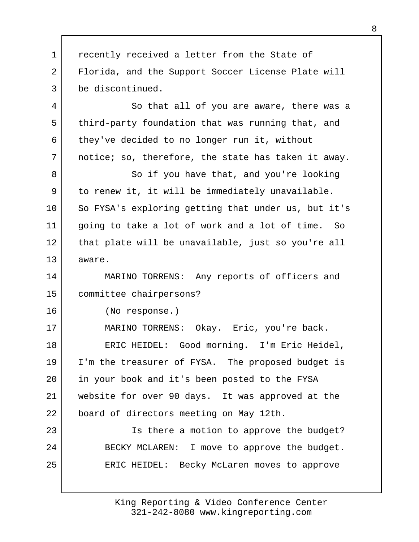1 **c** recently received a letter from the State of 2 Florida, and the Support Soccer License Plate will 3 be discontinued. 4 So that all of you are aware, there was a 5 third-party foundation that was running that, and 6 they've decided to no longer run it, without 7 notice; so, therefore, the state has taken it away. 8 So if you have that, and you're looking 9 | to renew it, it will be immediately unavailable. 10 So FYSA's exploring getting that under us, but it's 11 going to take a lot of work and a lot of time. So 12 | that plate will be unavailable, just so you're all 13 aware. 14 MARINO TORRENS: Any reports of officers and 15 committee chairpersons? 16 (No response.) 17 | MARINO TORRENS: Okay. Eric, you're back. 18 ERIC HEIDEL: Good morning. I'm Eric Heidel, 19 I'm the treasurer of FYSA. The proposed budget is 20 in your book and it's been posted to the FYSA 21 website for over 90 days. It was approved at the 22 board of directors meeting on May 12th. 23 | Solution Is there a motion to approve the budget? 24 BECKY MCLAREN: I move to approve the budget. 25 | ERIC HEIDEL: Becky McLaren moves to approve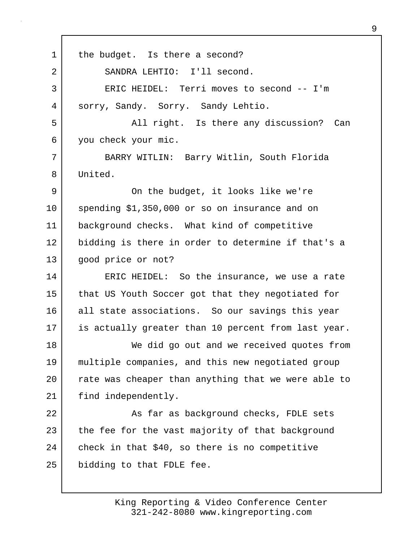1 | the budget. Is there a second? 2 SANDRA LEHTIO: I'll second. 3 ERIC HEIDEL: Terri moves to second -- I'm 4 sorry, Sandy. Sorry. Sandy Lehtio. 5 All right. Is there any discussion? Can 6 you check your mic. 7 BARRY WITLIN: Barry Witlin, South Florida 8 United. 9 | Con the budget, it looks like we're 10 spending \$1,350,000 or so on insurance and on 11 background checks. What kind of competitive 12 bidding is there in order to determine if that's a 13 | good price or not? 14 ERIC HEIDEL: So the insurance, we use a rate 15 that US Youth Soccer got that they negotiated for 16 all state associations. So our savings this year 17 is actually greater than 10 percent from last year. 18 We did go out and we received quotes from 19 multiple companies, and this new negotiated group 20 | rate was cheaper than anything that we were able to 21 | find independently. 22 As far as background checks, FDLE sets 23 the fee for the vast majority of that background  $24$  check in that \$40, so there is no competitive 25 bidding to that FDLE fee.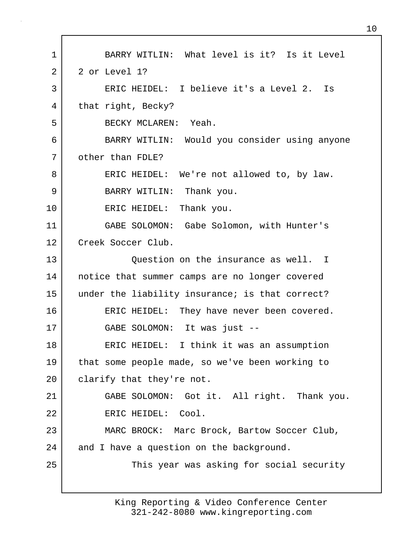1 BARRY WITLIN: What level is it? Is it Level 2 2 or Level 1? 3 ERIC HEIDEL: I believe it's a Level 2. Is 4 that right, Becky? 5 BECKY MCLAREN: Yeah. 6 BARRY WITLIN: Would you consider using anyone 7 other than FDLE? 8 ERIC HEIDEL: We're not allowed to, by law. 9 BARRY WITLIN: Thank you. 10 ERIC HEIDEL: Thank you. 11 GABE SOLOMON: Gabe Solomon, with Hunter's 12 Creek Soccer Club. 13 Question on the insurance as well. I 14 notice that summer camps are no longer covered 15 under the liability insurance; is that correct? 16 ERIC HEIDEL: They have never been covered. 17 GABE SOLOMON: It was just -- 18 ERIC HEIDEL: I think it was an assumption 19 that some people made, so we've been working to 20 | clarify that they're not. 21 GABE SOLOMON: Got it. All right. Thank you. 22 ERIC HEIDEL: Cool. 23 MARC BROCK: Marc Brock, Bartow Soccer Club, 24 and I have a question on the background. 25 This year was asking for social security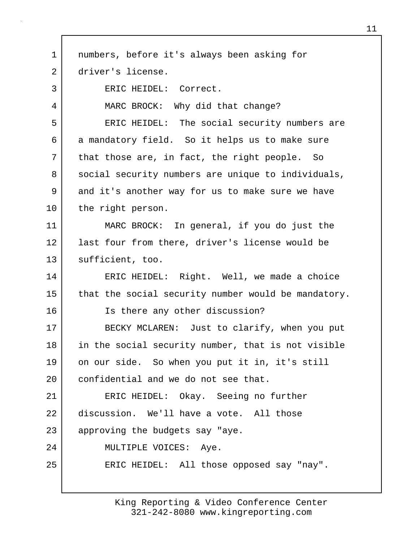| $\mathbf 1$ | numbers, before it's always been asking for         |
|-------------|-----------------------------------------------------|
| 2           | driver's license.                                   |
| 3           | ERIC HEIDEL: Correct.                               |
| 4           | MARC BROCK: Why did that change?                    |
| 5           | ERIC HEIDEL: The social security numbers are        |
| 6           | a mandatory field. So it helps us to make sure      |
| 7           | that those are, in fact, the right people. So       |
| 8           | social security numbers are unique to individuals,  |
| 9           | and it's another way for us to make sure we have    |
| 10          | the right person.                                   |
| 11          | MARC BROCK: In general, if you do just the          |
| 12          | last four from there, driver's license would be     |
| 13          | sufficient, too.                                    |
| 14          | ERIC HEIDEL: Right. Well, we made a choice          |
| 15          | that the social security number would be mandatory. |
| 16          | Is there any other discussion?                      |
| 17          | BECKY MCLAREN: Just to clarify, when you put        |
| 18          | in the social security number, that is not visible  |
| 19          | on our side. So when you put it in, it's still      |
| 20          | confidential and we do not see that.                |
| 21          | ERIC HEIDEL: Okay. Seeing no further                |
| 22          | discussion. We'll have a vote. All those            |
| 23          | approving the budgets say "aye.                     |
| 24          | MULTIPLE VOICES: Aye.                               |
| 25          | ERIC HEIDEL: All those opposed say "nay".           |
|             |                                                     |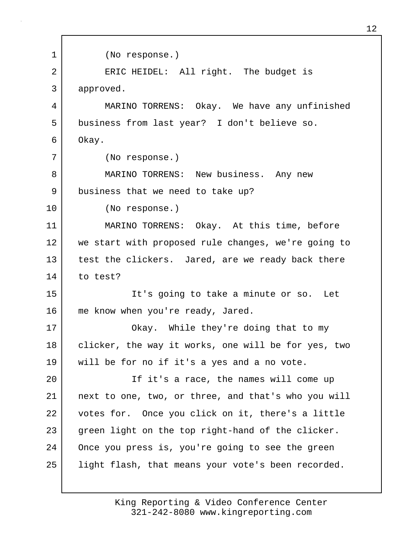1 (No response.) 2 | ERIC HEIDEL: All right. The budget is 3 approved. 4 MARINO TORRENS: Okay. We have any unfinished 5 business from last year? I don't believe so. 6 Okay. 7 (No response.) 8 MARINO TORRENS: New business. Any new 9 business that we need to take up? 10 (No response.) 11 MARINO TORRENS: Okay. At this time, before 12 we start with proposed rule changes, we're going to 13 test the clickers. Jared, are we ready back there 14 to test? 15 It's going to take a minute or so. Let 16 me know when you're ready, Jared. 17 | Chay. While they're doing that to my 18 | clicker, the way it works, one will be for yes, two 19 will be for no if it's a yes and a no vote. 20 | The it's a race, the names will come up 21 next to one, two, or three, and that's who you will 22 votes for. Once you click on it, there's a little 23 green light on the top right-hand of the clicker. 24 Once you press is, you're going to see the green 25 | light flash, that means your vote's been recorded.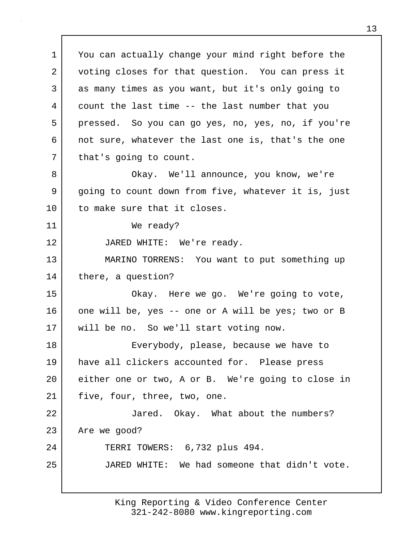1 You can actually change your mind right before the 2 voting closes for that question. You can press it 3 as many times as you want, but it's only going to 4 count the last time -- the last number that you 5 pressed. So you can go yes, no, yes, no, if you're 6 not sure, whatever the last one is, that's the one 7 | that's going to count. 8 Okay. We'll announce, you know, we're 9 going to count down from five, whatever it is, just 10 to make sure that it closes. 11 We ready? 12 JARED WHITE: We're ready. 13 MARINO TORRENS: You want to put something up 14 there, a question? 15 No. 2 Okay. Here we go. We're going to vote, 16 one will be, yes -- one or A will be yes; two or B 17 | will be no. So we'll start voting now. 18 Everybody, please, because we have to 19 have all clickers accounted for. Please press 20 either one or two, A or B. We're going to close in 21 | five, four, three, two, one. 22 Jared. Okay. What about the numbers? 23 Are we good? 24 TERRI TOWERS: 6,732 plus 494. 25 JARED WHITE: We had someone that didn't vote.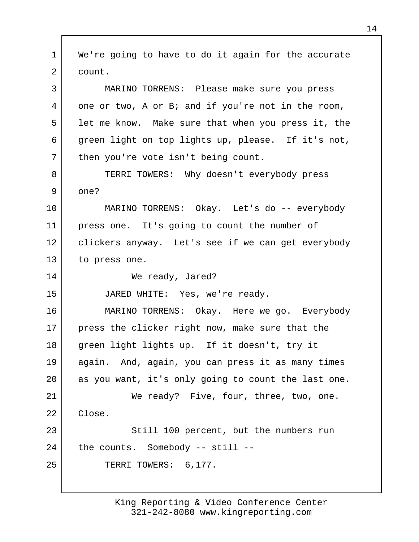1 We're going to have to do it again for the accurate 2 count. 3 MARINO TORRENS: Please make sure you press 4 one or two, A or B; and if you're not in the room, 5 let me know. Make sure that when you press it, the 6 green light on top lights up, please. If it's not, 7 | then you're vote isn't being count. 8 TERRI TOWERS: Why doesn't everybody press 9 one? 10 MARINO TORRENS: Okay. Let's do -- everybody 11 press one. It's going to count the number of 12 | clickers anyway. Let's see if we can get everybody 13 to press one. 14 We ready, Jared? 15 JARED WHITE: Yes, we're ready. 16 MARINO TORRENS: Okay. Here we go. Everybody 17 | press the clicker right now, make sure that the 18 green light lights up. If it doesn't, try it 19 again. And, again, you can press it as many times 20 as you want, it's only going to count the last one. 21 We ready? Five, four, three, two, one. 22 | Close. 23 Still 100 percent, but the numbers run  $24$  the counts. Somebody -- still --25 TERRI TOWERS: 6,177.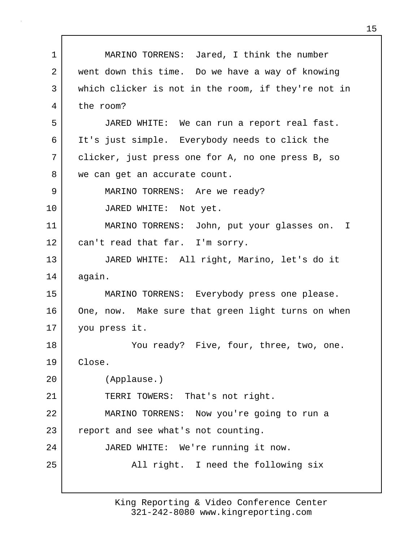1 MARINO TORRENS: Jared, I think the number 2 went down this time. Do we have a way of knowing 3 which clicker is not in the room, if they're not in 4 the room? 5 JARED WHITE: We can run a report real fast. 6 It's just simple. Everybody needs to click the 7 clicker, just press one for A, no one press B, so 8 we can get an accurate count. 9 MARINO TORRENS: Are we ready? 10 JARED WHITE: Not yet. 11 MARINO TORRENS: John, put your glasses on. I 12 can't read that far. I'm sorry. 13 JARED WHITE: All right, Marino, let's do it 14 again. 15 MARINO TORRENS: Everybody press one please. 16 One, now. Make sure that green light turns on when 17 you press it. 18 You ready? Five, four, three, two, one. 19 Close. 20 (Applause.) 21 TERRI TOWERS: That's not right. 22 MARINO TORRENS: Now you're going to run a 23 report and see what's not counting. 24 JARED WHITE: We're running it now. 25 | All right. I need the following six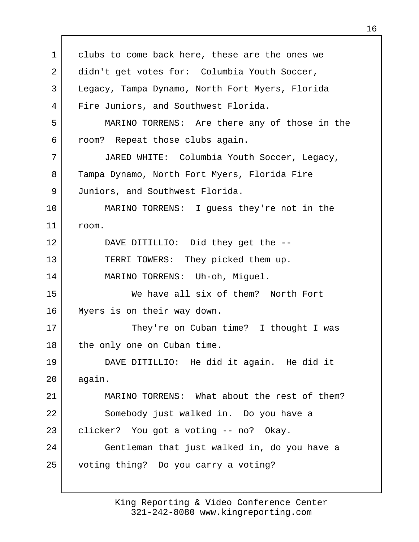1 clubs to come back here, these are the ones we 2 didn't get votes for: Columbia Youth Soccer, 3 Legacy, Tampa Dynamo, North Fort Myers, Florida 4 Fire Juniors, and Southwest Florida. 5 MARINO TORRENS: Are there any of those in the 6 room? Repeat those clubs again. 7 JARED WHITE: Columbia Youth Soccer, Legacy, 8 Tampa Dynamo, North Fort Myers, Florida Fire 9 Juniors, and Southwest Florida. 10 MARINO TORRENS: I guess they're not in the 11 room. 12 DAVE DITILLIO: Did they get the -- 13 TERRI TOWERS: They picked them up. 14 MARINO TORRENS: Uh-oh, Miguel. 15 We have all six of them? North Fort 16 Myers is on their way down. 17 They're on Cuban time? I thought I was 18 the only one on Cuban time. 19 DAVE DITILLIO: He did it again. He did it 20 again. 21 MARINO TORRENS: What about the rest of them? 22 Somebody just walked in. Do you have a 23 clicker? You got a voting -- no? Okay. 24 Gentleman that just walked in, do you have a 25 voting thing? Do you carry a voting?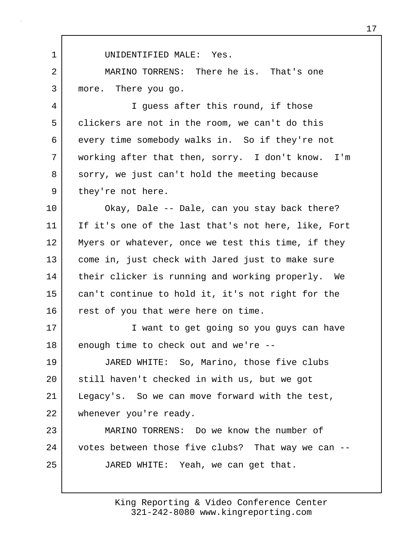1 UNIDENTIFIED MALE: Yes. 2 MARINO TORRENS: There he is. That's one 3 more. There you go. 4 I guess after this round, if those 5 clickers are not in the room, we can't do this 6 every time somebody walks in. So if they're not 7 working after that then, sorry. I don't know. I'm 8 sorry, we just can't hold the meeting because 9 they're not here. 10 Okay, Dale -- Dale, can you stay back there? 11 If it's one of the last that's not here, like, Fort 12 Myers or whatever, once we test this time, if they 13 come in, just check with Jared just to make sure 14 | their clicker is running and working properly. We 15 can't continue to hold it, it's not right for the 16 rest of you that were here on time. 17 | Twant to get going so you guys can have 18 enough time to check out and we're --19 JARED WHITE: So, Marino, those five clubs 20 | still haven't checked in with us, but we got 21 Legacy's. So we can move forward with the test, 22 whenever you're ready. 23 MARINO TORRENS: Do we know the number of 24 votes between those five clubs? That way we can --25 JARED WHITE: Yeah, we can get that.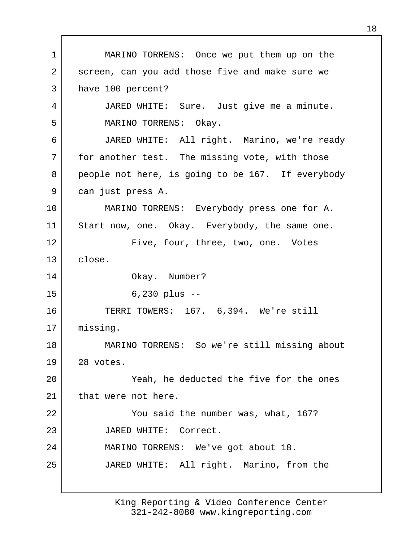1 MARINO TORRENS: Once we put them up on the 2 screen, can you add those five and make sure we 3 have 100 percent? 4 JARED WHITE: Sure. Just give me a minute. 5 MARINO TORRENS: Okay. 6 JARED WHITE: All right. Marino, we're ready 7 | for another test. The missing vote, with those 8 people not here, is going to be 167. If everybody 9 can just press A. 10 MARINO TORRENS: Everybody press one for A. 11 Start now, one. Okay. Everybody, the same one. 12 | Five, four, three, two, one. Votes 13 close. 14 Okay. Number? 15 6,230 plus -- 16 TERRI TOWERS: 167. 6,394. We're still 17 | missing. 18 MARINO TORRENS: So we're still missing about 19 28 votes. 20 Yeah, he deducted the five for the ones 21 that were not here. 22 You said the number was, what, 167? 23 JARED WHITE: Correct. 24 MARINO TORRENS: We've got about 18. 25 JARED WHITE: All right. Marino, from the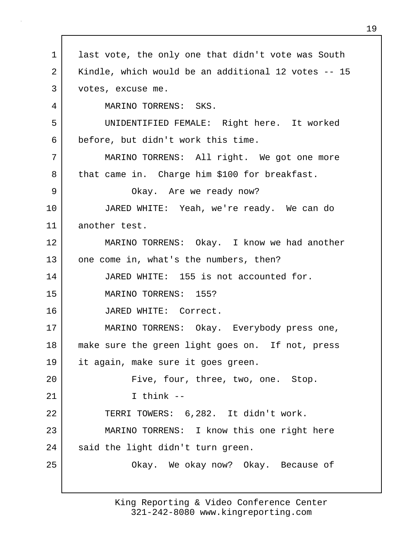1 ast vote, the only one that didn't vote was South 2 Kindle, which would be an additional 12 votes -- 15 3 votes, excuse me. 4 MARINO TORRENS: SKS. 5 UNIDENTIFIED FEMALE: Right here. It worked 6 before, but didn't work this time. 7 MARINO TORRENS: All right. We got one more 8 that came in. Charge him \$100 for breakfast. 9 Okay. Are we ready now? 10 JARED WHITE: Yeah, we're ready. We can do 11 another test. 12 MARINO TORRENS: Okay. I know we had another 13 one come in, what's the numbers, then? 14 JARED WHITE: 155 is not accounted for. 15 MARINO TORRENS: 155? 16 JARED WHITE: Correct. 17 MARINO TORRENS: Okay. Everybody press one, 18 make sure the green light goes on. If not, press 19 it again, make sure it goes green. 20 | Five, four, three, two, one. Stop. 21 I think -- 22 TERRI TOWERS: 6,282. It didn't work. 23 MARINO TORRENS: I know this one right here 24 said the light didn't turn green. 25 | Chay. We okay now? Okay. Because of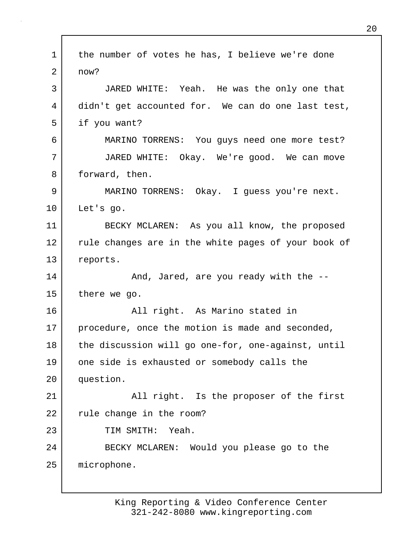1 the number of votes he has, I believe we're done 2 now? 3 JARED WHITE: Yeah. He was the only one that 4 didn't get accounted for. We can do one last test, 5 if you want? 6 MARINO TORRENS: You guys need one more test? 7 JARED WHITE: Okay. We're good. We can move 8 forward, then. 9 MARINO TORRENS: Okay. I guess you're next. 10 Let's go. 11 BECKY MCLAREN: As you all know, the proposed 12 rule changes are in the white pages of your book of 13 reports. 14 And, Jared, are you ready with the --15 there we go. 16 All right. As Marino stated in 17 | procedure, once the motion is made and seconded, 18 the discussion will go one-for, one-against, until 19 one side is exhausted or somebody calls the 20 question. 21 | All right. Is the proposer of the first 22 rule change in the room? 23 TIM SMITH: Yeah. 24 BECKY MCLAREN: Would you please go to the 25 microphone.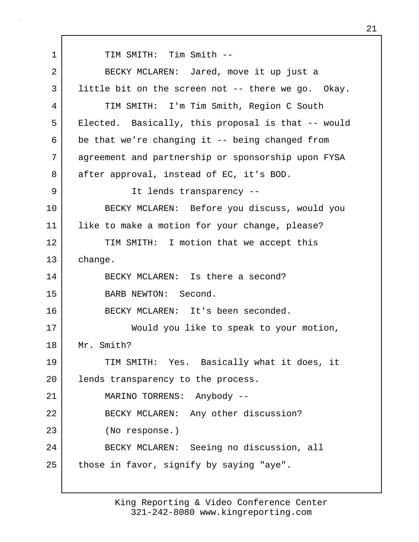1 TIM SMITH: Tim Smith --2 BECKY MCLAREN: Jared, move it up just a 3 little bit on the screen not -- there we go. Okay. 4 TIM SMITH: I'm Tim Smith, Region C South 5 Elected. Basically, this proposal is that -- would  $6$  be that we're changing it -- being changed from 7 agreement and partnership or sponsorship upon FYSA 8 after approval, instead of EC, it's BOD. 9 | Tt lends transparency --10 BECKY MCLAREN: Before you discuss, would you 11 | like to make a motion for your change, please? 12 TIM SMITH: I motion that we accept this 13 change. 14 BECKY MCLAREN: Is there a second? 15 BARB NEWTON: Second. 16 BECKY MCLAREN: It's been seconded. 17 Would you like to speak to your motion, 18 Mr. Smith? 19 TIM SMITH: Yes. Basically what it does, it 20 | lends transparency to the process. 21 MARINO TORRENS: Anybody -- 22 BECKY MCLAREN: Any other discussion? 23 (No response.) 24 BECKY MCLAREN: Seeing no discussion, all 25 those in favor, signify by saying "aye".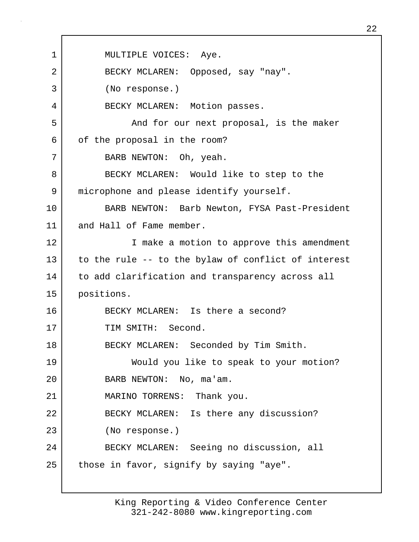1 | MULTIPLE VOICES: Aye. 2 BECKY MCLAREN: Opposed, say "nay". 3 (No response.) 4 BECKY MCLAREN: Motion passes. 5 And for our next proposal, is the maker 6 of the proposal in the room? 7 BARB NEWTON: Oh, yeah. 8 BECKY MCLAREN: Would like to step to the 9 microphone and please identify yourself. 10 BARB NEWTON: Barb Newton, FYSA Past-President 11 and Hall of Fame member. 12 I make a motion to approve this amendment 13 to the rule -- to the bylaw of conflict of interest 14 to add clarification and transparency across all 15 positions. 16 BECKY MCLAREN: Is there a second? 17 TIM SMITH: Second. 18 BECKY MCLAREN: Seconded by Tim Smith. 19 Would you like to speak to your motion? 20 BARB NEWTON: No, ma'am. 21 MARINO TORRENS: Thank you. 22 BECKY MCLAREN: Is there any discussion? 23 (No response.) 24 BECKY MCLAREN: Seeing no discussion, all 25 those in favor, signify by saying "aye".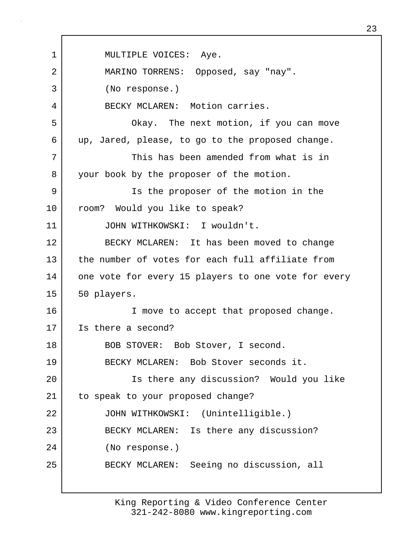1 | MULTIPLE VOICES: Aye. 2 MARINO TORRENS: Opposed, say "nay". 3 (No response.) 4 BECKY MCLAREN: Motion carries. 5 Okay. The next motion, if you can move 6 up, Jared, please, to go to the proposed change. 7 This has been amended from what is in 8 your book by the proposer of the motion. 9 Is the proposer of the motion in the 10 | room? Would you like to speak? 11 JOHN WITHKOWSKI: I wouldn't. 12 BECKY MCLAREN: It has been moved to change 13 the number of votes for each full affiliate from 14 one vote for every 15 players to one vote for every 15 50 players. 16 I move to accept that proposed change. 17 Is there a second? 18 | BOB STOVER: Bob Stover, I second. 19 BECKY MCLAREN: Bob Stover seconds it. 20 Is there any discussion? Would you like 21 | to speak to your proposed change? 22 JOHN WITHKOWSKI: (Unintelligible.) 23 BECKY MCLAREN: Is there any discussion? 24 (No response.) 25 BECKY MCLAREN: Seeing no discussion, all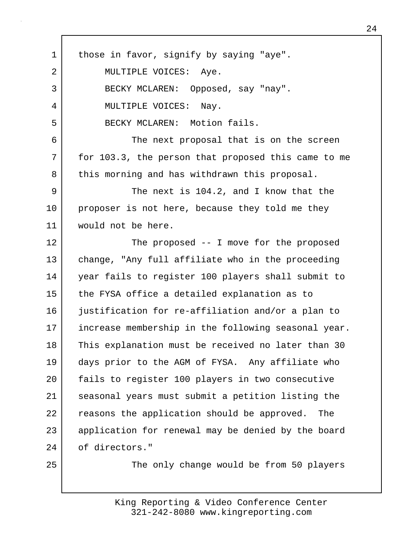| $\mathbf 1$ | those in favor, signify by saying "aye".            |
|-------------|-----------------------------------------------------|
| 2           | MULTIPLE VOICES: Aye.                               |
| 3           | BECKY MCLAREN: Opposed, say "nay".                  |
| 4           | MULTIPLE VOICES:<br>Nay.                            |
| 5           | BECKY MCLAREN: Motion fails.                        |
| 6           | The next proposal that is on the screen             |
| 7           | for 103.3, the person that proposed this came to me |
| 8           | this morning and has withdrawn this proposal.       |
| 9           | The next is 104.2, and I know that the              |
| 10          | proposer is not here, because they told me they     |
| 11          | would not be here.                                  |
| 12          | The proposed $-$ I move for the proposed            |
| 13          | change, "Any full affiliate who in the proceeding   |
| 14          | year fails to register 100 players shall submit to  |
| 15          | the FYSA office a detailed explanation as to        |
| 16          | justification for re-affiliation and/or a plan to   |
| 17          | increase membership in the following seasonal year. |
| 18          | This explanation must be received no later than 30  |
| 19          | days prior to the AGM of FYSA. Any affiliate who    |
| 20          | fails to register 100 players in two consecutive    |
| 21          | seasonal years must submit a petition listing the   |
| 22          | reasons the application should be approved.<br>The  |
| 23          | application for renewal may be denied by the board  |
| 24          | of directors."                                      |
| 25          | The only change would be from 50 players            |
|             |                                                     |

г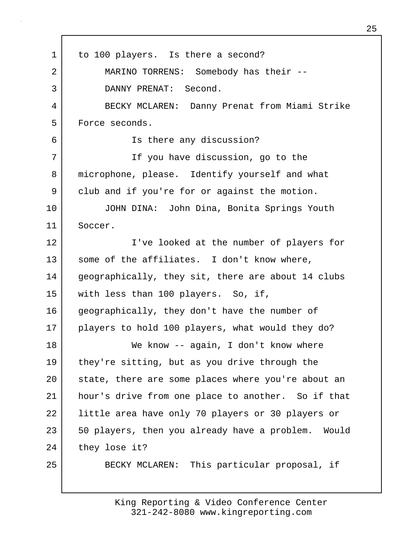1 to 100 players. Is there a second? 2 MARINO TORRENS: Somebody has their --3 DANNY PRENAT: Second. 4 BECKY MCLAREN: Danny Prenat from Miami Strike 5 Force seconds. 6 Is there any discussion? 7 If you have discussion, go to the 8 microphone, please. Identify yourself and what 9 club and if you're for or against the motion. 10 JOHN DINA: John Dina, Bonita Springs Youth 11 Soccer. 12 I've looked at the number of players for 13 some of the affiliates. I don't know where, 14 geographically, they sit, there are about 14 clubs 15 with less than 100 players. So, if, 16 geographically, they don't have the number of 17 players to hold 100 players, what would they do? 18 We know -- again, I don't know where 19 they're sitting, but as you drive through the 20 | state, there are some places where you're about an 21 hour's drive from one place to another. So if that 22 little area have only 70 players or 30 players or 23 | 50 players, then you already have a problem. Would 24 they lose it? 25 BECKY MCLAREN: This particular proposal, if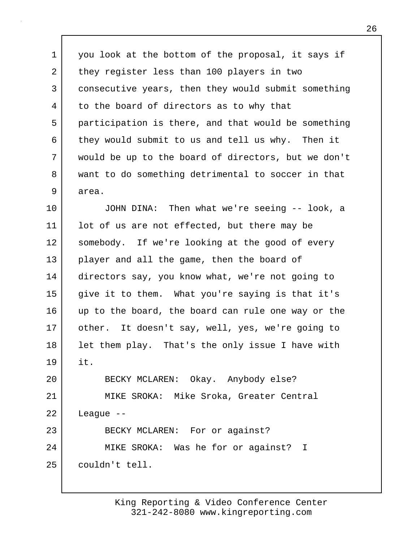1 you look at the bottom of the proposal, it says if 2 they register less than 100 players in two 3 consecutive years, then they would submit something 4 to the board of directors as to why that 5 participation is there, and that would be something 6 they would submit to us and tell us why. Then it 7 would be up to the board of directors, but we don't 8 want to do something detrimental to soccer in that 9 area.

10 JOHN DINA: Then what we're seeing -- look, a 11 | lot of us are not effected, but there may be 12 somebody. If we're looking at the good of every 13 player and all the game, then the board of 14 directors say, you know what, we're not going to 15 give it to them. What you're saying is that it's 16 up to the board, the board can rule one way or the 17 | other. It doesn't say, well, yes, we're going to 18 let them play. That's the only issue I have with 19 it.

20 BECKY MCLAREN: Okay. Anybody else? 21 MIKE SROKA: Mike Sroka, Greater Central 22 League -- 23 BECKY MCLAREN: For or against? 24 MIKE SROKA: Was he for or against? I 25 couldn't tell.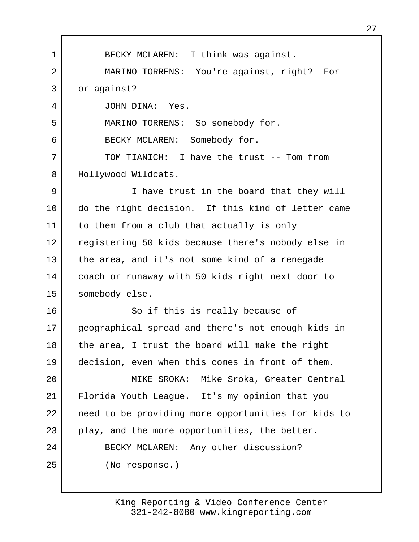1 BECKY MCLAREN: I think was against. 2 MARINO TORRENS: You're against, right? For 3 or against? 4 JOHN DINA: Yes. 5 MARINO TORRENS: So somebody for. 6 BECKY MCLAREN: Somebody for. 7 TOM TIANICH: I have the trust -- Tom from 8 | Hollywood Wildcats. 9 I have trust in the board that they will 10 do the right decision. If this kind of letter came 11 to them from a club that actually is only 12 registering 50 kids because there's nobody else in 13 the area, and it's not some kind of a renegade 14 coach or runaway with 50 kids right next door to 15 | somebody else. 16 So if this is really because of 17 geographical spread and there's not enough kids in 18 | the area, I trust the board will make the right 19 decision, even when this comes in front of them. 20 MIKE SROKA: Mike Sroka, Greater Central 21 Florida Youth League. It's my opinion that you 22 need to be providing more opportunities for kids to  $23$  play, and the more opportunities, the better. 24 BECKY MCLAREN: Any other discussion? 25 (No response.)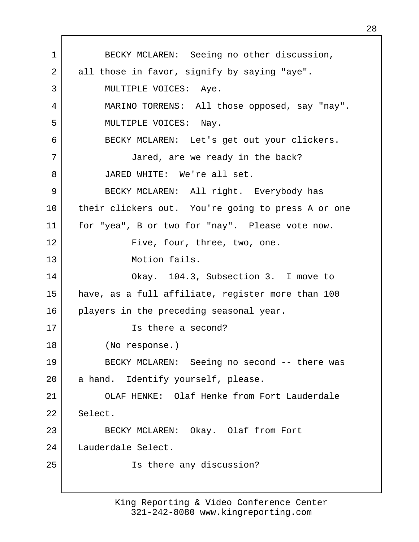1 BECKY MCLAREN: Seeing no other discussion, 2 all those in favor, signify by saying "aye". 3 MULTIPLE VOICES: Aye. 4 MARINO TORRENS: All those opposed, say "nay". 5 MULTIPLE VOICES: Nay. 6 BECKY MCLAREN: Let's get out your clickers. 7 Jared, are we ready in the back? 8 JARED WHITE: We're all set. 9 BECKY MCLAREN: All right. Everybody has 10 | their clickers out. You're going to press A or one 11 | for "yea", B or two for "nay". Please vote now. 12 Five, four, three, two, one. 13 Motion fails. 14 Okay. 104.3, Subsection 3. I move to 15 have, as a full affiliate, register more than 100 16 players in the preceding seasonal year. 17 Is there a second? 18 (No response.) 19 BECKY MCLAREN: Seeing no second -- there was 20 a hand. Identify yourself, please. 21 OLAF HENKE: Olaf Henke from Fort Lauderdale 22 Select. 23 BECKY MCLAREN: Okay. Olaf from Fort 24 Lauderdale Select. 25 Is there any discussion?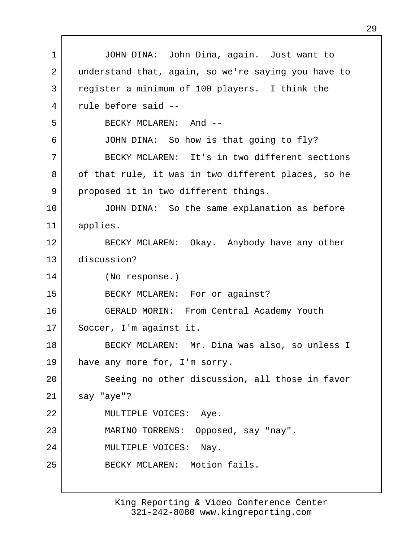1 JOHN DINA: John Dina, again. Just want to 2 understand that, again, so we're saying you have to 3 register a minimum of 100 players. I think the 4 rule before said -- 5 BECKY MCLAREN: And -- 6 JOHN DINA: So how is that going to fly? 7 BECKY MCLAREN: It's in two different sections 8 | of that rule, it was in two different places, so he 9 proposed it in two different things. 10 JOHN DINA: So the same explanation as before 11 applies. 12 BECKY MCLAREN: Okay. Anybody have any other 13 discussion? 14 (No response.) 15 BECKY MCLAREN: For or against? 16 GERALD MORIN: From Central Academy Youth 17 | Soccer, I'm against it. 18 BECKY MCLAREN: Mr. Dina was also, so unless I 19 have any more for, I'm sorry. 20 Seeing no other discussion, all those in favor 21 say "aye"? 22 | MULTIPLE VOICES: Aye. 23 MARINO TORRENS: Opposed, say "nay". 24 MULTIPLE VOICES: Nay. 25 BECKY MCLAREN: Motion fails.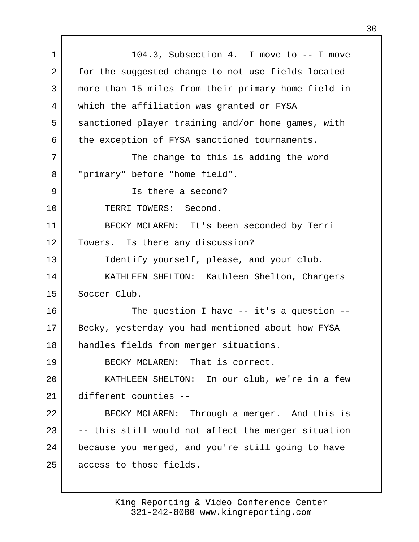1 104.3, Subsection 4. I move to -- I move 2 for the suggested change to not use fields located 3 more than 15 miles from their primary home field in 4 which the affiliation was granted or FYSA 5 sanctioned player training and/or home games, with 6 the exception of FYSA sanctioned tournaments. 7 | The change to this is adding the word 8 "primary" before "home field". 9 Is there a second? 10 TERRI TOWERS: Second. 11 BECKY MCLAREN: It's been seconded by Terri 12 | Towers. Is there any discussion? 13 Identify yourself, please, and your club. 14 KATHLEEN SHELTON: Kathleen Shelton, Chargers 15 Soccer Club. 16 The question I have -- it's a question --17 Becky, yesterday you had mentioned about how FYSA 18 handles fields from merger situations. 19 BECKY MCLAREN: That is correct. 20 KATHLEEN SHELTON: In our club, we're in a few 21 different counties -- 22 BECKY MCLAREN: Through a merger. And this is  $23$   $-$  -- this still would not affect the merger situation 24 because you merged, and you're still going to have 25 access to those fields.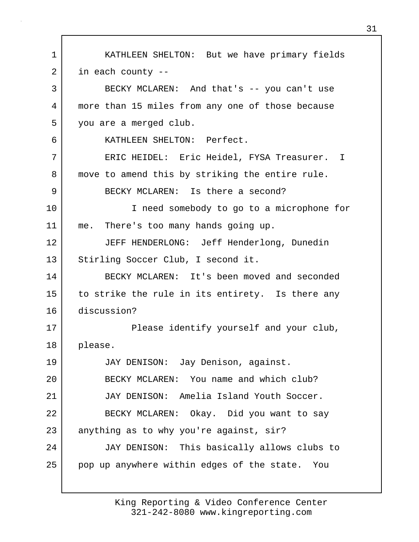1 KATHLEEN SHELTON: But we have primary fields 2 in each county --3 BECKY MCLAREN: And that's -- you can't use 4 more than 15 miles from any one of those because 5 you are a merged club. 6 KATHLEEN SHELTON: Perfect. 7 ERIC HEIDEL: Eric Heidel, FYSA Treasurer. I 8 move to amend this by striking the entire rule. 9 BECKY MCLAREN: Is there a second? 10 I need somebody to go to a microphone for 11 me. There's too many hands going up. 12 JEFF HENDERLONG: Jeff Henderlong, Dunedin 13 Stirling Soccer Club, I second it. 14 BECKY MCLAREN: It's been moved and seconded 15 to strike the rule in its entirety. Is there any 16 discussion? 17 | Please identify yourself and your club, 18 please. 19 JAY DENISON: Jay Denison, against. 20 BECKY MCLAREN: You name and which club? 21 JAY DENISON: Amelia Island Youth Soccer. 22 BECKY MCLAREN: Okay. Did you want to say 23 anything as to why you're against, sir? 24 JAY DENISON: This basically allows clubs to 25 pop up anywhere within edges of the state. You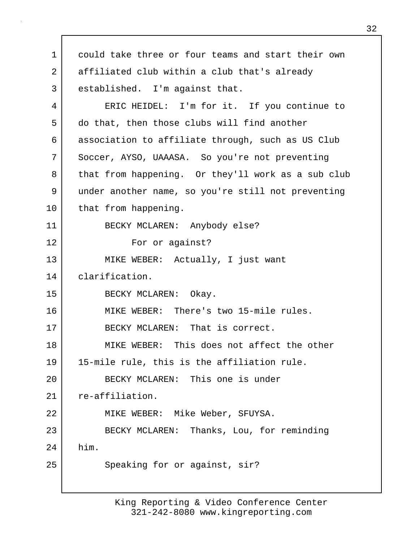1 could take three or four teams and start their own 2 affiliated club within a club that's already 3 established. I'm against that. 4 ERIC HEIDEL: I'm for it. If you continue to 5 do that, then those clubs will find another 6 association to affiliate through, such as US Club 7 Soccer, AYSO, UAAASA. So you're not preventing 8 | that from happening. Or they'll work as a sub club 9 under another name, so you're still not preventing 10 that from happening. 11 BECKY MCLAREN: Anybody else? 12 For or against? 13 | MIKE WEBER: Actually, I just want 14 clarification. 15 BECKY MCLAREN: Okay. 16 MIKE WEBER: There's two 15-mile rules. 17 BECKY MCLAREN: That is correct. 18 MIKE WEBER: This does not affect the other 19 15-mile rule, this is the affiliation rule. 20 BECKY MCLAREN: This one is under 21 | re-affiliation. 22 MIKE WEBER: Mike Weber, SFUYSA. 23 BECKY MCLAREN: Thanks, Lou, for reminding 24 him. 25 Speaking for or against, sir?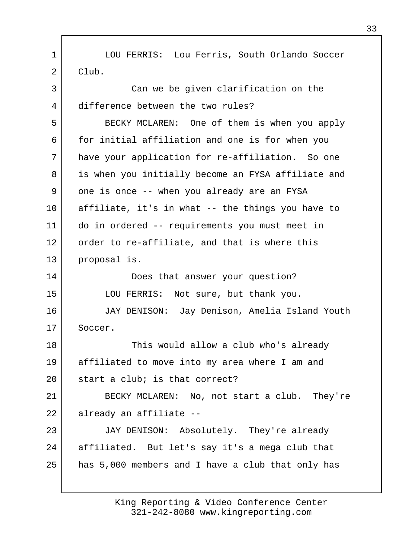1 | LOU FERRIS: Lou Ferris, South Orlando Soccer 2 Club. 3 Can we be given clarification on the 4 difference between the two rules?

5 BECKY MCLAREN: One of them is when you apply 6 for initial affiliation and one is for when you 7 have your application for re-affiliation. So one 8 is when you initially become an FYSA affiliate and 9 one is once -- when you already are an FYSA 10 affiliate, it's in what -- the things you have to 11 do in ordered -- requirements you must meet in 12 order to re-affiliate, and that is where this 13 proposal is.

14 Does that answer your question? 15 LOU FERRIS: Not sure, but thank you.

16 JAY DENISON: Jay Denison, Amelia Island Youth 17 Soccer.

18 This would allow a club who's already 19 affiliated to move into my area where I am and 20 start a club; is that correct? 21 BECKY MCLAREN: No, not start a club. They're 22 already an affiliate --

23 JAY DENISON: Absolutely. They're already 24 affiliated. But let's say it's a mega club that 25 has 5,000 members and I have a club that only has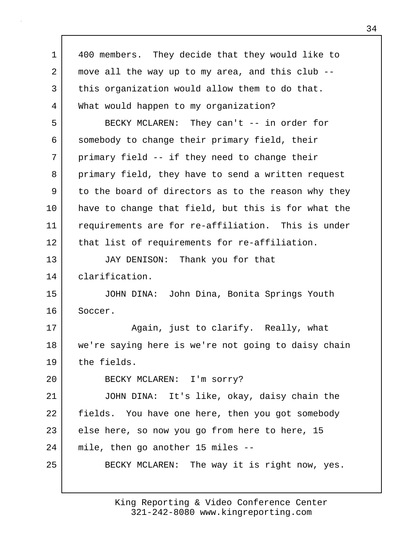| 1  | 400 members. They decide that they would like to    |
|----|-----------------------------------------------------|
| 2  | move all the way up to my area, and this club --    |
| 3  | this organization would allow them to do that.      |
| 4  | What would happen to my organization?               |
| 5  | BECKY MCLAREN: They can't -- in order for           |
| 6  | somebody to change their primary field, their       |
| 7  | primary field -- if they need to change their       |
| 8  | primary field, they have to send a written request  |
| 9  | to the board of directors as to the reason why they |
| 10 | have to change that field, but this is for what the |
| 11 | requirements are for re-affiliation. This is under  |
| 12 | that list of requirements for re-affiliation.       |
| 13 | JAY DENISON: Thank you for that                     |
| 14 | clarification.                                      |
| 15 | JOHN DINA: John Dina, Bonita Springs Youth          |
| 16 | Soccer.                                             |
| 17 | Again, just to clarify. Really, what                |
| 18 | we're saying here is we're not going to daisy chain |
| 19 | the fields.                                         |
| 20 | BECKY MCLAREN: I'm sorry?                           |
| 21 | JOHN DINA: It's like, okay, daisy chain the         |
| 22 | fields. You have one here, then you got somebody    |
| 23 | else here, so now you go from here to here, 15      |
| 24 | mile, then go another 15 miles --                   |
| 25 | BECKY MCLAREN: The way it is right now, yes.        |
|    |                                                     |

Г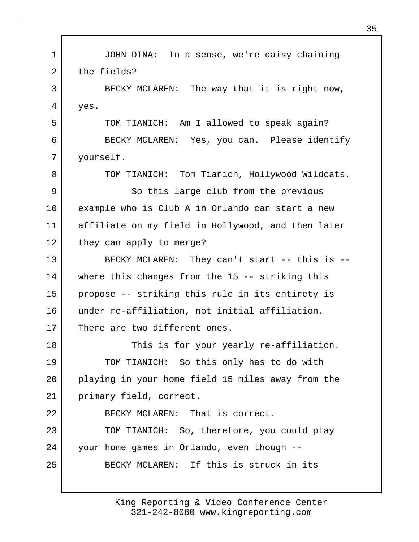1 | JOHN DINA: In a sense, we're daisy chaining 2 the fields? 3 BECKY MCLAREN: The way that it is right now, 4 yes. 5 TOM TIANICH: Am I allowed to speak again? 6 BECKY MCLAREN: Yes, you can. Please identify 7 yourself. 8 TOM TIANICH: Tom Tianich, Hollywood Wildcats. 9 So this large club from the previous 10 example who is Club A in Orlando can start a new 11 affiliate on my field in Hollywood, and then later 12 they can apply to merge? 13 BECKY MCLAREN: They can't start -- this is --14 where this changes from the 15 -- striking this 15 propose -- striking this rule in its entirety is 16 under re-affiliation, not initial affiliation. 17 There are two different ones. 18 This is for your yearly re-affiliation. 19 TOM TIANICH: So this only has to do with 20 playing in your home field 15 miles away from the 21 primary field, correct. 22 BECKY MCLAREN: That is correct. 23 TOM TIANICH: So, therefore, you could play 24 your home games in Orlando, even though -- 25 BECKY MCLAREN: If this is struck in its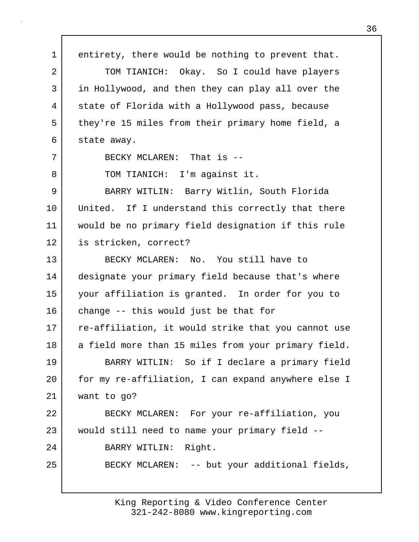1 entirety, there would be nothing to prevent that. 2 TOM TIANICH: Okay. So I could have players 3 in Hollywood, and then they can play all over the 4 state of Florida with a Hollywood pass, because 5 they're 15 miles from their primary home field, a 6 state away. 7 BECKY MCLAREN: That is --8 | TOM TIANICH: I'm against it. 9 BARRY WITLIN: Barry Witlin, South Florida 10 United. If I understand this correctly that there 11 would be no primary field designation if this rule 12 is stricken, correct? 13 BECKY MCLAREN: No. You still have to 14 designate your primary field because that's where 15 your affiliation is granted. In order for you to 16 change -- this would just be that for 17 re-affiliation, it would strike that you cannot use 18 a field more than 15 miles from your primary field. 19 BARRY WITLIN: So if I declare a primary field 20 for my re-affiliation, I can expand anywhere else I 21 want to go? 22 BECKY MCLAREN: For your re-affiliation, you 23 would still need to name your primary field --24 BARRY WITLIN: Right. 25 BECKY MCLAREN: -- but your additional fields,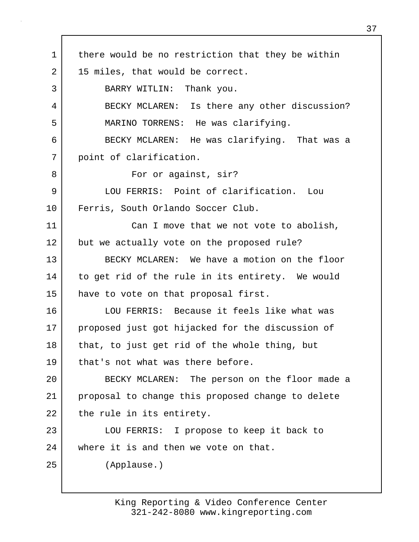1 there would be no restriction that they be within 2 | 15 miles, that would be correct. 3 BARRY WITLIN: Thank you. 4 BECKY MCLAREN: Is there any other discussion? 5 MARINO TORRENS: He was clarifying. 6 BECKY MCLAREN: He was clarifying. That was a 7 point of clarification. 8 | For or against, sir? 9 LOU FERRIS: Point of clarification. Lou 10 Ferris, South Orlando Soccer Club. 11 Can I move that we not vote to abolish, 12 but we actually vote on the proposed rule? 13 BECKY MCLAREN: We have a motion on the floor 14 to get rid of the rule in its entirety. We would 15 have to vote on that proposal first. 16 LOU FERRIS: Because it feels like what was 17 proposed just got hijacked for the discussion of 18 | that, to just get rid of the whole thing, but 19 that's not what was there before. 20 BECKY MCLAREN: The person on the floor made a 21 proposal to change this proposed change to delete 22 the rule in its entirety. 23 LOU FERRIS: I propose to keep it back to 24 where it is and then we vote on that. 25 (Applause.)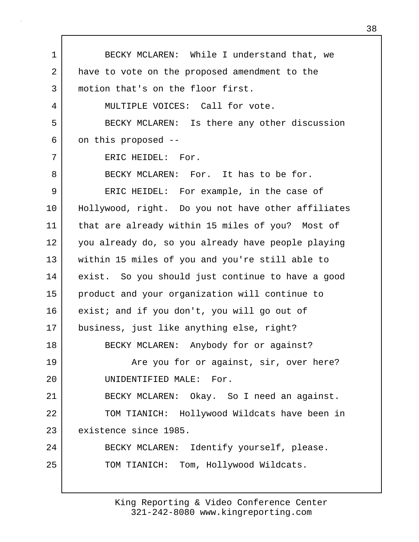1 BECKY MCLAREN: While I understand that, we 2 have to vote on the proposed amendment to the 3 motion that's on the floor first. 4 MULTIPLE VOICES: Call for vote. 5 BECKY MCLAREN: Is there any other discussion 6 on this proposed -- 7 ERIC HEIDEL: For. 8 BECKY MCLAREN: For. It has to be for. 9 | ERIC HEIDEL: For example, in the case of 10 Hollywood, right. Do you not have other affiliates 11 that are already within 15 miles of you? Most of 12 you already do, so you already have people playing 13 within 15 miles of you and you're still able to 14 exist. So you should just continue to have a good 15 product and your organization will continue to 16 exist; and if you don't, you will go out of 17 business, just like anything else, right? 18 BECKY MCLAREN: Anybody for or against? 19 **Are you for or against, sir, over here?** 20 UNIDENTIFIED MALE: For. 21 BECKY MCLAREN: Okay. So I need an against. 22 TOM TIANICH: Hollywood Wildcats have been in 23 existence since 1985. 24 BECKY MCLAREN: Identify yourself, please. 25 | TOM TIANICH: Tom, Hollywood Wildcats.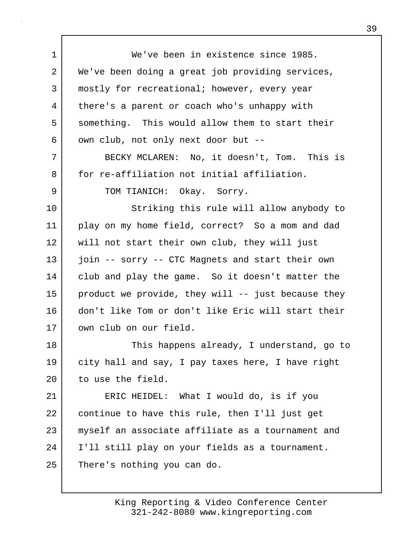1 We've been in existence since 1985. 2 | We've been doing a great job providing services, 3 | mostly for recreational; however, every year 4 there's a parent or coach who's unhappy with 5 something. This would allow them to start their 6 own club, not only next door but --7 BECKY MCLAREN: No, it doesn't, Tom. This is 8 for re-affiliation not initial affiliation. 9 TOM TIANICH: Okay. Sorry. 10 Striking this rule will allow anybody to 11 play on my home field, correct? So a mom and dad 12 will not start their own club, they will just 13 join -- sorry -- CTC Magnets and start their own 14 club and play the game. So it doesn't matter the 15 product we provide, they will -- just because they 16 don't like Tom or don't like Eric will start their 17 own club on our field. 18 | This happens already, I understand, go to 19 city hall and say, I pay taxes here, I have right 20 to use the field. 21 ERIC HEIDEL: What I would do, is if you 22 continue to have this rule, then I'll just get 23 | myself an associate affiliate as a tournament and 24 I'll still play on your fields as a tournament. 25 There's nothing you can do.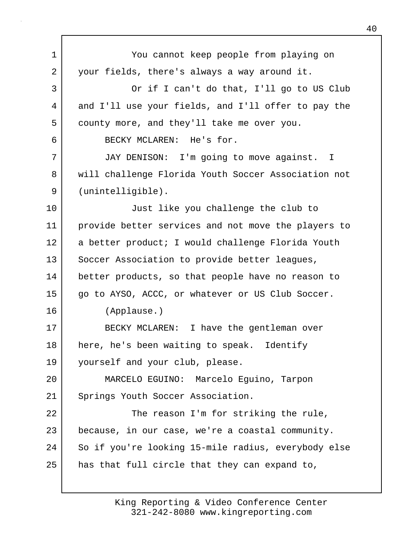1 You cannot keep people from playing on 2 your fields, there's always a way around it. 3 Or if I can't do that, I'll go to US Club 4 and I'll use your fields, and I'll offer to pay the 5 county more, and they'll take me over you. 6 BECKY MCLAREN: He's for. 7 JAY DENISON: I'm going to move against. I 8 will challenge Florida Youth Soccer Association not 9 (unintelligible). 10 Just like you challenge the club to 11 provide better services and not move the players to 12 | a better product; I would challenge Florida Youth 13 Soccer Association to provide better leagues, 14 better products, so that people have no reason to 15 | qo to AYSO, ACCC, or whatever or US Club Soccer. 16 (Applause.) 17 BECKY MCLAREN: I have the gentleman over 18 | here, he's been waiting to speak. Identify 19 yourself and your club, please. 20 MARCELO EGUINO: Marcelo Eguino, Tarpon 21 Springs Youth Soccer Association. 22 The reason I'm for striking the rule, 23 because, in our case, we're a coastal community. 24 So if you're looking 15-mile radius, everybody else 25 | has that full circle that they can expand to,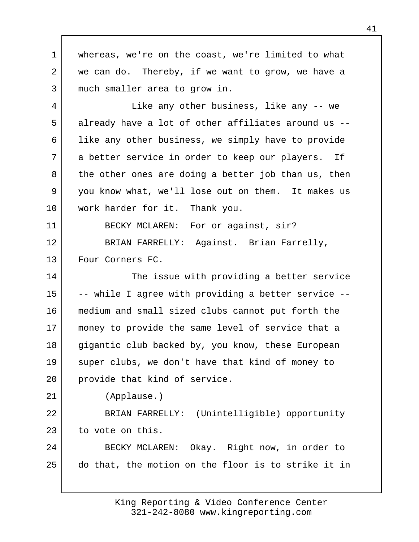1 whereas, we're on the coast, we're limited to what 2 we can do. Thereby, if we want to grow, we have a 3 much smaller area to grow in. 4 Like any other business, like any -- we 5 already have a lot of other affiliates around us -- 6 | like any other business, we simply have to provide 7 a better service in order to keep our players. If 8 the other ones are doing a better job than us, then 9 you know what, we'll lose out on them. It makes us 10 work harder for it. Thank you. 11 | BECKY MCLAREN: For or against, sir? 12 BRIAN FARRELLY: Against. Brian Farrelly, 13 Four Corners FC. 14 The issue with providing a better service 15 |  $-$ - while I agree with providing a better service  $-$ -16 medium and small sized clubs cannot put forth the 17 money to provide the same level of service that a 18 gigantic club backed by, you know, these European 19 super clubs, we don't have that kind of money to 20 provide that kind of service. 21 (Applause.) 22 BRIAN FARRELLY: (Unintelligible) opportunity 23 to vote on this. 24 BECKY MCLAREN: Okay. Right now, in order to 25 do that, the motion on the floor is to strike it in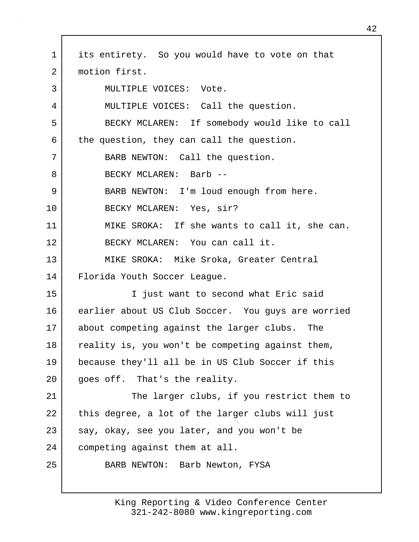1 | its entirety. So you would have to vote on that 2 | motion first. 3 MULTIPLE VOICES: Vote. 4 MULTIPLE VOICES: Call the question. 5 BECKY MCLAREN: If somebody would like to call 6 the question, they can call the question. 7 BARB NEWTON: Call the question. 8 BECKY MCLAREN: Barb --9 | BARB NEWTON: I'm loud enough from here. 10 BECKY MCLAREN: Yes, sir? 11 MIKE SROKA: If she wants to call it, she can. 12 BECKY MCLAREN: You can call it. 13 MIKE SROKA: Mike Sroka, Greater Central 14 Florida Youth Soccer League. 15 I just want to second what Eric said 16 earlier about US Club Soccer. You guys are worried 17 about competing against the larger clubs. The 18 reality is, you won't be competing against them, 19 because they'll all be in US Club Soccer if this 20 | goes off. That's the reality. 21 The larger clubs, if you restrict them to 22 | this degree, a lot of the larger clubs will just  $23$  say, okay, see you later, and you won't be 24 competing against them at all. 25 BARB NEWTON: Barb Newton, FYSA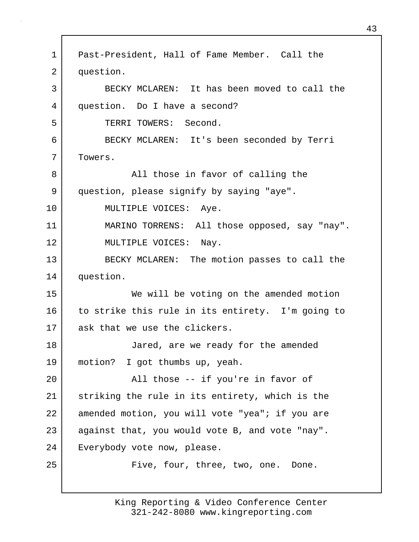1 Past-President, Hall of Fame Member. Call the 2 question. 3 BECKY MCLAREN: It has been moved to call the 4 question. Do I have a second? 5 TERRI TOWERS: Second. 6 BECKY MCLAREN: It's been seconded by Terri 7 Towers. 8 all those in favor of calling the 9 question, please signify by saying "aye". 10 | MULTIPLE VOICES: Aye. 11 MARINO TORRENS: All those opposed, say "nay". 12 MULTIPLE VOICES: Nay. 13 BECKY MCLAREN: The motion passes to call the 14 question. 15 We will be voting on the amended motion 16 to strike this rule in its entirety. I'm going to 17 ask that we use the clickers. 18 Jared, are we ready for the amended 19 motion? I got thumbs up, yeah. 20 | Rall those -- if you're in favor of 21 striking the rule in its entirety, which is the 22 amended motion, you will vote "yea"; if you are 23 against that, you would vote B, and vote "nay". 24 Everybody vote now, please. 25 | Five, four, three, two, one. Done.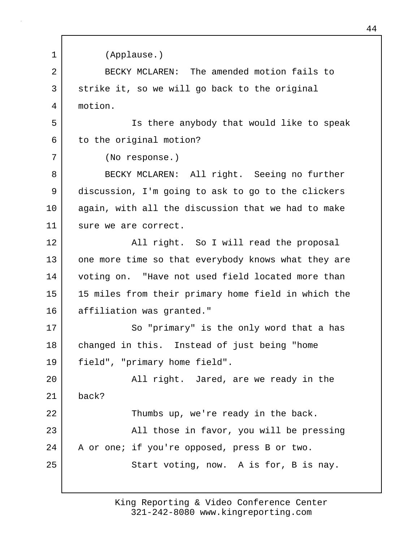| $\mathbf 1$ | (Applause.)                                         |
|-------------|-----------------------------------------------------|
|             |                                                     |
| 2           | BECKY MCLAREN: The amended motion fails to          |
| 3           | strike it, so we will go back to the original       |
| 4           | motion.                                             |
| 5           | Is there anybody that would like to speak           |
| 6           | to the original motion?                             |
| 7           | (No response.)                                      |
| 8           | BECKY MCLAREN: All right. Seeing no further         |
| 9           | discussion, I'm going to ask to go to the clickers  |
| 10          | again, with all the discussion that we had to make  |
| 11          | sure we are correct.                                |
| 12          | All right. So I will read the proposal              |
| 13          | one more time so that everybody knows what they are |
| 14          | voting on. "Have not used field located more than   |
| 15          | 15 miles from their primary home field in which the |
| 16          | affiliation was granted."                           |
| 17          | So "primary" is the only word that a has            |
| 18          | changed in this. Instead of just being "home        |
| 19          | field", "primary home field".                       |
| 20          | All right. Jared, are we ready in the               |
| 21          | back?                                               |
| 22          | Thumbs up, we're ready in the back.                 |
| 23          | All those in favor, you will be pressing            |
| 24          | A or one; if you're opposed, press B or two.        |
| 25          | Start voting, now. A is for, B is nay.              |
|             |                                                     |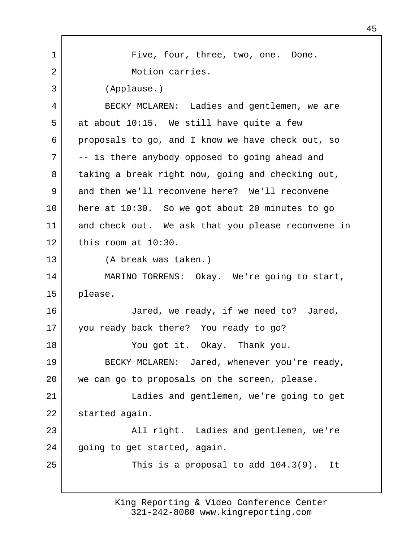1 | Five, four, three, two, one. Done. 2 Motion carries. 3 (Applause.) 4 BECKY MCLAREN: Ladies and gentlemen, we are  $5$  at about 10:15. We still have quite a few 6 proposals to go, and I know we have check out, so 7 -- is there anybody opposed to going ahead and 8 taking a break right now, going and checking out, 9 and then we'll reconvene here? We'll reconvene 10 here at 10:30. So we got about 20 minutes to go 11 and check out. We ask that you please reconvene in 12 this room at 10:30. 13 (A break was taken.) 14 MARINO TORRENS: Okay. We're going to start, 15 please. 16 Jared, we ready, if we need to? Jared, 17 you ready back there? You ready to go? 18 You got it. Okay. Thank you. 19 BECKY MCLAREN: Jared, whenever you're ready, 20 we can go to proposals on the screen, please. 21 Ladies and gentlemen, we're going to get 22 started again. 23 All right. Ladies and gentlemen, we're 24 | going to get started, again. 25 This is a proposal to add 104.3(9). It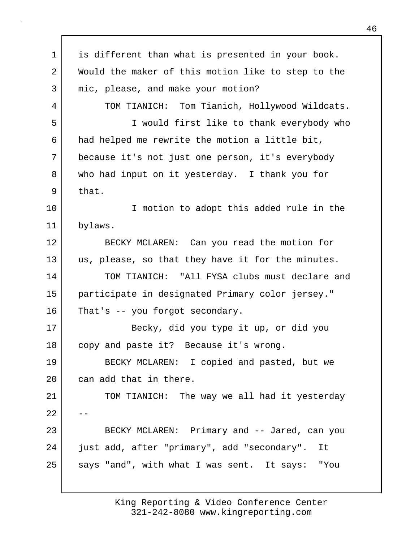1 | is different than what is presented in your book. 2 Would the maker of this motion like to step to the 3 mic, please, and make your motion? 4 TOM TIANICH: Tom Tianich, Hollywood Wildcats. 5 I would first like to thank everybody who 6 had helped me rewrite the motion a little bit, 7 because it's not just one person, it's everybody 8 who had input on it yesterday. I thank you for 9 that. 10 | T motion to adopt this added rule in the 11 bylaws. 12 BECKY MCLAREN: Can you read the motion for 13 us, please, so that they have it for the minutes. 14 TOM TIANICH: "All FYSA clubs must declare and 15 participate in designated Primary color jersey." 16 That's -- you forgot secondary. 17 Becky, did you type it up, or did you 18 copy and paste it? Because it's wrong. 19 BECKY MCLAREN: I copied and pasted, but we 20 can add that in there. 21 | TOM TIANICH: The way we all had it yesterday  $2.2<sub>1</sub>$ 23 BECKY MCLAREN: Primary and -- Jared, can you 24 just add, after "primary", add "secondary". It 25 says "and", with what I was sent. It says: "You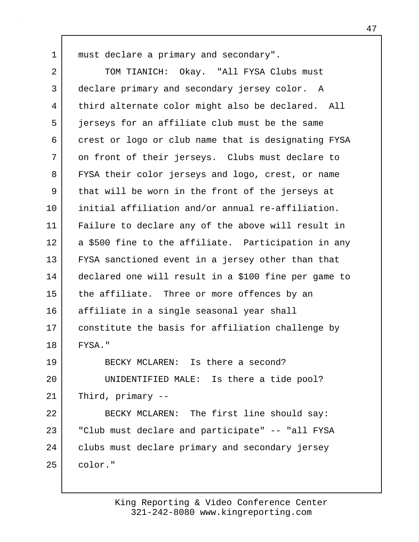1 | must declare a primary and secondary".

2 TOM TIANICH: Okay. "All FYSA Clubs must 3 declare primary and secondary jersey color. A 4 third alternate color might also be declared. All 5 | ierseys for an affiliate club must be the same 6 crest or logo or club name that is designating FYSA 7 on front of their jerseys. Clubs must declare to 8 FYSA their color jerseys and logo, crest, or name 9 that will be worn in the front of the jerseys at 10 initial affiliation and/or annual re-affiliation. 11 Failure to declare any of the above will result in 12 a \$500 fine to the affiliate. Participation in any 13 FYSA sanctioned event in a jersey other than that 14 declared one will result in a \$100 fine per game to 15 the affiliate. Three or more offences by an 16 affiliate in a single seasonal year shall 17 constitute the basis for affiliation challenge by 18 FYSA." 19 BECKY MCLAREN: Is there a second? 20 UNIDENTIFIED MALE: Is there a tide pool?  $21$  Third, primary  $-$ 22 BECKY MCLAREN: The first line should say: 23 "Club must declare and participate" -- "all FYSA 24 | clubs must declare primary and secondary jersey  $25$  color."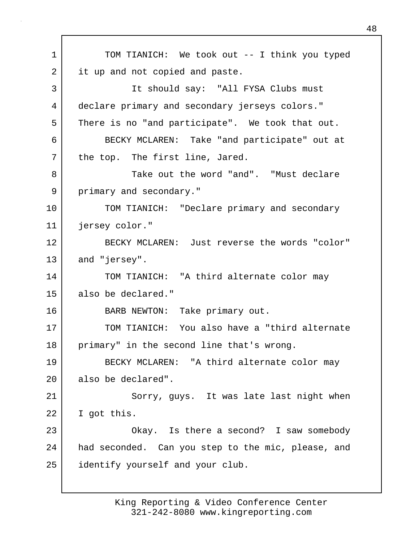1 TOM TIANICH: We took out -- I think you typed 2 it up and not copied and paste. 3 It should say: "All FYSA Clubs must 4 declare primary and secondary jerseys colors." 5 There is no "and participate". We took that out. 6 BECKY MCLAREN: Take "and participate" out at 7 | the top. The first line, Jared. 8 Take out the word "and". "Must declare 9 primary and secondary." 10 TOM TIANICH: "Declare primary and secondary 11 jersey color." 12 BECKY MCLAREN: Just reverse the words "color" 13 and "jersey". 14 TOM TIANICH: "A third alternate color may 15 also be declared." 16 BARB NEWTON: Take primary out. 17 TOM TIANICH: You also have a "third alternate 18 primary" in the second line that's wrong. 19 BECKY MCLAREN: "A third alternate color may 20 also be declared". 21 Sorry, guys. It was late last night when 22 I got this. 23 Okay. Is there a second? I saw somebody 24 had seconded. Can you step to the mic, please, and 25 identify yourself and your club.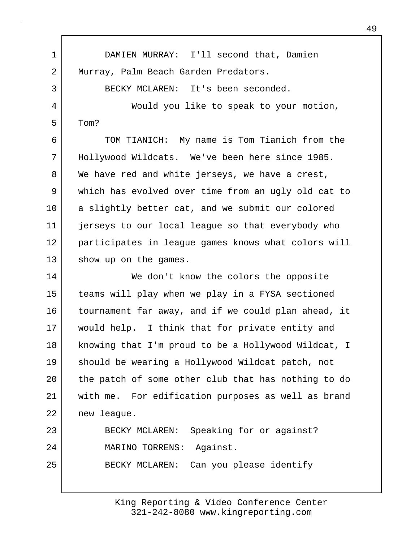1 DAMIEN MURRAY: I'll second that, Damien 2 Murray, Palm Beach Garden Predators. 3 BECKY MCLAREN: It's been seconded. 4 Would you like to speak to your motion,  $5 \mid$  Tom? 6 TOM TIANICH: My name is Tom Tianich from the 7 Hollywood Wildcats. We've been here since 1985. 8 We have red and white jerseys, we have a crest, 9 which has evolved over time from an ugly old cat to 10 a slightly better cat, and we submit our colored 11 jerseys to our local league so that everybody who 12 participates in league games knows what colors will 13 show up on the games. 14 We don't know the colors the opposite 15 teams will play when we play in a FYSA sectioned 16 tournament far away, and if we could plan ahead, it 17 | would help. I think that for private entity and 18 knowing that I'm proud to be a Hollywood Wildcat, I 19 should be wearing a Hollywood Wildcat patch, not 20 the patch of some other club that has nothing to do 21 with me. For edification purposes as well as brand 22 new league. 23 BECKY MCLAREN: Speaking for or against?

24 MARINO TORRENS: Against. 25 BECKY MCLAREN: Can you please identify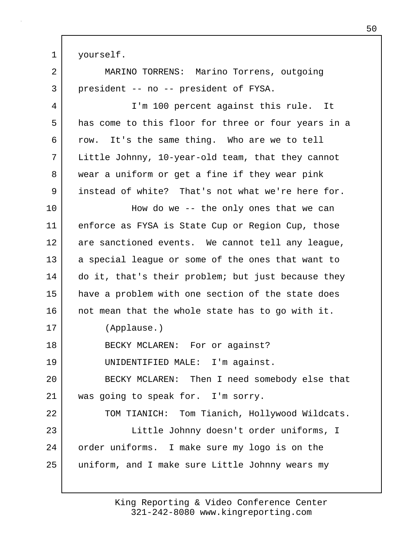1 yourself. 2 MARINO TORRENS: Marino Torrens, outgoing 3 president -- no -- president of FYSA. 4 I'm 100 percent against this rule. It 5 has come to this floor for three or four years in a 6 row. It's the same thing. Who are we to tell 7 Little Johnny, 10-year-old team, that they cannot 8 wear a uniform or get a fine if they wear pink 9 instead of white? That's not what we're here for. 10 How do we -- the only ones that we can 11 enforce as FYSA is State Cup or Region Cup, those 12 are sanctioned events. We cannot tell any leaque, 13 a special league or some of the ones that want to 14 do it, that's their problem; but just because they 15 have a problem with one section of the state does 16 not mean that the whole state has to go with it. 17 (Applause.) 18 BECKY MCLAREN: For or against? 19 UNIDENTIFIED MALE: I'm against. 20 BECKY MCLAREN: Then I need somebody else that 21 was going to speak for. I'm sorry. 22 TOM TIANICH: Tom Tianich, Hollywood Wildcats. 23 Little Johnny doesn't order uniforms, I 24 order uniforms. I make sure my logo is on the 25 uniform, and I make sure Little Johnny wears my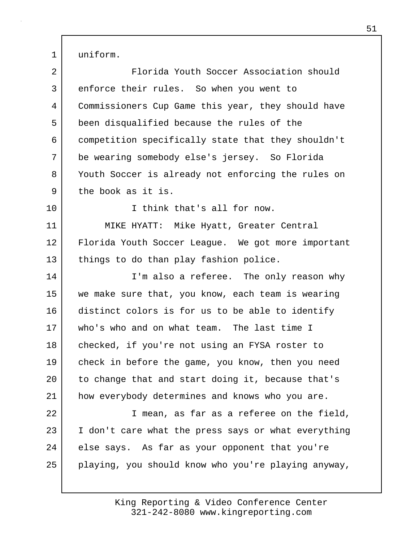1 uniform.

| $\overline{2}$ | Florida Youth Soccer Association should             |
|----------------|-----------------------------------------------------|
| 3              | enforce their rules. So when you went to            |
| 4              | Commissioners Cup Game this year, they should have  |
| 5              | been disqualified because the rules of the          |
| 6              | competition specifically state that they shouldn't  |
| 7              | be wearing somebody else's jersey. So Florida       |
| 8              | Youth Soccer is already not enforcing the rules on  |
| 9              | the book as it is.                                  |
| 10             | I think that's all for now.                         |
| 11             | MIKE HYATT: Mike Hyatt, Greater Central             |
| 12             | Florida Youth Soccer League. We got more important  |
| 13             | things to do than play fashion police.              |
| 14             | I'm also a referee. The only reason why             |
| 15             | we make sure that, you know, each team is wearing   |
| 16             | distinct colors is for us to be able to identify    |
| 17             | who's who and on what team. The last time I         |
| 18             | checked, if you're not using an FYSA roster to      |
| 19             | check in before the game, you know, then you need   |
| 20             | to change that and start doing it, because that's   |
| 21             | how everybody determines and knows who you are.     |
| 22             | I mean, as far as a referee on the field,           |
| 23             | I don't care what the press says or what everything |
| 24             | else says. As far as your opponent that you're      |
| 25             | playing, you should know who you're playing anyway, |
|                |                                                     |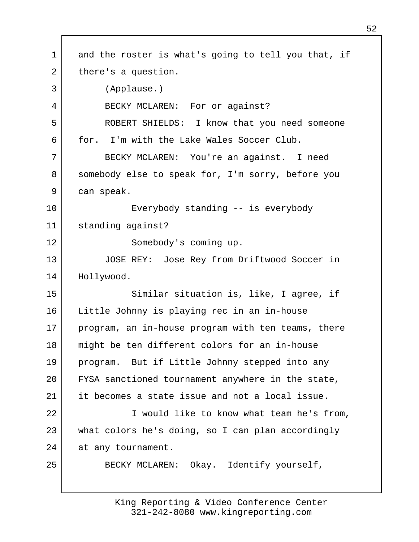1 and the roster is what's going to tell you that, if 2 there's a question. 3 (Applause.) 4 BECKY MCLAREN: For or against? 5 ROBERT SHIELDS: I know that you need someone 6 for. I'm with the Lake Wales Soccer Club. 7 BECKY MCLAREN: You're an against. I need 8 somebody else to speak for, I'm sorry, before you 9 can speak. 10 Everybody standing -- is everybody 11 standing against? 12 Somebody's coming up. 13 JOSE REY: Jose Rey from Driftwood Soccer in 14 Hollywood. 15 | Similar situation is, like, I agree, if 16 | Little Johnny is playing rec in an in-house 17 program, an in-house program with ten teams, there 18 might be ten different colors for an in-house 19 program. But if Little Johnny stepped into any 20 FYSA sanctioned tournament anywhere in the state, 21 it becomes a state issue and not a local issue. 22 I would like to know what team he's from, 23 what colors he's doing, so I can plan accordingly 24 at any tournament. 25 BECKY MCLAREN: Okay. Identify yourself,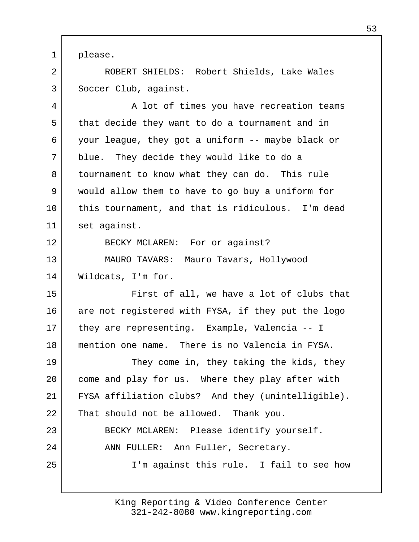1 please.

2 ROBERT SHIELDS: Robert Shields, Lake Wales 3 Soccer Club, against.

4 A lot of times you have recreation teams 5 that decide they want to do a tournament and in 6 your league, they got a uniform -- maybe black or 7 blue. They decide they would like to do a 8 tournament to know what they can do. This rule 9 would allow them to have to go buy a uniform for 10 this tournament, and that is ridiculous. I'm dead 11 set against.

12 BECKY MCLAREN: For or against?

13 MAURO TAVARS: Mauro Tavars, Hollywood 14 | Wildcats, I'm for.

15 First of all, we have a lot of clubs that 16 are not registered with FYSA, if they put the logo 17 they are representing. Example, Valencia -- I 18 mention one name. There is no Valencia in FYSA.

19 They come in, they taking the kids, they 20 come and play for us. Where they play after with 21 FYSA affiliation clubs? And they (unintelligible). 22 That should not be allowed. Thank you. 23 BECKY MCLAREN: Please identify yourself. 24 | ANN FULLER: Ann Fuller, Secretary. 25 I'm against this rule. I fail to see how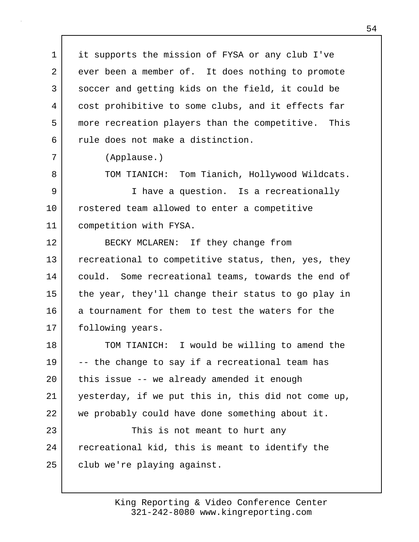1 it supports the mission of FYSA or any club I've 2 ever been a member of. It does nothing to promote 3 soccer and getting kids on the field, it could be 4 cost prohibitive to some clubs, and it effects far 5 more recreation players than the competitive. This 6 | rule does not make a distinction.

7 (Applause.)

8 TOM TIANICH: Tom Tianich, Hollywood Wildcats.

9 I have a question. Is a recreationally 10 rostered team allowed to enter a competitive 11 competition with FYSA.

12 BECKY MCLAREN: If they change from 13 recreational to competitive status, then, yes, they 14 could. Some recreational teams, towards the end of 15 the year, they'll change their status to go play in 16 a tournament for them to test the waters for the 17 | following years.

18 TOM TIANICH: I would be willing to amend the 19 -- the change to say if a recreational team has 20 | this issue -- we already amended it enough 21 yesterday, if we put this in, this did not come up, 22 we probably could have done something about it.

23 This is not meant to hurt any 24 recreational kid, this is meant to identify the 25 club we're playing against.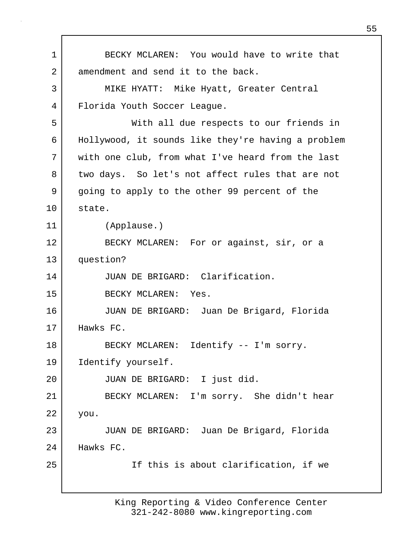1 BECKY MCLAREN: You would have to write that 2 amendment and send it to the back. 3 MIKE HYATT: Mike Hyatt, Greater Central 4 Florida Youth Soccer League. 5 With all due respects to our friends in 6 Hollywood, it sounds like they're having a problem 7 with one club, from what I've heard from the last 8 two days. So let's not affect rules that are not 9 going to apply to the other 99 percent of the 10 state. 11 (Applause.) 12 BECKY MCLAREN: For or against, sir, or a 13 question? 14 JUAN DE BRIGARD: Clarification. 15 BECKY MCLAREN: Yes. 16 JUAN DE BRIGARD: Juan De Brigard, Florida 17 Hawks FC. 18 BECKY MCLAREN: Identify -- I'm sorry. 19 | Identify yourself. 20 JUAN DE BRIGARD: I just did. 21 BECKY MCLAREN: I'm sorry. She didn't hear 22 you. 23 JUAN DE BRIGARD: Juan De Brigard, Florida 24 Hawks FC. 25 If this is about clarification, if we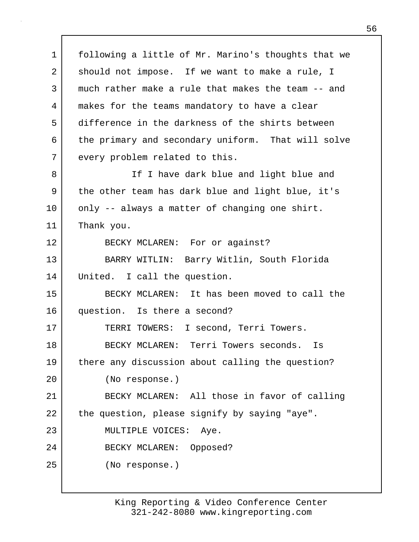1 following a little of Mr. Marino's thoughts that we 2 should not impose. If we want to make a rule, I 3 much rather make a rule that makes the team -- and 4 makes for the teams mandatory to have a clear 5 difference in the darkness of the shirts between 6 the primary and secondary uniform. That will solve 7 every problem related to this. 8 If I have dark blue and light blue and 9 the other team has dark blue and light blue, it's 10 | only -- always a matter of changing one shirt. 11 Thank you. 12 BECKY MCLAREN: For or against? 13 BARRY WITLIN: Barry Witlin, South Florida 14 United. I call the question. 15 BECKY MCLAREN: It has been moved to call the 16 question. Is there a second? 17 TERRI TOWERS: I second, Terri Towers. 18 BECKY MCLAREN: Terri Towers seconds. Is 19 there any discussion about calling the question? 20 (No response.) 21 BECKY MCLAREN: All those in favor of calling 22 the question, please signify by saying "aye". 23 MULTIPLE VOICES: Aye. 24 BECKY MCLAREN: Opposed? 25 (No response.)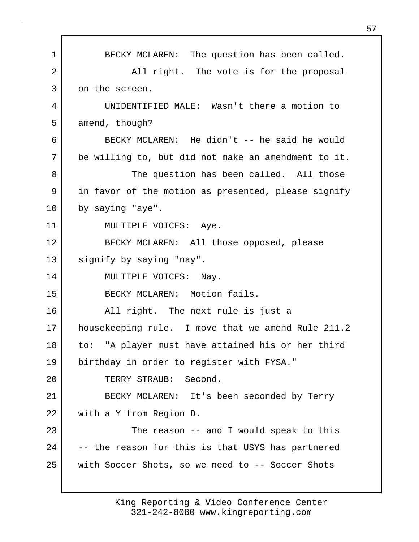1 BECKY MCLAREN: The question has been called. 2 | All right. The vote is for the proposal 3 on the screen. 4 UNIDENTIFIED MALE: Wasn't there a motion to 5 amend, though? 6 BECKY MCLAREN: He didn't -- he said he would 7 be willing to, but did not make an amendment to it. 8 The question has been called. All those 9 in favor of the motion as presented, please signify 10 by saying "aye". 11 | MULTIPLE VOICES: Aye. 12 BECKY MCLAREN: All those opposed, please 13 signify by saying "nay". 14 MULTIPLE VOICES: Nay. 15 BECKY MCLAREN: Motion fails. 16 All right. The next rule is just a 17 housekeeping rule. I move that we amend Rule 211.2 18 to: "A player must have attained his or her third 19 birthday in order to register with FYSA." 20 TERRY STRAUB: Second. 21 BECKY MCLAREN: It's been seconded by Terry 22 with a Y from Region D. 23 | The reason -- and I would speak to this 24 -- the reason for this is that USYS has partnered 25 with Soccer Shots, so we need to -- Soccer Shots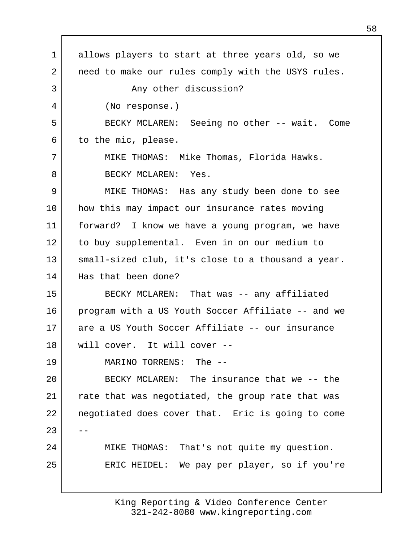1 allows players to start at three years old, so we 2 | need to make our rules comply with the USYS rules. 3 Any other discussion? 4 (No response.) 5 BECKY MCLAREN: Seeing no other -- wait. Come 6 to the mic, please. 7 MIKE THOMAS: Mike Thomas, Florida Hawks. 8 BECKY MCLAREN: Yes. 9 MIKE THOMAS: Has any study been done to see 10 | how this may impact our insurance rates moving 11 forward? I know we have a young program, we have 12 to buy supplemental. Even in on our medium to 13 | small-sized club, it's close to a thousand a year. 14 | Has that been done? 15 BECKY MCLAREN: That was -- any affiliated 16 program with a US Youth Soccer Affiliate -- and we 17 are a US Youth Soccer Affiliate -- our insurance 18 will cover. It will cover -- 19 MARINO TORRENS: The -- 20 BECKY MCLAREN: The insurance that we -- the 21 | rate that was negotiated, the group rate that was 22 negotiated does cover that. Eric is going to come  $23$ 24 MIKE THOMAS: That's not quite my question. 25 ERIC HEIDEL: We pay per player, so if you're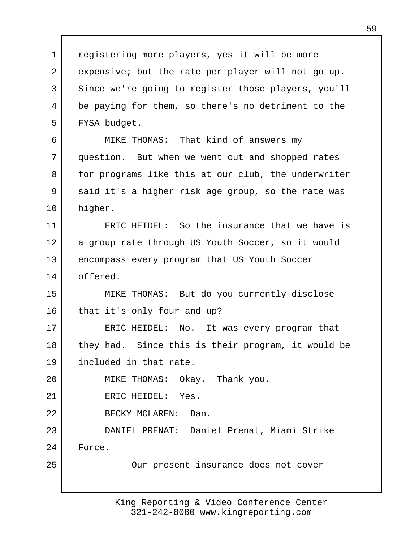1 | registering more players, yes it will be more 2 expensive; but the rate per player will not go up. 3 Since we're going to register those players, you'll 4 be paying for them, so there's no detriment to the 5 FYSA budget. 6 MIKE THOMAS: That kind of answers my 7 question. But when we went out and shopped rates 8 | for programs like this at our club, the underwriter 9 said it's a higher risk age group, so the rate was 10 higher. 11 ERIC HEIDEL: So the insurance that we have is 12 | a group rate through US Youth Soccer, so it would 13 encompass every program that US Youth Soccer 14 offered. 15 MIKE THOMAS: But do you currently disclose 16 that it's only four and up? 17 ERIC HEIDEL: No. It was every program that 18 they had. Since this is their program, it would be 19 included in that rate. 20 MIKE THOMAS: Okay. Thank you. 21 ERIC HEIDEL: Yes. 22 BECKY MCLAREN: Dan. 23 DANIEL PRENAT: Daniel Prenat, Miami Strike 24 Force. 25 | Cur present insurance does not cover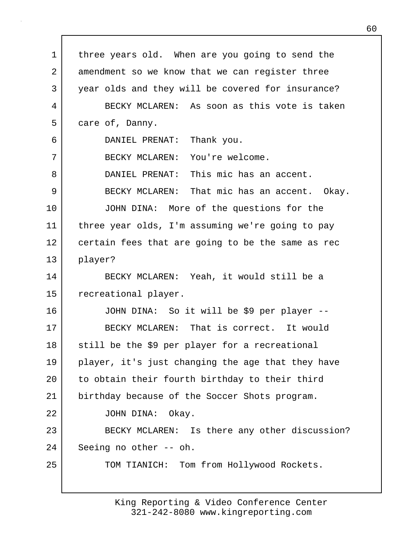1 | three years old. When are you going to send the 2 amendment so we know that we can register three 3 year olds and they will be covered for insurance? 4 BECKY MCLAREN: As soon as this vote is taken 5 care of, Danny. 6 DANIEL PRENAT: Thank you. 7 BECKY MCLAREN: You're welcome. 8 DANIEL PRENAT: This mic has an accent. 9 BECKY MCLAREN: That mic has an accent. Okay. 10 JOHN DINA: More of the questions for the 11 three year olds, I'm assuming we're going to pay 12 certain fees that are going to be the same as rec 13 player? 14 BECKY MCLAREN: Yeah, it would still be a 15 | recreational player. 16 JOHN DINA: So it will be \$9 per player -- 17 BECKY MCLAREN: That is correct. It would 18 | still be the \$9 per player for a recreational 19 player, it's just changing the age that they have 20 | to obtain their fourth birthday to their third 21 birthday because of the Soccer Shots program. 22 JOHN DINA: Okay. 23 BECKY MCLAREN: Is there any other discussion? 24 Seeing no other -- oh. 25 | TOM TIANICH: Tom from Hollywood Rockets.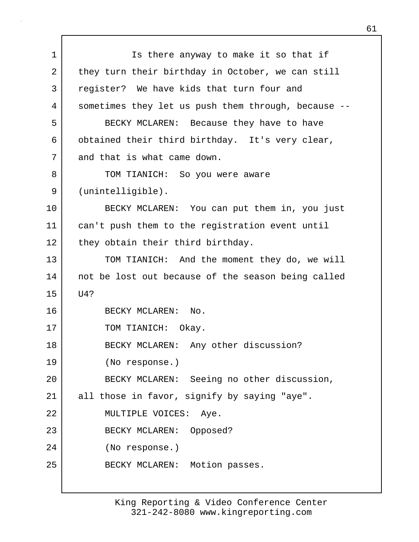1 Is there anyway to make it so that if 2 they turn their birthday in October, we can still 3 register? We have kids that turn four and 4 sometimes they let us push them through, because -- 5 BECKY MCLAREN: Because they have to have 6 | obtained their third birthday. It's very clear, 7 and that is what came down. 8 TOM TIANICH: So you were aware 9 (unintelligible). 10 BECKY MCLAREN: You can put them in, you just 11 can't push them to the registration event until 12 they obtain their third birthday. 13 TOM TIANICH: And the moment they do, we will 14 | not be lost out because of the season being called 15 U4? 16 BECKY MCLAREN: No. 17 | TOM TIANICH: Okay. 18 BECKY MCLAREN: Any other discussion? 19 (No response.) 20 BECKY MCLAREN: Seeing no other discussion, 21 all those in favor, signify by saying "aye". 22 | MULTIPLE VOICES: Aye. 23 BECKY MCLAREN: Opposed? 24 (No response.) 25 | BECKY MCLAREN: Motion passes.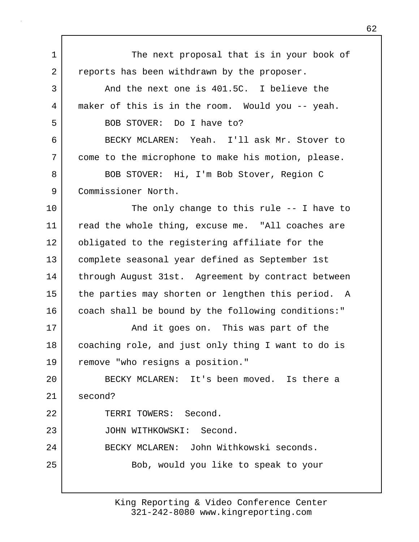1 The next proposal that is in your book of 2 reports has been withdrawn by the proposer. 3 And the next one is 401.5C. I believe the 4 maker of this is in the room. Would you -- yeah. 5 BOB STOVER: Do I have to? 6 BECKY MCLAREN: Yeah. I'll ask Mr. Stover to 7 come to the microphone to make his motion, please. 8 BOB STOVER: Hi, I'm Bob Stover, Region C 9 Commissioner North. 10 The only change to this rule -- I have to 11 read the whole thing, excuse me. "All coaches are 12 obligated to the registering affiliate for the 13 complete seasonal year defined as September 1st 14 | through August 31st. Agreement by contract between 15 the parties may shorten or lengthen this period. A 16 coach shall be bound by the following conditions:" 17 | This was part of the and it goes on. This was part of the 18 coaching role, and just only thing I want to do is 19 remove "who resigns a position." 20 BECKY MCLAREN: It's been moved. Is there a 21 second? 22 TERRI TOWERS: Second. 23 JOHN WITHKOWSKI: Second. 24 BECKY MCLAREN: John Withkowski seconds. 25 | Bob, would you like to speak to your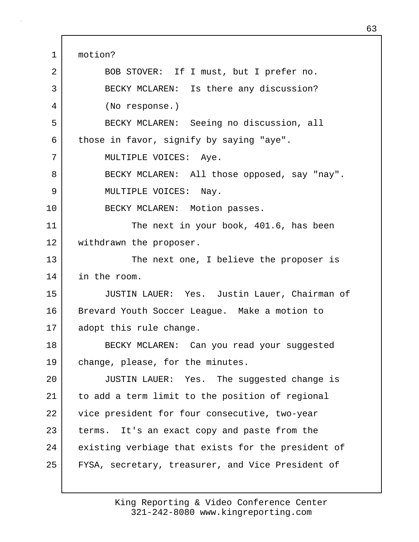1 motion? 2 BOB STOVER: If I must, but I prefer no. 3 BECKY MCLAREN: Is there any discussion? 4 (No response.) 5 BECKY MCLAREN: Seeing no discussion, all 6 those in favor, signify by saying "aye". 7 | MULTIPLE VOICES: Aye. 8 BECKY MCLAREN: All those opposed, say "nay". 9 | MULTIPLE VOICES: Nay. 10 BECKY MCLAREN: Motion passes. 11 The next in your book, 401.6, has been 12 | withdrawn the proposer. 13 The next one, I believe the proposer is 14 in the room. 15 JUSTIN LAUER: Yes. Justin Lauer, Chairman of 16 Brevard Youth Soccer League. Make a motion to 17 adopt this rule change. 18 BECKY MCLAREN: Can you read your suggested 19 change, please, for the minutes. 20 JUSTIN LAUER: Yes. The suggested change is 21 to add a term limit to the position of regional 22 vice president for four consecutive, two-year 23 terms. It's an exact copy and paste from the 24 existing verbiage that exists for the president of 25 | FYSA, secretary, treasurer, and Vice President of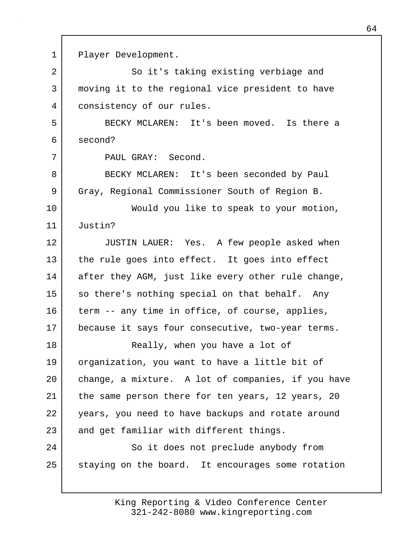1 Player Development. 2 So it's taking existing verbiage and 3 moving it to the regional vice president to have 4 consistency of our rules. 5 BECKY MCLAREN: It's been moved. Is there a 6 second? 7 PAUL GRAY: Second. 8 BECKY MCLAREN: It's been seconded by Paul 9 Gray, Regional Commissioner South of Region B. 10 Would you like to speak to your motion, 11 Justin? 12 JUSTIN LAUER: Yes. A few people asked when 13 the rule goes into effect. It goes into effect 14 after they AGM, just like every other rule change, 15 so there's nothing special on that behalf. Any 16 term -- any time in office, of course, applies, 17 because it says four consecutive, two-year terms. 18 | Really, when you have a lot of 19 organization, you want to have a little bit of 20 | change, a mixture. A lot of companies, if you have 21 | the same person there for ten years, 12 years, 20 22 years, you need to have backups and rotate around 23 and get familiar with different things. 24 So it does not preclude anybody from 25 staying on the board. It encourages some rotation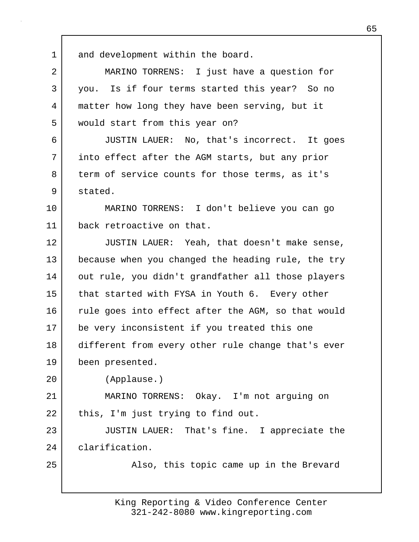1 and development within the board.

| 2              | MARINO TORRENS: I just have a question for     |
|----------------|------------------------------------------------|
| 3 <sup>1</sup> | you. Is if four terms started this year? So no |
| 4              | matter how long they have been serving, but it |
| 5              | would start from this year on?                 |
| 6              | JUSTIN LAUER: No, that's incorrect. It goes    |

7 into effect after the AGM starts, but any prior 8 term of service counts for those terms, as it's 9 stated.

10 MARINO TORRENS: I don't believe you can go 11 back retroactive on that.

12 JUSTIN LAUER: Yeah, that doesn't make sense, 13 because when you changed the heading rule, the try 14 out rule, you didn't grandfather all those players 15 that started with FYSA in Youth 6. Every other 16 | rule goes into effect after the AGM, so that would 17 be very inconsistent if you treated this one 18 different from every other rule change that's ever 19 been presented.

20 (Applause.)

21 MARINO TORRENS: Okay. I'm not arguing on 22 | this, I'm just trying to find out.

23 JUSTIN LAUER: That's fine. I appreciate the 24 clarification.

25 | Also, this topic came up in the Brevard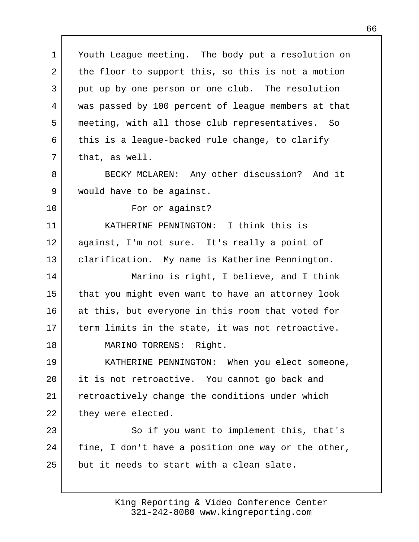1 Youth League meeting. The body put a resolution on 2 the floor to support this, so this is not a motion 3 | put up by one person or one club. The resolution 4 was passed by 100 percent of league members at that 5 meeting, with all those club representatives. So 6 this is a league-backed rule change, to clarify 7 | that, as well. 8 BECKY MCLAREN: Any other discussion? And it 9 would have to be against. 10 For or against? 11 KATHERINE PENNINGTON: I think this is 12 against, I'm not sure. It's really a point of 13 | clarification. My name is Katherine Pennington. 14 Marino is right, I believe, and I think 15 that you might even want to have an attorney look 16 at this, but everyone in this room that voted for 17 | term limits in the state, it was not retroactive. 18 MARINO TORRENS: Right. 19 KATHERINE PENNINGTON: When you elect someone, 20 it is not retroactive. You cannot go back and 21 retroactively change the conditions under which 22 they were elected. 23 So if you want to implement this, that's 24 | fine, I don't have a position one way or the other, 25 but it needs to start with a clean slate.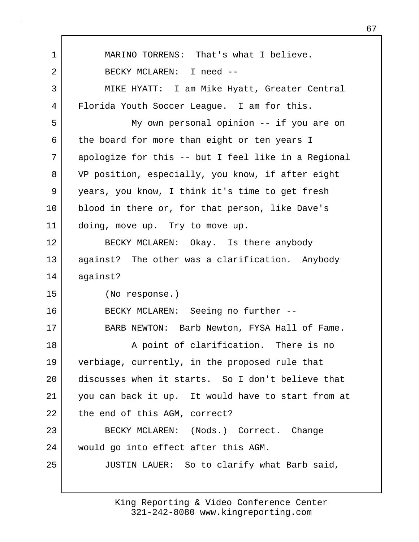1 MARINO TORRENS: That's what I believe. 2 BECKY MCLAREN: I need -- 3 MIKE HYATT: I am Mike Hyatt, Greater Central 4 Florida Youth Soccer League. I am for this. 5 My own personal opinion -- if you are on 6 the board for more than eight or ten years I 7 apologize for this -- but I feel like in a Regional 8 VP position, especially, you know, if after eight 9 years, you know, I think it's time to get fresh 10 | blood in there or, for that person, like Dave's 11 doing, move up. Try to move up. 12 BECKY MCLAREN: Okay. Is there anybody 13 against? The other was a clarification. Anybody 14 against? 15 (No response.) 16 BECKY MCLAREN: Seeing no further -- 17 BARB NEWTON: Barb Newton, FYSA Hall of Fame. 18 A point of clarification. There is no 19 verbiage, currently, in the proposed rule that 20 discusses when it starts. So I don't believe that 21 you can back it up. It would have to start from at 22 the end of this AGM, correct? 23 BECKY MCLAREN: (Nods.) Correct. Change 24 would go into effect after this AGM. 25 JUSTIN LAUER: So to clarify what Barb said,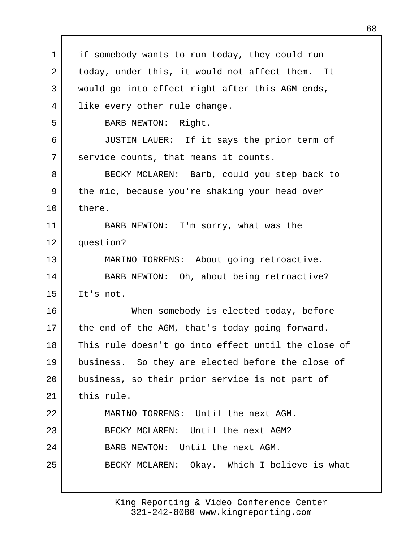1 | if somebody wants to run today, they could run 2 today, under this, it would not affect them. It 3 would go into effect right after this AGM ends, 4 like every other rule change. 5 BARB NEWTON: Right. 6 JUSTIN LAUER: If it says the prior term of 7 | service counts, that means it counts. 8 BECKY MCLAREN: Barb, could you step back to 9 the mic, because you're shaking your head over 10 there. 11 BARB NEWTON: I'm sorry, what was the 12 question? 13 MARINO TORRENS: About going retroactive. 14 BARB NEWTON: Oh, about being retroactive? 15 It's not. 16 When somebody is elected today, before 17 the end of the AGM, that's today going forward. 18 This rule doesn't go into effect until the close of 19 business. So they are elected before the close of 20 business, so their prior service is not part of 21 this rule. 22 MARINO TORRENS: Until the next AGM. 23 BECKY MCLAREN: Until the next AGM? 24 BARB NEWTON: Until the next AGM. 25 BECKY MCLAREN: Okay. Which I believe is what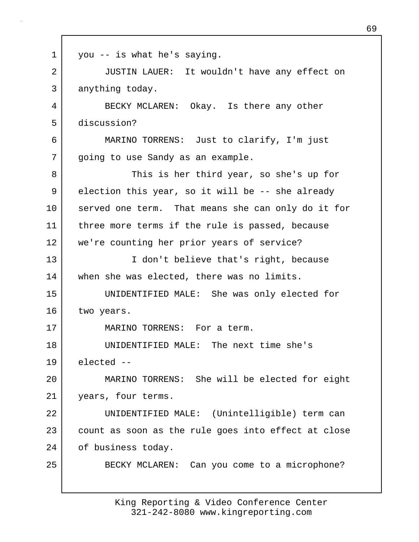| $\mathbf 1$ | you -- is what he's saying.                         |
|-------------|-----------------------------------------------------|
| 2           | JUSTIN LAUER: It wouldn't have any effect on        |
| 3           | anything today.                                     |
| 4           | BECKY MCLAREN: Okay. Is there any other             |
| 5           | discussion?                                         |
| 6           | MARINO TORRENS: Just to clarify, I'm just           |
| 7           | going to use Sandy as an example.                   |
| 8           | This is her third year, so she's up for             |
| 9           | election this year, so it will be -- she already    |
| 10          | served one term. That means she can only do it for  |
| 11          | three more terms if the rule is passed, because     |
| 12          | we're counting her prior years of service?          |
| 13          | I don't believe that's right, because               |
| 14          | when she was elected, there was no limits.          |
| 15          | UNIDENTIFIED MALE: She was only elected for         |
| 16          | two years.                                          |
| 17          | MARINO TORRENS: For a term.                         |
| 18          | UNIDENTIFIED MALE: The next time she's              |
| 19          | elected --                                          |
| 20          | MARINO TORRENS: She will be elected for eight       |
| 21          | years, four terms.                                  |
| 22          | UNIDENTIFIED MALE: (Unintelligible) term can        |
| 23          | count as soon as the rule goes into effect at close |
| 24          | of business today.                                  |
| 25          | BECKY MCLAREN: Can you come to a microphone?        |
|             |                                                     |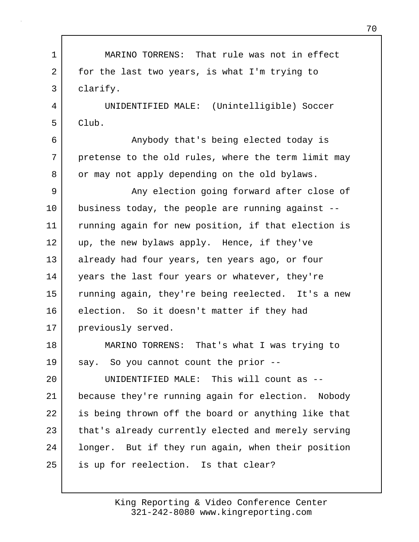| $\mathbf 1$ | MARINO TORRENS: That rule was not in effect         |
|-------------|-----------------------------------------------------|
| 2           | for the last two years, is what I'm trying to       |
| 3           | clarify.                                            |
| 4           | UNIDENTIFIED MALE: (Unintelligible) Soccer          |
| 5           | Club.                                               |
| 6           | Anybody that's being elected today is               |
| 7           | pretense to the old rules, where the term limit may |
| 8           | or may not apply depending on the old bylaws.       |
| 9           | Any election going forward after close of           |
| 10          | business today, the people are running against --   |
| 11          | running again for new position, if that election is |
| 12          | up, the new bylaws apply. Hence, if they've         |
| 13          | already had four years, ten years ago, or four      |
| 14          | years the last four years or whatever, they're      |
| 15          | running again, they're being reelected. It's a new  |
| 16          | election. So it doesn't matter if they had          |
| 17          | previously served.                                  |
| 18          | MARINO TORRENS: That's what I was trying to         |
| 19          | say. So you cannot count the prior --               |
| 20          | UNIDENTIFIED MALE: This will count as --            |
| 21          | because they're running again for election. Nobody  |
| 22          | is being thrown off the board or anything like that |
| 23          | that's already currently elected and merely serving |
| 24          | longer. But if they run again, when their position  |
| 25          | is up for reelection. Is that clear?                |
|             |                                                     |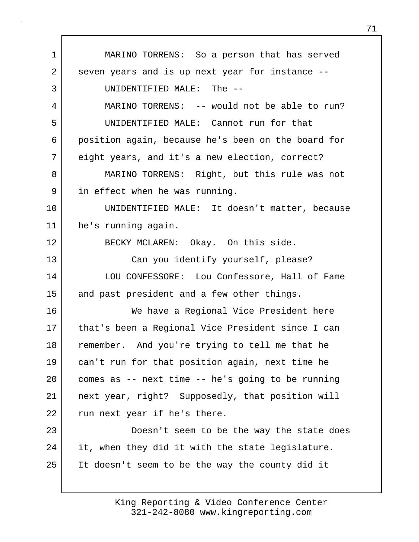1 MARINO TORRENS: So a person that has served 2 seven years and is up next year for instance --3 UNIDENTIFIED MALE: The -- 4 MARINO TORRENS: -- would not be able to run? 5 UNIDENTIFIED MALE: Cannot run for that 6 position again, because he's been on the board for 7 eight years, and it's a new election, correct? 8 MARINO TORRENS: Right, but this rule was not 9 in effect when he was running. 10 UNIDENTIFIED MALE: It doesn't matter, because 11 he's running again. 12 BECKY MCLAREN: Okay. On this side. 13 Can you identify yourself, please? 14 LOU CONFESSORE: Lou Confessore, Hall of Fame 15 and past president and a few other things. 16 We have a Regional Vice President here 17 | that's been a Regional Vice President since I can 18 remember. And you're trying to tell me that he 19 can't run for that position again, next time he 20 comes as -- next time -- he's going to be running 21 next year, right? Supposedly, that position will 22 run next year if he's there. 23 Doesn't seem to be the way the state does 24 it, when they did it with the state legislature. 25 It doesn't seem to be the way the county did it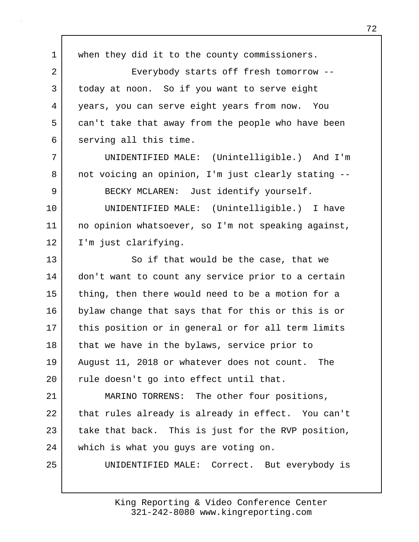1 | when they did it to the county commissioners. 2 Everybody starts off fresh tomorrow --3 today at noon. So if you want to serve eight 4 years, you can serve eight years from now. You 5 can't take that away from the people who have been 6 serving all this time. 7 UNIDENTIFIED MALE: (Unintelligible.) And I'm 8 not voicing an opinion, I'm just clearly stating --9 BECKY MCLAREN: Just identify yourself. 10 UNIDENTIFIED MALE: (Unintelligible.) I have 11 no opinion whatsoever, so I'm not speaking against, 12 | I'm just clarifying. 13 So if that would be the case, that we 14 | don't want to count any service prior to a certain 15 thing, then there would need to be a motion for a 16 bylaw change that says that for this or this is or 17 | this position or in general or for all term limits 18 | that we have in the bylaws, service prior to 19 August 11, 2018 or whatever does not count. The 20 | rule doesn't go into effect until that. 21 MARINO TORRENS: The other four positions, 22 that rules already is already in effect. You can't 23 take that back. This is just for the RVP position, 24 which is what you guys are voting on. 25 UNIDENTIFIED MALE: Correct. But everybody is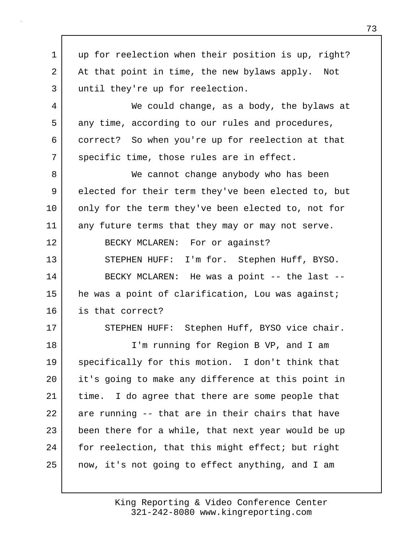1 | up for reelection when their position is up, right? 2 At that point in time, the new bylaws apply. Not 3 until they're up for reelection. 4 We could change, as a body, the bylaws at 5 any time, according to our rules and procedures, 6 correct? So when you're up for reelection at that 7 | specific time, those rules are in effect. 8 We cannot change anybody who has been 9 elected for their term they've been elected to, but 10 only for the term they've been elected to, not for 11 any future terms that they may or may not serve. 12 BECKY MCLAREN: For or against? 13 STEPHEN HUFF: I'm for. Stephen Huff, BYSO. 14 BECKY MCLAREN: He was a point -- the last --15 he was a point of clarification, Lou was against; 16 is that correct? 17 | STEPHEN HUFF: Stephen Huff, BYSO vice chair. 18 I'm running for Region B VP, and I am 19 specifically for this motion. I don't think that 20 it's going to make any difference at this point in 21 time. I do agree that there are some people that 22 are running -- that are in their chairs that have 23 been there for a while, that next year would be up 24 | for reelection, that this might effect; but right 25 now, it's not going to effect anything, and I am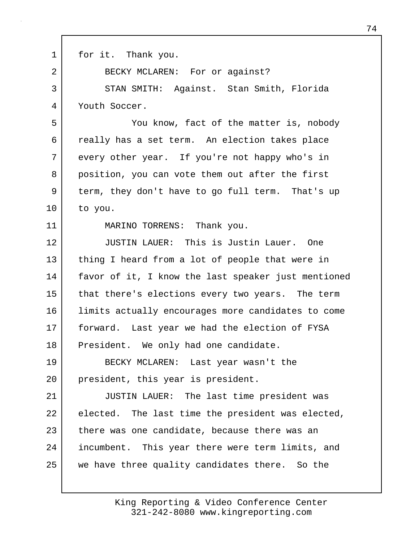1 for it. Thank you. 2 BECKY MCLAREN: For or against? 3 STAN SMITH: Against. Stan Smith, Florida 4 Youth Soccer. 5 You know, fact of the matter is, nobody 6 really has a set term. An election takes place 7 every other year. If you're not happy who's in 8 position, you can vote them out after the first 9 term, they don't have to go full term. That's up 10 to you. 11 MARINO TORRENS: Thank you. 12 JUSTIN LAUER: This is Justin Lauer. One 13 | thing I heard from a lot of people that were in 14 favor of it, I know the last speaker just mentioned 15 that there's elections every two years. The term 16 limits actually encourages more candidates to come 17 | forward. Last year we had the election of FYSA 18 President. We only had one candidate. 19 BECKY MCLAREN: Last year wasn't the 20 president, this year is president. 21 JUSTIN LAUER: The last time president was 22 elected. The last time the president was elected, 23 there was one candidate, because there was an 24 incumbent. This year there were term limits, and 25 we have three quality candidates there. So the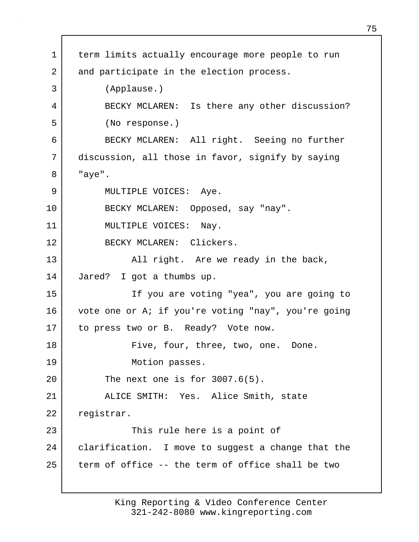1 term limits actually encourage more people to run 2 and participate in the election process. 3 (Applause.) 4 BECKY MCLAREN: Is there any other discussion? 5 (No response.) 6 BECKY MCLAREN: All right. Seeing no further 7 discussion, all those in favor, signify by saying 8 "aye". 9 | MULTIPLE VOICES: Aye. 10 BECKY MCLAREN: Opposed, say "nay". 11 | MULTIPLE VOICES: Nay. 12 BECKY MCLAREN: Clickers. 13 | All right. Are we ready in the back, 14 Jared? I got a thumbs up. 15 If you are voting "yea", you are going to 16 vote one or A; if you're voting "nay", you're going 17 to press two or B. Ready? Vote now. 18 Five, four, three, two, one. Done. 19 Motion passes. 20 The next one is for 3007.6(5). 21 ALICE SMITH: Yes. Alice Smith, state 22 registrar. 23 This rule here is a point of 24 | clarification. I move to suggest a change that the 25 term of office -- the term of office shall be two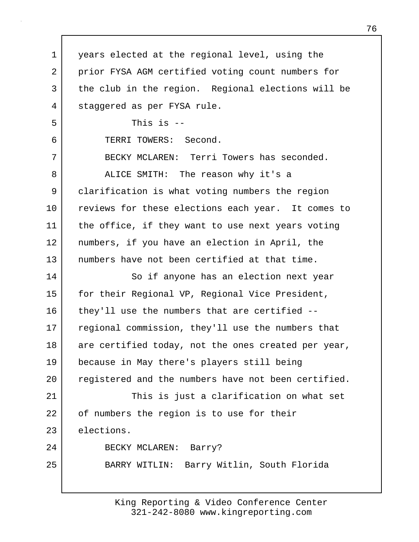1 years elected at the regional level, using the 2 | prior FYSA AGM certified voting count numbers for 3 the club in the region. Regional elections will be 4 staggered as per FYSA rule.  $5$  This is  $-$ 6 TERRI TOWERS: Second. 7 BECKY MCLAREN: Terri Towers has seconded. 8 ALICE SMITH: The reason why it's a 9 clarification is what voting numbers the region 10 reviews for these elections each year. It comes to 11 | the office, if they want to use next years voting 12 numbers, if you have an election in April, the 13 numbers have not been certified at that time. 14 So if anyone has an election next year 15 | for their Regional VP, Regional Vice President, 16 they'll use the numbers that are certified --17 regional commission, they'll use the numbers that 18 are certified today, not the ones created per year, 19 because in May there's players still being 20 registered and the numbers have not been certified. 21 This is just a clarification on what set 22 of numbers the region is to use for their 23 elections. 24 BECKY MCLAREN: Barry? 25 BARRY WITLIN: Barry Witlin, South Florida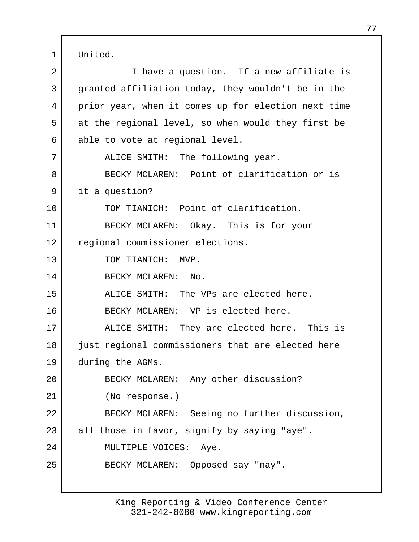1 United.

| 2  | I have a question. If a new affiliate is            |
|----|-----------------------------------------------------|
| 3  | granted affiliation today, they wouldn't be in the  |
| 4  | prior year, when it comes up for election next time |
| 5  | at the regional level, so when would they first be  |
| 6  | able to vote at regional level.                     |
| 7  | ALICE SMITH: The following year.                    |
| 8  | BECKY MCLAREN: Point of clarification or is         |
| 9  | it a question?                                      |
| 10 | TOM TIANICH: Point of clarification.                |
| 11 | BECKY MCLAREN: Okay. This is for your               |
| 12 | regional commissioner elections.                    |
| 13 | TOM TIANICH: MVP.                                   |
| 14 | BECKY MCLAREN: No.                                  |
| 15 | ALICE SMITH: The VPs are elected here.              |
| 16 | BECKY MCLAREN: VP is elected here.                  |
| 17 | ALICE SMITH: They are elected here. This is         |
| 18 | just regional commissioners that are elected here   |
| 19 | during the AGMs.                                    |
| 20 | BECKY MCLAREN: Any other discussion?                |
| 21 | (No response.)                                      |
| 22 | BECKY MCLAREN: Seeing no further discussion,        |
| 23 | all those in favor, signify by saying "aye".        |
| 24 | MULTIPLE VOICES: Aye.                               |
| 25 | BECKY MCLAREN: Opposed say "nay".                   |
|    |                                                     |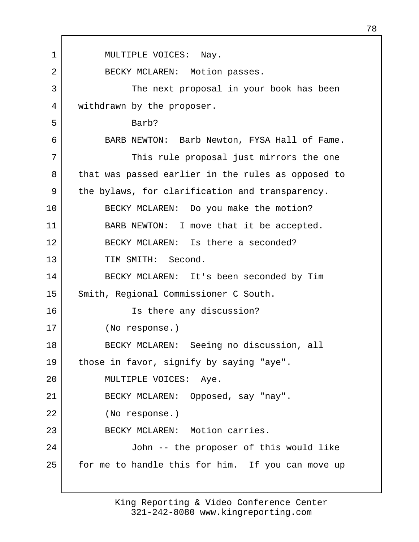1 | MULTIPLE VOICES: Nay. 2 BECKY MCLAREN: Motion passes. 3 The next proposal in your book has been 4 withdrawn by the proposer. 5 Barb? 6 BARB NEWTON: Barb Newton, FYSA Hall of Fame. 7 | This rule proposal just mirrors the one 8 that was passed earlier in the rules as opposed to 9 | the bylaws, for clarification and transparency. 10 BECKY MCLAREN: Do you make the motion? 11 BARB NEWTON: I move that it be accepted. 12 BECKY MCLAREN: Is there a seconded? 13 TIM SMITH: Second. 14 BECKY MCLAREN: It's been seconded by Tim 15 Smith, Regional Commissioner C South. 16 Is there any discussion? 17 (No response.) 18 BECKY MCLAREN: Seeing no discussion, all 19 those in favor, signify by saying "aye". 20 MULTIPLE VOICES: Aye. 21 BECKY MCLAREN: Opposed, say "nay". 22 (No response.) 23 BECKY MCLAREN: Motion carries. 24 John -- the proposer of this would like 25 | for me to handle this for him. If you can move up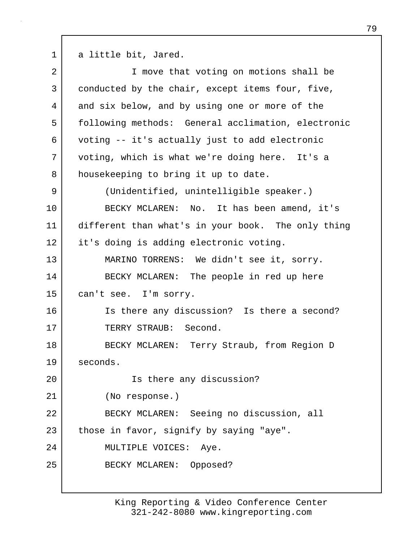1 a little bit, Jared.

| $\overline{2}$ | I move that voting on motions shall be             |
|----------------|----------------------------------------------------|
| 3              | conducted by the chair, except items four, five,   |
| 4              | and six below, and by using one or more of the     |
| 5              | following methods: General acclimation, electronic |
| 6              | voting -- it's actually just to add electronic     |
| 7              | voting, which is what we're doing here. It's a     |
| 8              | housekeeping to bring it up to date.               |
| 9              | (Unidentified, unintelligible speaker.)            |
| 10             | BECKY MCLAREN: No. It has been amend, it's         |
| 11             | different than what's in your book. The only thing |
| 12             | it's doing is adding electronic voting.            |
| 13             | MARINO TORRENS: We didn't see it, sorry.           |
| 14             | BECKY MCLAREN: The people in red up here           |
| 15             | can't see. I'm sorry.                              |
| 16             | Is there any discussion? Is there a second?        |
| 17             | TERRY STRAUB: Second.                              |
| 18             | BECKY MCLAREN: Terry Straub, from Region D         |
| 19             | seconds.                                           |
| 20             | Is there any discussion?                           |
| 21             | (No response.)                                     |
| 22             | BECKY MCLAREN: Seeing no discussion, all           |
| 23             | those in favor, signify by saying "aye".           |
| 24             | MULTIPLE VOICES: Aye.                              |
| 25             | BECKY MCLAREN: Opposed?                            |
|                |                                                    |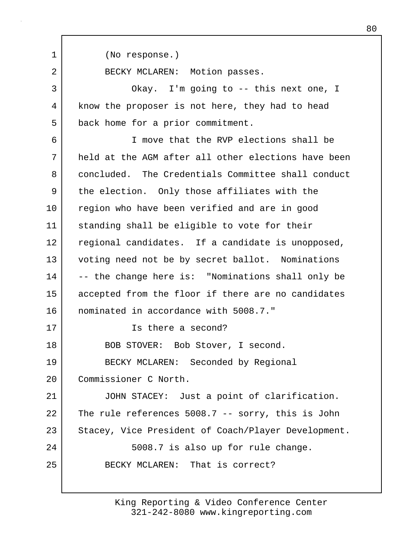1 (No response.) 2 BECKY MCLAREN: Motion passes. 3 Okay. I'm going to -- this next one, I 4 know the proposer is not here, they had to head 5 back home for a prior commitment. 6 I move that the RVP elections shall be 7 held at the AGM after all other elections have been 8 concluded. The Credentials Committee shall conduct 9 the election. Only those affiliates with the 10 region who have been verified and are in good 11 standing shall be eligible to vote for their 12 regional candidates. If a candidate is unopposed, 13 voting need not be by secret ballot. Nominations 14 -- the change here is: "Nominations shall only be 15 accepted from the floor if there are no candidates 16 nominated in accordance with 5008.7." 17 Is there a second? 18 BOB STOVER: Bob Stover, I second. 19 BECKY MCLAREN: Seconded by Regional 20 Commissioner C North. 21 JOHN STACEY: Just a point of clarification. 22 The rule references 5008.7 -- sorry, this is John 23 Stacey, Vice President of Coach/Player Development. 24 | S008.7 is also up for rule change. 25 BECKY MCLAREN: That is correct?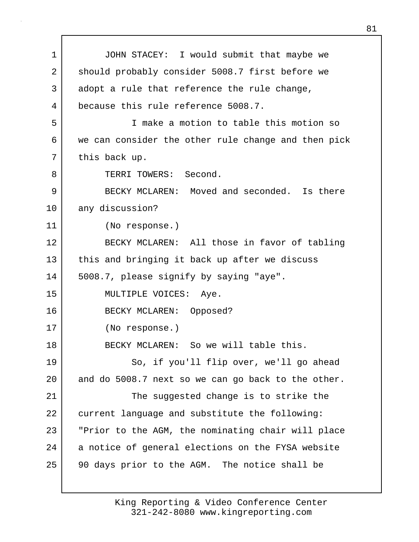1 JOHN STACEY: I would submit that maybe we 2 should probably consider 5008.7 first before we 3 adopt a rule that reference the rule change, 4 because this rule reference 5008.7. 5 I make a motion to table this motion so 6 we can consider the other rule change and then pick 7 | this back up. 8 TERRI TOWERS: Second. 9 BECKY MCLAREN: Moved and seconded. Is there 10 any discussion? 11 (No response.) 12 BECKY MCLAREN: All those in favor of tabling 13 this and bringing it back up after we discuss 14 | 5008.7, please signify by saying "aye". 15 | MULTIPLE VOICES: Aye. 16 BECKY MCLAREN: Opposed? 17 (No response.) 18 BECKY MCLAREN: So we will table this. 19 So, if you'll flip over, we'll go ahead 20 and do 5008.7 next so we can go back to the other. 21 The suggested change is to strike the 22 current language and substitute the following: 23 "Prior to the AGM, the nominating chair will place 24 a notice of general elections on the FYSA website 25 90 days prior to the AGM. The notice shall be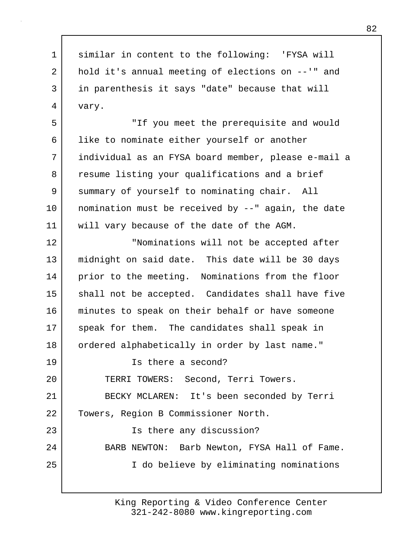1 similar in content to the following: 'FYSA will 2 | hold it's annual meeting of elections on --'" and 3 in parenthesis it says "date" because that will 4 vary. 5 "If you meet the prerequisite and would 6 | like to nominate either yourself or another 7 individual as an FYSA board member, please e-mail a 8 resume listing your qualifications and a brief 9 summary of yourself to nominating chair. All 10 nomination must be received by --" again, the date 11 will vary because of the date of the AGM. 12 "Nominations will not be accepted after 13 midnight on said date. This date will be 30 days 14 prior to the meeting. Nominations from the floor 15 | shall not be accepted. Candidates shall have five 16 minutes to speak on their behalf or have someone 17 speak for them. The candidates shall speak in 18 | ordered alphabetically in order by last name." 19 Is there a second? 20 TERRI TOWERS: Second, Terri Towers. 21 BECKY MCLAREN: It's been seconded by Terri 22 Towers, Region B Commissioner North. 23 | Ts there any discussion? 24 BARB NEWTON: Barb Newton, FYSA Hall of Fame. 25 I do believe by eliminating nominations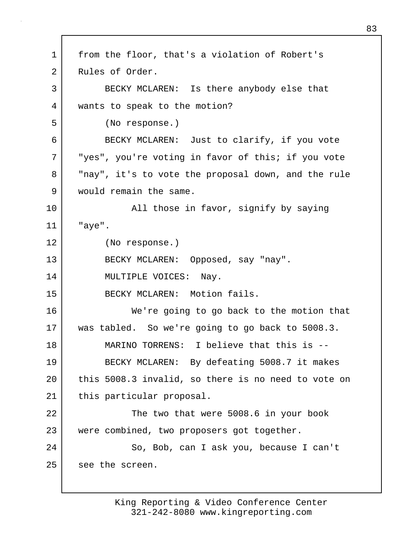1 from the floor, that's a violation of Robert's 2 Rules of Order. 3 BECKY MCLAREN: Is there anybody else that 4 wants to speak to the motion? 5 (No response.) 6 BECKY MCLAREN: Just to clarify, if you vote 7 "yes", you're voting in favor of this; if you vote 8 | "nay", it's to vote the proposal down, and the rule 9 would remain the same. 10 | The Solid those in favor, signify by saying 11 "aye". 12 (No response.) 13 BECKY MCLAREN: Opposed, say "nay". 14 MULTIPLE VOICES: Nay. 15 BECKY MCLAREN: Motion fails. 16 We're going to go back to the motion that 17 was tabled. So we're going to go back to 5008.3. 18 MARINO TORRENS: I believe that this is -- 19 BECKY MCLAREN: By defeating 5008.7 it makes 20 this 5008.3 invalid, so there is no need to vote on 21 | this particular proposal. 22 The two that were 5008.6 in your book 23 were combined, two proposers got together. 24 So, Bob, can I ask you, because I can't 25 see the screen.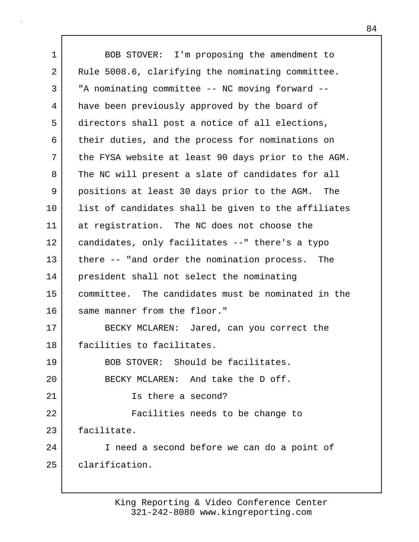1 BOB STOVER: I'm proposing the amendment to 2 Rule 5008.6, clarifying the nominating committee. 3 | "A nominating committee -- NC moving forward --4 have been previously approved by the board of 5 directors shall post a notice of all elections, 6 their duties, and the process for nominations on 7 the FYSA website at least 90 days prior to the AGM. 8 The NC will present a slate of candidates for all 9 positions at least 30 days prior to the AGM. The 10 list of candidates shall be given to the affiliates 11 at registration. The NC does not choose the 12 candidates, only facilitates --" there's a typo 13 there -- "and order the nomination process. The 14 president shall not select the nominating 15 committee. The candidates must be nominated in the 16 same manner from the floor." 17 BECKY MCLAREN: Jared, can you correct the 18 facilities to facilitates. 19 BOB STOVER: Should be facilitates. 20 BECKY MCLAREN: And take the D off. 21 Is there a second? 22 Facilities needs to be change to 23 facilitate. 24 I need a second before we can do a point of 25 clarification.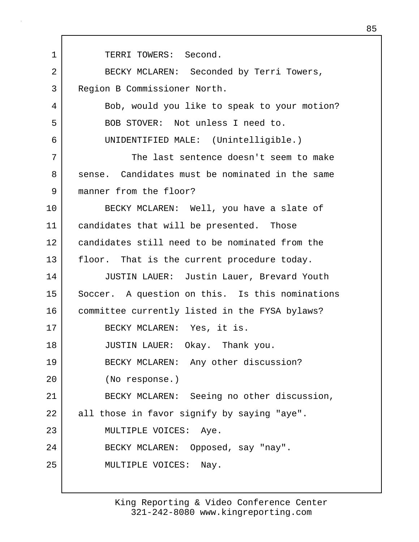1 | TERRI TOWERS: Second. 2 BECKY MCLAREN: Seconded by Terri Towers, 3 Region B Commissioner North. 4 Bob, would you like to speak to your motion? 5 BOB STOVER: Not unless I need to. 6 UNIDENTIFIED MALE: (Unintelligible.) 7 The last sentence doesn't seem to make 8 sense. Candidates must be nominated in the same 9 manner from the floor? 10 BECKY MCLAREN: Well, you have a slate of 11 | candidates that will be presented. Those 12 candidates still need to be nominated from the 13 floor. That is the current procedure today. 14 JUSTIN LAUER: Justin Lauer, Brevard Youth 15 Soccer. A question on this. Is this nominations 16 committee currently listed in the FYSA bylaws? 17 BECKY MCLAREN: Yes, it is. 18 JUSTIN LAUER: Okay. Thank you. 19 BECKY MCLAREN: Any other discussion? 20 (No response.) 21 BECKY MCLAREN: Seeing no other discussion, 22 all those in favor signify by saying "aye". 23 MULTIPLE VOICES: Aye. 24 BECKY MCLAREN: Opposed, say "nay". 25 MULTIPLE VOICES: Nay.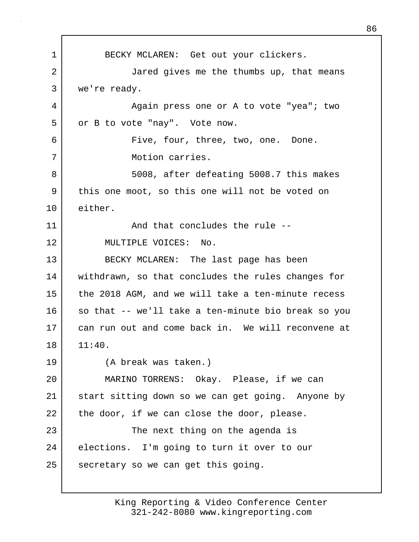1 BECKY MCLAREN: Get out your clickers. 2 Jared gives me the thumbs up, that means 3 we're ready. 4 Again press one or A to vote "yea"; two 5 or B to vote "nay". Vote now. 6 Five, four, three, two, one. Done. 7 Motion carries. 8 5008, after defeating 5008.7 this makes 9 this one moot, so this one will not be voted on 10 either. 11 and that concludes the rule --12 MULTIPLE VOICES: No. 13 BECKY MCLAREN: The last page has been 14 withdrawn, so that concludes the rules changes for 15 the 2018 AGM, and we will take a ten-minute recess 16 so that -- we'll take a ten-minute bio break so you 17 can run out and come back in. We will reconvene at  $18 \mid 11:40.$ 19 (A break was taken.) 20 MARINO TORRENS: Okay. Please, if we can 21 start sitting down so we can get going. Anyone by  $22$  the door, if we can close the door, please. 23 The next thing on the agenda is 24 elections. I'm going to turn it over to our 25 secretary so we can get this going.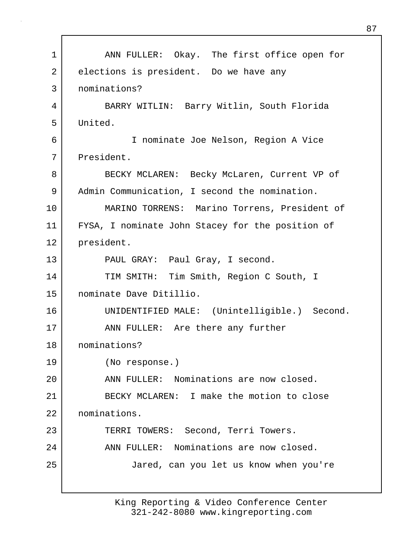| $\mathbf 1$    | ANN FULLER: Okay. The first office open for      |  |  |  |  |
|----------------|--------------------------------------------------|--|--|--|--|
| $\overline{2}$ | elections is president. Do we have any           |  |  |  |  |
| 3              | nominations?                                     |  |  |  |  |
| 4              | BARRY WITLIN: Barry Witlin, South Florida        |  |  |  |  |
| 5              | United.                                          |  |  |  |  |
| 6              | I nominate Joe Nelson, Region A Vice             |  |  |  |  |
| 7              | President.                                       |  |  |  |  |
| 8              | BECKY MCLAREN: Becky McLaren, Current VP of      |  |  |  |  |
| 9              | Admin Communication, I second the nomination.    |  |  |  |  |
| 10             | MARINO TORRENS: Marino Torrens, President of     |  |  |  |  |
| 11             | FYSA, I nominate John Stacey for the position of |  |  |  |  |
| 12             | president.                                       |  |  |  |  |
| 13             | PAUL GRAY: Paul Gray, I second.                  |  |  |  |  |
| 14             | TIM SMITH: Tim Smith, Region C South, I          |  |  |  |  |
| 15             | nominate Dave Ditillio.                          |  |  |  |  |
| 16             | UNIDENTIFIED MALE: (Unintelligible.) Second.     |  |  |  |  |
| 17             | ANN FULLER: Are there any further                |  |  |  |  |
| 18             | nominations?                                     |  |  |  |  |
| 19             | (No response.)                                   |  |  |  |  |
| 20             | ANN FULLER: Nominations are now closed.          |  |  |  |  |
| 21             | BECKY MCLAREN: I make the motion to close        |  |  |  |  |
| 22             | nominations.                                     |  |  |  |  |
| 23             | TERRI TOWERS: Second, Terri Towers.              |  |  |  |  |
| 24             | ANN FULLER: Nominations are now closed.          |  |  |  |  |
| 25             | Jared, can you let us know when you're           |  |  |  |  |
|                |                                                  |  |  |  |  |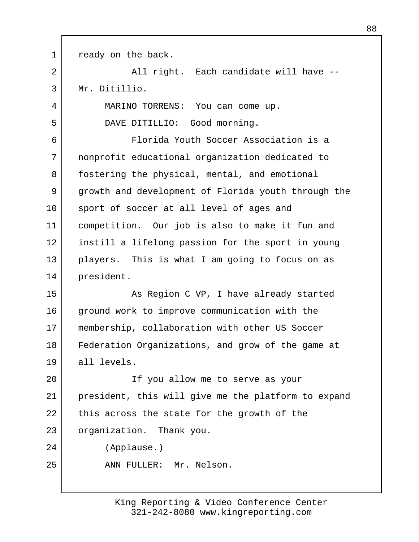1 ready on the back. 2 All right. Each candidate will have --3 Mr. Ditillio. 4 MARINO TORRENS: You can come up. 5 DAVE DITILLIO: Good morning. 6 Florida Youth Soccer Association is a 7 nonprofit educational organization dedicated to 8 | fostering the physical, mental, and emotional 9 growth and development of Florida youth through the 10 sport of soccer at all level of ages and 11 competition. Our job is also to make it fun and 12 instill a lifelong passion for the sport in young 13 players. This is what I am going to focus on as 14 president. 15 As Region C VP, I have already started 16 ground work to improve communication with the 17 | membership, collaboration with other US Soccer 18 Federation Organizations, and grow of the game at 19 all levels. 20 If you allow me to serve as your 21 president, this will give me the platform to expand 22 this across the state for the growth of the 23 organization. Thank you. 24 (Applause.) 25 ANN FULLER: Mr. Nelson.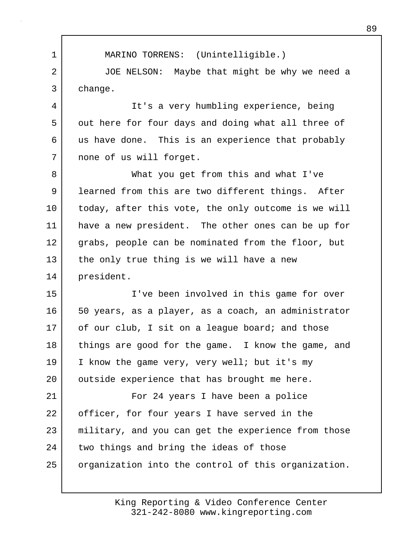1 MARINO TORRENS: (Unintelligible.) 2 JOE NELSON: Maybe that might be why we need a 3 change.

4 It's a very humbling experience, being 5 out here for four days and doing what all three of 6 us have done. This is an experience that probably 7 | none of us will forget.

8 What you get from this and what I've 9 learned from this are two different things. After 10 | today, after this vote, the only outcome is we will 11 have a new president. The other ones can be up for 12 grabs, people can be nominated from the floor, but 13 the only true thing is we will have a new 14 president.

15 I've been involved in this game for over 16 50 years, as a player, as a coach, an administrator 17 of our club, I sit on a league board; and those 18 things are good for the game. I know the game, and 19 I know the game very, very well; but it's my 20 | outside experience that has brought me here.

21 For 24 years I have been a police 22 officer, for four years I have served in the 23 | military, and you can get the experience from those 24 two things and bring the ideas of those 25 | organization into the control of this organization.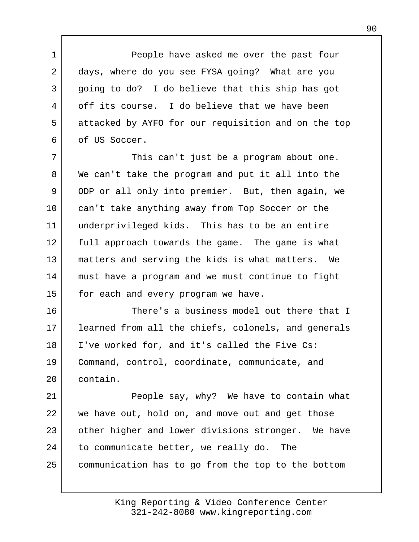1 People have asked me over the past four 2 days, where do you see FYSA going? What are you 3 going to do? I do believe that this ship has got 4 off its course. I do believe that we have been 5 attacked by AYFO for our requisition and on the top 6 of US Soccer.

7 | This can't just be a program about one. 8 We can't take the program and put it all into the 9 ODP or all only into premier. But, then again, we 10 can't take anything away from Top Soccer or the 11 underprivileged kids. This has to be an entire 12 full approach towards the game. The game is what 13 matters and serving the kids is what matters. We 14 must have a program and we must continue to fight 15 for each and every program we have.

16 There's a business model out there that I 17 learned from all the chiefs, colonels, and generals 18 | I've worked for, and it's called the Five Cs: 19 Command, control, coordinate, communicate, and 20 contain.

21 People say, why? We have to contain what 22 we have out, hold on, and move out and get those 23 other higher and lower divisions stronger. We have 24 to communicate better, we really do. The 25 communication has to go from the top to the bottom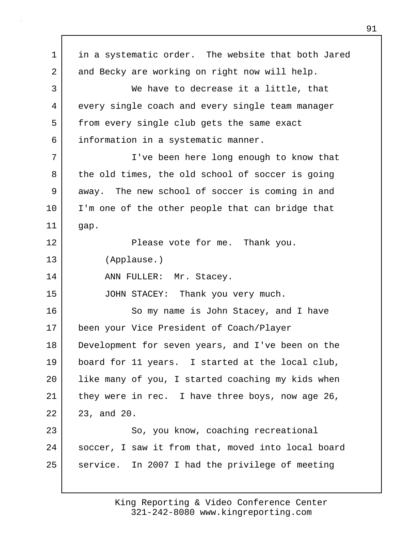1 in a systematic order. The website that both Jared 2 and Becky are working on right now will help. 3 We have to decrease it a little, that 4 every single coach and every single team manager 5 from every single club gets the same exact 6 information in a systematic manner. 7 I've been here long enough to know that 8 the old times, the old school of soccer is going 9 away. The new school of soccer is coming in and 10 I'm one of the other people that can bridge that 11 gap. 12 Please vote for me. Thank you. 13 (Applause.) 14 ANN FULLER: Mr. Stacey. 15 JOHN STACEY: Thank you very much. 16 So my name is John Stacey, and I have 17 been your Vice President of Coach/Player 18 Development for seven years, and I've been on the 19 board for 11 years. I started at the local club, 20 like many of you, I started coaching my kids when 21 | they were in rec. I have three boys, now age 26, 22 23, and 20. 23 So, you know, coaching recreational 24 | soccer, I saw it from that, moved into local board 25 | service. In 2007 I had the privilege of meeting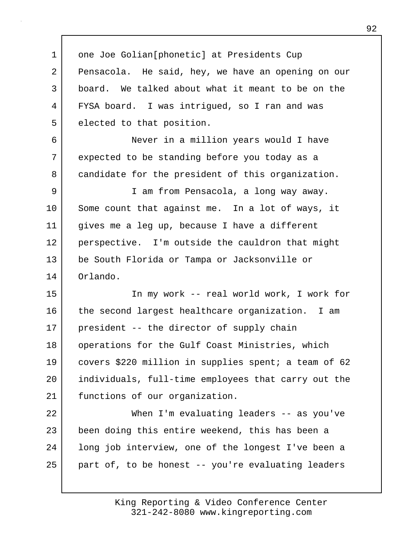1 one Joe Golian[phonetic] at Presidents Cup 2 Pensacola. He said, hey, we have an opening on our 3 board. We talked about what it meant to be on the 4 FYSA board. I was intrigued, so I ran and was 5 elected to that position. 6 Never in a million years would I have

7 expected to be standing before you today as a 8 candidate for the president of this organization.

9 I am from Pensacola, a long way away. 10 Some count that against me. In a lot of ways, it 11 gives me a leg up, because I have a different 12 perspective. I'm outside the cauldron that might 13 be South Florida or Tampa or Jacksonville or 14 Orlando.

15 In my work -- real world work, I work for 16 the second largest healthcare organization. I am 17 | president -- the director of supply chain 18 | operations for the Gulf Coast Ministries, which 19 covers \$220 million in supplies spent; a team of 62 20 individuals, full-time employees that carry out the 21 functions of our organization.

22 When I'm evaluating leaders -- as you've 23 been doing this entire weekend, this has been a 24 long job interview, one of the longest I've been a  $25$  part of, to be honest -- you're evaluating leaders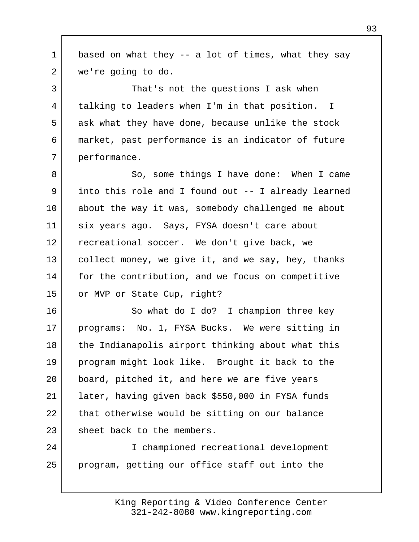1 based on what they -- a lot of times, what they say 2 we're going to do. 3 That's not the questions I ask when 4 talking to leaders when I'm in that position. I 5 ask what they have done, because unlike the stock 6 market, past performance is an indicator of future 7 performance. 8 So, some things I have done: When I came 9 into this role and I found out -- I already learned 10 about the way it was, somebody challenged me about 11 six years ago. Says, FYSA doesn't care about 12 recreational soccer. We don't give back, we 13 | collect money, we give it, and we say, hey, thanks 14 for the contribution, and we focus on competitive 15 or MVP or State Cup, right? 16 So what do I do? I champion three key 17 | programs: No. 1, FYSA Bucks. We were sitting in 18 the Indianapolis airport thinking about what this 19 program might look like. Brought it back to the 20 board, pitched it, and here we are five years 21 later, having given back \$550,000 in FYSA funds 22 that otherwise would be sitting on our balance 23 sheet back to the members. 24 I championed recreational development 25 program, getting our office staff out into the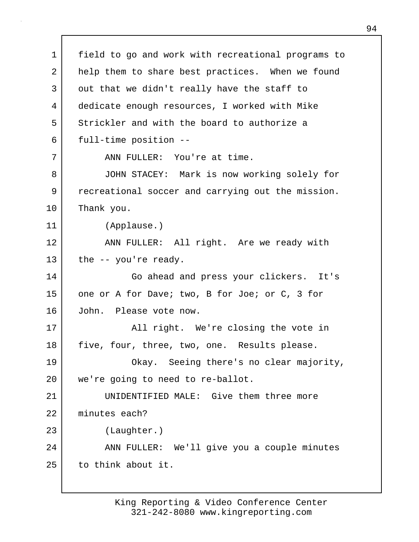1 field to go and work with recreational programs to 2 help them to share best practices. When we found 3 out that we didn't really have the staff to 4 dedicate enough resources, I worked with Mike 5 Strickler and with the board to authorize a 6 full-time position -- 7 ANN FULLER: You're at time. 8 JOHN STACEY: Mark is now working solely for 9 recreational soccer and carrying out the mission. 10 Thank you. 11 (Applause.) 12 ANN FULLER: All right. Are we ready with  $13$  the  $-$  you're ready. 14 Go ahead and press your clickers. It's 15 one or A for Dave; two, B for Joe; or C, 3 for 16 John. Please vote now. 17 | All right. We're closing the vote in 18 | five, four, three, two, one. Results please. 19 Okay. Seeing there's no clear majority, 20 | we're going to need to re-ballot. 21 UNIDENTIFIED MALE: Give them three more 22 minutes each? 23 (Laughter.) 24 | ANN FULLER: We'll give you a couple minutes 25 to think about it.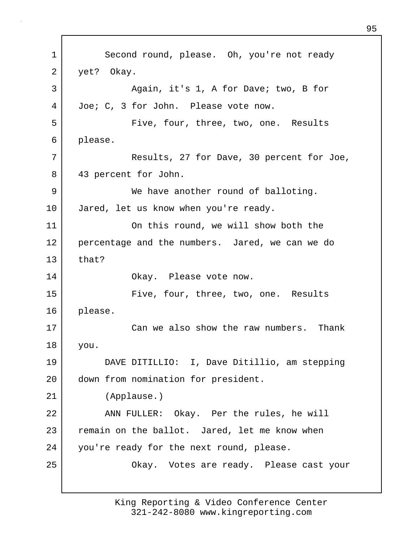1 Second round, please. Oh, you're not ready 2 yet? Okay. 3 Again, it's 1, A for Dave; two, B for 4 Joe; C, 3 for John. Please vote now. 5 | Five, four, three, two, one. Results 6 please. 7 Results, 27 for Dave, 30 percent for Joe, 8 43 percent for John. 9 We have another round of balloting. 10 Jared, let us know when you're ready. 11 On this round, we will show both the 12 percentage and the numbers. Jared, we can we do  $13$  that? 14 Okay. Please vote now. 15 Five, four, three, two, one. Results 16 please. 17 Can we also show the raw numbers. Thank 18 you. 19 DAVE DITILLIO: I, Dave Ditillio, am stepping 20 down from nomination for president. 21 (Applause.) 22 ANN FULLER: Okay. Per the rules, he will 23 remain on the ballot. Jared, let me know when 24 you're ready for the next round, please. 25 Okay. Votes are ready. Please cast your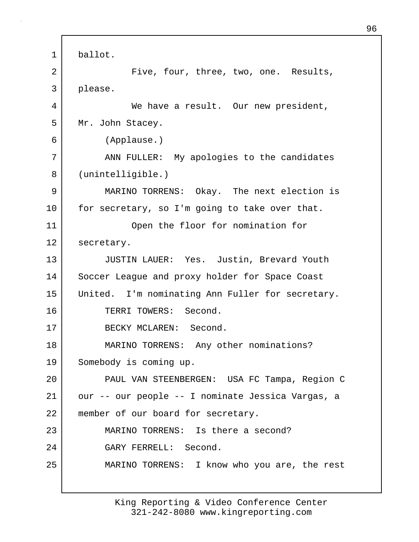1 ballot. 2 | Tive, four, three, two, one. Results, 3 please. 4 We have a result. Our new president, 5 Mr. John Stacey. 6 (Applause.) 7 | ANN FULLER: My apologies to the candidates 8 (unintelligible.) 9 MARINO TORRENS: Okay. The next election is 10 | for secretary, so I'm going to take over that. 11 Open the floor for nomination for 12 secretary. 13 JUSTIN LAUER: Yes. Justin, Brevard Youth 14 Soccer League and proxy holder for Space Coast 15 United. I'm nominating Ann Fuller for secretary. 16 TERRI TOWERS: Second. 17 BECKY MCLAREN: Second. 18 | MARINO TORRENS: Any other nominations? 19 Somebody is coming up. 20 PAUL VAN STEENBERGEN: USA FC Tampa, Region C 21 our -- our people -- I nominate Jessica Vargas, a 22 member of our board for secretary. 23 MARINO TORRENS: Is there a second? 24 GARY FERRELL: Second. 25 MARINO TORRENS: I know who you are, the rest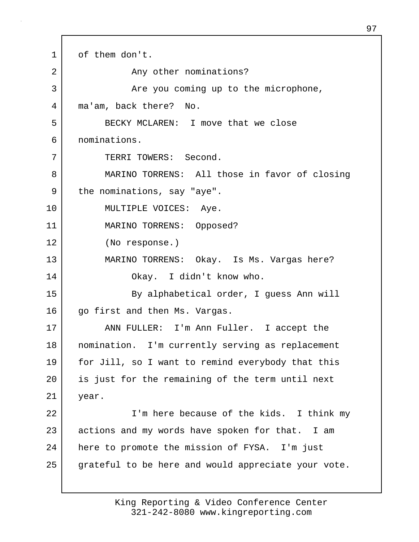1 of them don't. 2 Any other nominations? 3 Are you coming up to the microphone, 4 ma'am, back there? No. 5 BECKY MCLAREN: I move that we close 6 nominations. 7 I TERRI TOWERS: Second. 8 MARINO TORRENS: All those in favor of closing 9 the nominations, say "aye". 10 | MULTIPLE VOICES: Aye. 11 MARINO TORRENS: Opposed? 12 (No response.) 13 MARINO TORRENS: Okay. Is Ms. Vargas here? 14 Okay. I didn't know who. 15 By alphabetical order, I quess Ann will 16 | qo first and then Ms. Vargas. 17 ANN FULLER: I'm Ann Fuller. I accept the 18 nomination. I'm currently serving as replacement 19 for Jill, so I want to remind everybody that this 20 is just for the remaining of the term until next 21 year. 22 I'm here because of the kids. I think my 23 actions and my words have spoken for that. I am 24 | here to promote the mission of FYSA. I'm just 25 grateful to be here and would appreciate your vote.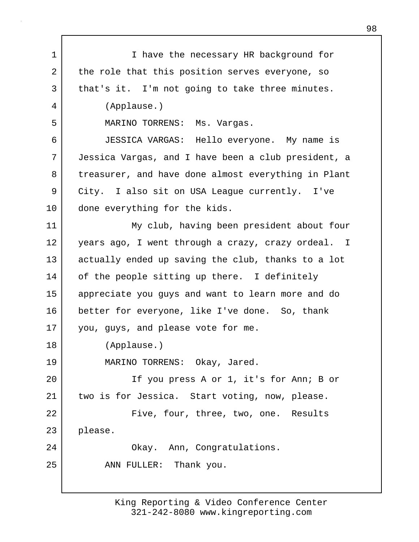| 1  | I have the necessary HR background for              |
|----|-----------------------------------------------------|
| 2  | the role that this position serves everyone, so     |
| 3  | that's it. I'm not going to take three minutes.     |
| 4  | (Applause.)                                         |
| 5  | MARINO TORRENS:<br>Ms. Vargas.                      |
| 6  | JESSICA VARGAS: Hello everyone. My name is          |
| 7  | Jessica Vargas, and I have been a club president, a |
| 8  | treasurer, and have done almost everything in Plant |
| 9  | City. I also sit on USA League currently. I've      |
| 10 | done everything for the kids.                       |
| 11 | My club, having been president about four           |
| 12 | years ago, I went through a crazy, crazy ordeal. I  |
| 13 | actually ended up saving the club, thanks to a lot  |
| 14 | of the people sitting up there. I definitely        |
| 15 | appreciate you guys and want to learn more and do   |
| 16 | better for everyone, like I've done. So, thank      |
| 17 | you, guys, and please vote for me.                  |
| 18 | (Applause.)                                         |
| 19 | MARINO TORRENS: Okay, Jared.                        |
| 20 | If you press A or 1, it's for Ann; B or             |
| 21 | two is for Jessica. Start voting, now, please.      |
| 22 | Five, four, three, two, one. Results                |
| 23 | please.                                             |
| 24 | Okay. Ann, Congratulations.                         |
| 25 | ANN FULLER: Thank you.                              |
|    |                                                     |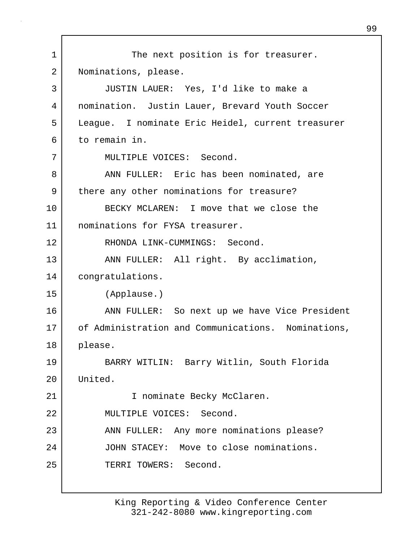1 The next position is for treasurer. 2 | Nominations, please. 3 JUSTIN LAUER: Yes, I'd like to make a 4 nomination. Justin Lauer, Brevard Youth Soccer 5 League. I nominate Eric Heidel, current treasurer 6 to remain in. 7 MULTIPLE VOICES: Second. 8 ANN FULLER: Eric has been nominated, are 9 | there any other nominations for treasure? 10 BECKY MCLAREN: I move that we close the 11 nominations for FYSA treasurer. 12 RHONDA LINK-CUMMINGS: Second. 13 | ANN FULLER: All right. By acclimation, 14 congratulations. 15 (Applause.) 16 ANN FULLER: So next up we have Vice President 17 of Administration and Communications. Nominations, 18 please. 19 BARRY WITLIN: Barry Witlin, South Florida 20 United. 21 | Thominate Becky McClaren. 22 MULTIPLE VOICES: Second. 23 | ANN FULLER: Any more nominations please? 24 JOHN STACEY: Move to close nominations. 25 TERRI TOWERS: Second.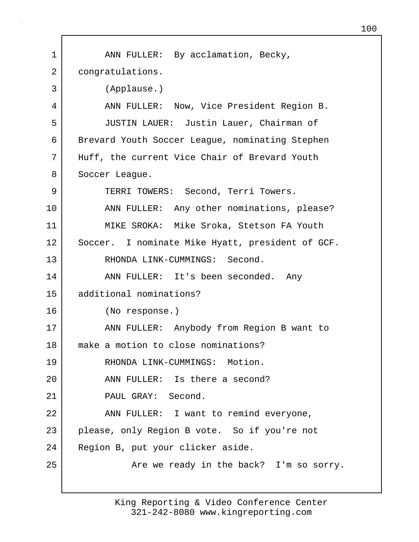| 1  | ANN FULLER: By acclamation, Becky,               |  |  |  |  |
|----|--------------------------------------------------|--|--|--|--|
| 2  | congratulations.                                 |  |  |  |  |
| 3  | (Applause.)                                      |  |  |  |  |
| 4  | ANN FULLER: Now, Vice President Region B.        |  |  |  |  |
| 5  | JUSTIN LAUER: Justin Lauer, Chairman of          |  |  |  |  |
| 6  | Brevard Youth Soccer League, nominating Stephen  |  |  |  |  |
| 7  | Huff, the current Vice Chair of Brevard Youth    |  |  |  |  |
| 8  | Soccer League.                                   |  |  |  |  |
| 9  | TERRI TOWERS: Second, Terri Towers.              |  |  |  |  |
| 10 | ANN FULLER: Any other nominations, please?       |  |  |  |  |
| 11 | MIKE SROKA: Mike Sroka, Stetson FA Youth         |  |  |  |  |
| 12 | Soccer. I nominate Mike Hyatt, president of GCF. |  |  |  |  |
| 13 | RHONDA LINK-CUMMINGS: Second.                    |  |  |  |  |
| 14 | ANN FULLER: It's been seconded. Any              |  |  |  |  |
| 15 | additional nominations?                          |  |  |  |  |
| 16 | (No response.)                                   |  |  |  |  |
| 17 | ANN FULLER: Anybody from Region B want to        |  |  |  |  |
| 18 | make a motion to close nominations?              |  |  |  |  |
| 19 | RHONDA LINK-CUMMINGS: Motion.                    |  |  |  |  |
| 20 | ANN FULLER: Is there a second?                   |  |  |  |  |
| 21 | PAUL GRAY: Second.                               |  |  |  |  |
| 22 | ANN FULLER: I want to remind everyone,           |  |  |  |  |
| 23 | please, only Region B vote. So if you're not     |  |  |  |  |
| 24 | Region B, put your clicker aside.                |  |  |  |  |
| 25 | Are we ready in the back? I'm so sorry.          |  |  |  |  |
|    |                                                  |  |  |  |  |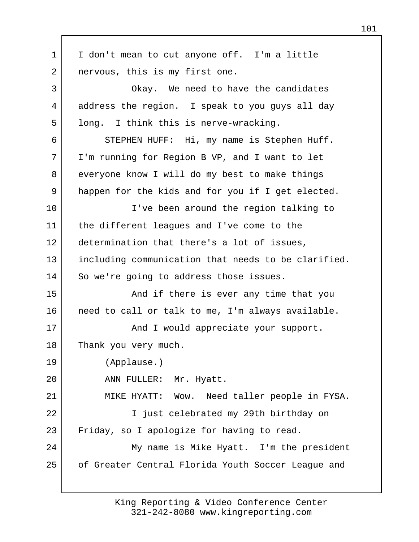1 I don't mean to cut anyone off. I'm a little 2 | nervous, this is my first one. 3 Okay. We need to have the candidates 4 address the region. I speak to you guys all day 5 long. I think this is nerve-wracking. 6 STEPHEN HUFF: Hi, my name is Stephen Huff. 7 I'm running for Region B VP, and I want to let 8 everyone know I will do my best to make things 9 happen for the kids and for you if I get elected. 10 I've been around the region talking to 11 the different leagues and I've come to the 12 determination that there's a lot of issues, 13 including communication that needs to be clarified. 14 So we're going to address those issues. 15 | The Modu if there is ever any time that you 16 need to call or talk to me, I'm always available. 17 | **And I** would appreciate your support. 18 Thank you very much. 19 (Applause.) 20 ANN FULLER: Mr. Hyatt. 21 | MIKE HYATT: Wow. Need taller people in FYSA. 22 I just celebrated my 29th birthday on 23 Friday, so I apologize for having to read. 24 | My name is Mike Hyatt. I'm the president 25 of Greater Central Florida Youth Soccer League and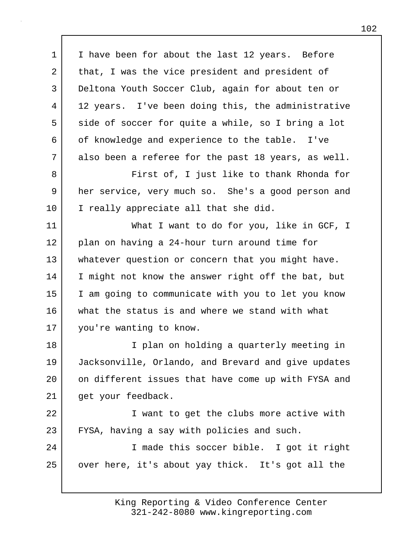1 I have been for about the last 12 years. Before 2 that, I was the vice president and president of 3 Deltona Youth Soccer Club, again for about ten or 4 | 12 years. I've been doing this, the administrative 5 side of soccer for quite a while, so I bring a lot 6 of knowledge and experience to the table. I've 7 also been a referee for the past 18 years, as well. 8 **Fixat of, I just like to thank Rhonda for** 9 her service, very much so. She's a good person and 10 | I really appreciate all that she did. 11 What I want to do for you, like in GCF, I 12 plan on having a 24-hour turn around time for 13 whatever question or concern that you might have. 14 I might not know the answer right off the bat, but 15 I am going to communicate with you to let you know 16 what the status is and where we stand with what 17 you're wanting to know. 18 I plan on holding a quarterly meeting in 19 Jacksonville, Orlando, and Brevard and give updates 20 on different issues that have come up with FYSA and 21 | get your feedback. 22 | Twant to get the clubs more active with 23 FYSA, having a say with policies and such. 24 | T made this soccer bible. I got it right 25 | over here, it's about yay thick. It's got all the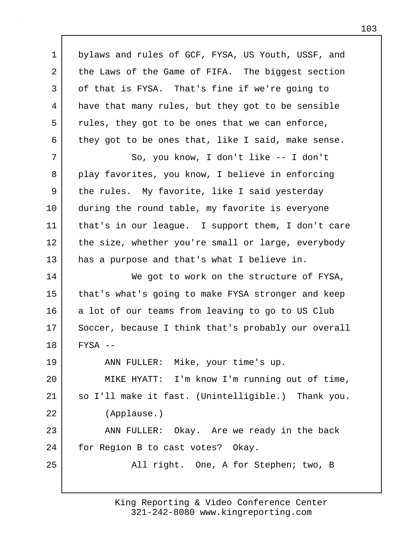1 bylaws and rules of GCF, FYSA, US Youth, USSF, and 2 the Laws of the Game of FIFA. The biggest section 3 of that is FYSA. That's fine if we're going to 4 have that many rules, but they got to be sensible 5 rules, they got to be ones that we can enforce, 6 they got to be ones that, like I said, make sense. 7 So, you know, I don't like -- I don't 8 play favorites, you know, I believe in enforcing 9 the rules. My favorite, like I said yesterday 10 during the round table, my favorite is everyone 11 that's in our league. I support them, I don't care 12 the size, whether you're small or large, everybody 13 has a purpose and that's what I believe in. 14 We got to work on the structure of FYSA, 15 that's what's going to make FYSA stronger and keep 16 a lot of our teams from leaving to go to US Club 17 Soccer, because I think that's probably our overall 18 FYSA -- 19 ANN FULLER: Mike, your time's up. 20 MIKE HYATT: I'm know I'm running out of time, 21 so I'll make it fast. (Unintelligible.) Thank you. 22 (Applause.) 23 ANN FULLER: Okay. Are we ready in the back 24 | for Region B to cast votes? Okay. 25 | All right. One, A for Stephen; two, B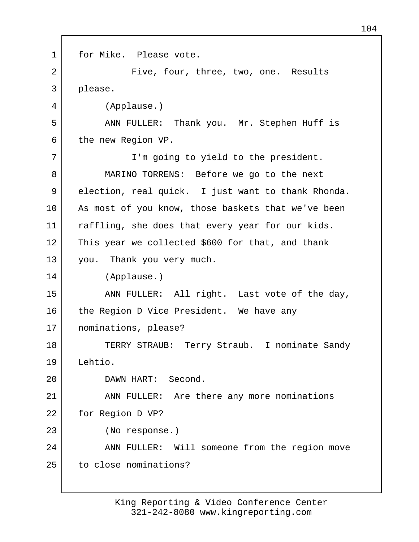1 for Mike. Please vote. 2 | Tive, four, three, two, one. Results 3 please. 4 (Applause.) 5 ANN FULLER: Thank you. Mr. Stephen Huff is 6 the new Region VP. 7 | T'm going to yield to the president. 8 MARINO TORRENS: Before we go to the next 9 election, real quick. I just want to thank Rhonda. 10 | As most of you know, those baskets that we've been 11 | raffling, she does that every year for our kids. 12 This year we collected \$600 for that, and thank 13 you. Thank you very much. 14 (Applause.) 15 | ANN FULLER: All right. Last vote of the day, 16 the Region D Vice President. We have any 17 nominations, please? 18 TERRY STRAUB: Terry Straub. I nominate Sandy 19 Lehtio. 20 DAWN HART: Second. 21 ANN FULLER: Are there any more nominations 22 | for Region D VP? 23 (No response.) 24 | ANN FULLER: Will someone from the region move 25 to close nominations?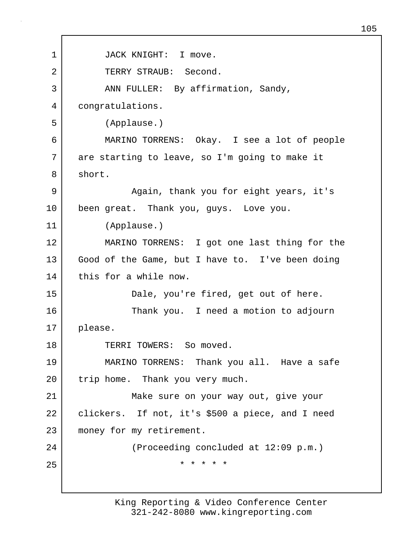1 JACK KNIGHT: I move. 2 TERRY STRAUB: Second. 3 | ANN FULLER: By affirmation, Sandy, 4 congratulations. 5 (Applause.) 6 MARINO TORRENS: Okay. I see a lot of people 7 are starting to leave, so I'm going to make it 8 short. 9 | Again, thank you for eight years, it's 10 been great. Thank you, guys. Love you. 11 (Applause.) 12 MARINO TORRENS: I got one last thing for the 13 Good of the Game, but I have to. I've been doing 14 this for a while now. 15 Dale, you're fired, get out of here. 16 Thank you. I need a motion to adjourn 17 please. 18 | TERRI TOWERS: So moved. 19 MARINO TORRENS: Thank you all. Have a safe 20 | trip home. Thank you very much. 21 Make sure on your way out, give your 22 clickers. If not, it's \$500 a piece, and I need 23 money for my retirement. 24 (Proceeding concluded at 12:09 p.m.) 25 \* \* \* \* \*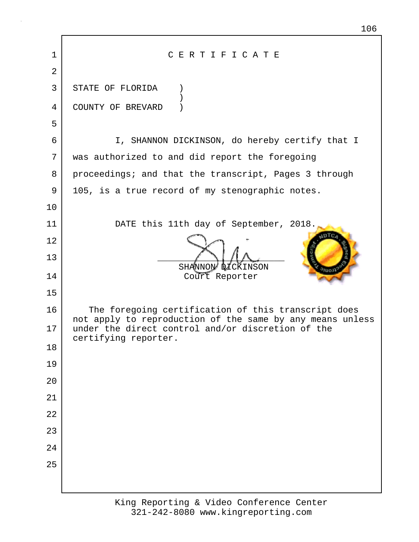| 1              | CERTIFICATE                                                                                                      |  |  |  |
|----------------|------------------------------------------------------------------------------------------------------------------|--|--|--|
| $\overline{2}$ |                                                                                                                  |  |  |  |
| 3              | STATE OF FLORIDA                                                                                                 |  |  |  |
| 4              | COUNTY OF BREVARD                                                                                                |  |  |  |
| 5              |                                                                                                                  |  |  |  |
| 6              | I, SHANNON DICKINSON, do hereby certify that I                                                                   |  |  |  |
| 7              | was authorized to and did report the foregoing                                                                   |  |  |  |
| 8              | proceedings; and that the transcript, Pages 3 through                                                            |  |  |  |
| 9              | 105, is a true record of my stenographic notes.                                                                  |  |  |  |
| 10             |                                                                                                                  |  |  |  |
| 11             | DATE this 11th day of September, 2018.                                                                           |  |  |  |
| 12             |                                                                                                                  |  |  |  |
| 13             | SHANNON DICKINSON                                                                                                |  |  |  |
| 14             | Court Reporter                                                                                                   |  |  |  |
| 15             |                                                                                                                  |  |  |  |
| 16             | The foregoing certification of this transcript does<br>not apply to reproduction of the same by any means unless |  |  |  |
| 17             | under the direct control and/or discretion of the<br>certifying reporter.                                        |  |  |  |
| 18             |                                                                                                                  |  |  |  |
| 19             |                                                                                                                  |  |  |  |
| 20             |                                                                                                                  |  |  |  |
| 21             |                                                                                                                  |  |  |  |
| 22             |                                                                                                                  |  |  |  |
| 23             |                                                                                                                  |  |  |  |
| 24             |                                                                                                                  |  |  |  |
| 25             |                                                                                                                  |  |  |  |
|                |                                                                                                                  |  |  |  |
|                |                                                                                                                  |  |  |  |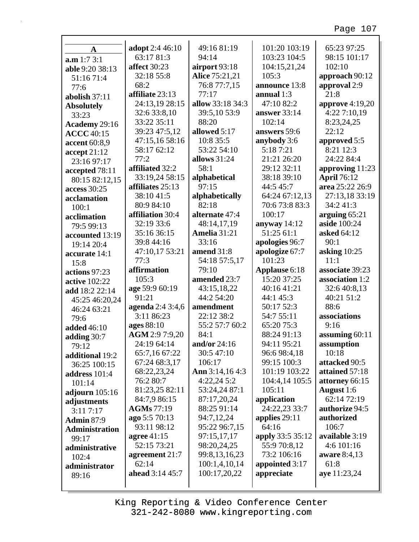## Page 107

| A                                  | adopt 2:4 46:10              | 49:16 81:19           | 101:20 103:19    | 65:23 97:25                   |
|------------------------------------|------------------------------|-----------------------|------------------|-------------------------------|
| a.m 1:7 3:1                        | 63:17 81:3                   | 94:14                 | 103:23 104:5     | 98:15 101:17                  |
| able 9:20 38:13                    | affect 30:23                 | airport 93:18         | 104:15,21,24     | 102:10                        |
| 51:16 71:4                         | 32:18 55:8                   | <b>Alice 75:21,21</b> | 105:3            | approach 90:12                |
| 77:6                               | 68:2                         | 76:8 77:7,15          | announce 13:8    | approval 2:9                  |
| abolish 37:11                      | affiliate 23:13              | 77:17                 | annual $1:3$     | 21:8                          |
|                                    | 24:13,19 28:15               | allow 33:18 34:3      | 47:10 82:2       | approve 4:19,20               |
| <b>Absolutely</b><br>33:23         | 32:6 33:8,10                 | 39:5,10 53:9          | answer 33:14     | 4:22 7:10,19                  |
|                                    | 33:22 35:11                  | 88:20                 | 102:14           | 8:23,24,25                    |
| Academy 29:16<br><b>ACCC</b> 40:15 | 39:23 47:5,12                | allowed 5:17          | answers 59:6     | 22:12                         |
|                                    | 47:15,16 58:16               | 10:8 35:5             | anybody 3:6      | approved 5:5                  |
| accent 60:8,9                      | 58:17 62:12                  | 53:22 54:10           | 5:18 7:21        | 8:21 12:3                     |
| accept 21:12                       | 77:2                         | allows $31:24$        | 21:21 26:20      | 24:22 84:4                    |
| 23:16 97:17                        | affiliated 32:2              | 58:1                  | 29:12 32:11      | approving 11:23               |
| accepted 78:11                     | 33:19,24 58:15               | alphabetical          | 38:18 39:10      | <b>April 76:12</b>            |
| 80:15 82:12,15                     | affiliates 25:13             | 97:15                 | 44:5 45:7        | area 25:22 26:9               |
| access 30:25                       | 38:10 41:5                   | alphabetically        | 64:24 67:12,13   | 27:13,18 33:19                |
| acclamation                        | 80:9 84:10                   | 82:18                 | 70:6 73:8 83:3   | 34:2 41:3                     |
| 100:1                              |                              | alternate 47:4        | 100:17           |                               |
| acclimation                        | affiliation 30:4             |                       |                  | arguing 65:21<br>aside 100:24 |
| 79:5 99:13                         | 32:19 33:6                   | 48:14,17,19           | anyway $14:12$   |                               |
| accounted 13:19                    | 35:16 36:15                  | Amelia 31:21          | 51:25 61:1       | asked 64:12                   |
| 19:14 20:4                         | 39:8 44:16                   | 33:16                 | apologies 96:7   | 90:1                          |
| accurate 14:1                      | 47:10,17 53:21               | amend 31:8            | apologize 67:7   | asking 10:25                  |
| 15:8                               | 77:3                         | 54:18 57:5,17         | 101:23           | 11:1                          |
|                                    |                              |                       |                  |                               |
| actions 97:23                      | affirmation                  | 79:10                 | Applause 6:18    | associate 39:23               |
| active 102:22                      | 105:3                        | amended 23:7          | 15:20 37:25      | association 1:2               |
| add 18:2 22:14                     | age 59:9 60:19               | 43:15,18,22           | 40:16 41:21      | 32:6 40:8,13                  |
| 45:25 46:20,24                     | 91:21                        | 44:2 54:20            | 44:1 45:3        | 40:21 51:2                    |
| 46:24 63:21                        | agenda 2:4 3:4,6             | amendment             | 50:17 52:3       | 88:6                          |
| 79:6                               | 3:11 86:23                   | 22:12 38:2            | 54:7 55:11       | associations                  |
| <b>added</b> 46:10                 | ages 88:10                   | 55:2 57:7 60:2        | 65:20 75:3       | 9:16                          |
| adding $30:7$                      | AGM 2:9 7:9,20               | 84:1                  | 88:24 91:13      | assuming $60:11$              |
| 79:12                              | 24:19 64:14                  | and/or $24:16$        | 94:11 95:21      | assumption                    |
| additional 19:2                    | 65:7,16 67:22                | 30:5 47:10            | 96:6 98:4,18     | 10:18                         |
|                                    | 67:24 68:3,17                | 106:17                | 99:15 100:3      | attacked 90:5                 |
| 36:25 100:15                       | 68:22,23,24                  | Ann 3:14,164:3        | 101:19 103:22    | attained 57:18                |
| address 101:4                      | 76:2 80:7                    | 4:22,245:2            | 104:4,14 105:5   | attorney 66:15                |
| 101:14                             | 81:23,25 82:11               | 53:24,24 87:1         | 105:11           | <b>August</b> 1:6             |
| adjourn 105:16                     | 84:7,9 86:15                 | 87:17,20,24           | application      | 62:14 72:19                   |
| adjustments                        | <b>AGMs</b> 77:19            | 88:25 91:14           | 24:22,23 33:7    | authorize 94:5                |
| 3:117:17                           |                              | 94:7,12,24            | applies $29:11$  | authorized                    |
| <b>Admin 87:9</b>                  | ago 5:5 70:13<br>93:11 98:12 | 95:22 96:7,15         | 64:16            | 106:7                         |
| <b>Administration</b>              | agree 41:15                  | 97:15,17,17           | apply 33:5 35:12 | available 3:19                |
| 99:17                              | 52:15 73:21                  | 98:20,24,25           | 55:9 70:8,12     | 4:6 101:16                    |
| administrative                     |                              |                       | 73:2 106:16      |                               |
| 102:4                              | agreement 21:7<br>62:14      | 99:8,13,16,23         |                  | aware 8:4,13<br>61:8          |
| administrator                      |                              | 100:1,4,10,14         | appointed 3:17   |                               |
| 89:16                              | ahead 3:14 45:7              | 100:17,20,22          | appreciate       | aye 11:23,24                  |

Г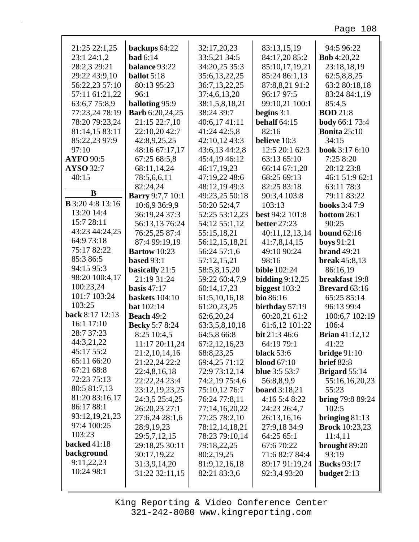Page 108

| 21:25 22:1,25                   | backups 64:22                            | 32:17,20,23                     | 83:13,15,19                           | 94:5 96:22                                |
|---------------------------------|------------------------------------------|---------------------------------|---------------------------------------|-------------------------------------------|
| 23:1 24:1,2                     | <b>bad</b> $6:14$                        | 33:5,21 34:5                    | 84:17,20 85:2                         | <b>Bob</b> 4:20,22                        |
| 28:2,3 29:21                    | <b>balance 93:22</b>                     | 34:20,25 35:3                   | 85:10,17,19,21                        | 23:18,18,19                               |
| 29:22 43:9,10                   | <b>ballot</b> $5:18$                     | 35:6,13,22,25                   | 85:24 86:1,13                         | 62:5,8,8,25                               |
| 56:22,23 57:10                  | 80:13 95:23                              | 36:7,13,22,25                   | 87:8,8,21 91:2<br>96:17 97:5          | 63:2 80:18,18                             |
| 57:11 61:21,22                  | 96:1                                     | 37:4,6,13,20                    |                                       | 83:24 84:1,19                             |
| 63:6,7 75:8,9<br>77:23,24 78:19 | balloting 95:9<br><b>Barb</b> 6:20,24,25 | 38:1,5,8,18,21<br>38:24 39:7    | 99:10,21 100:1<br>begins $3:1$        | 85:4,5<br><b>BOD</b> 21:8                 |
| 78:20 79:23,24                  | 21:15 22:7,10                            | 40:6,17 41:11                   | <b>behalf</b> 64:15                   | <b>body</b> 66:1 73:4                     |
| 81:14,15 83:11                  | 22:10,20 42:7                            | 41:24 42:5,8                    | 82:16                                 | <b>Bonita</b> 25:10                       |
| 85:22,23 97:9                   | 42:8,9,25,25                             | 42:10,12 43:3                   | believe 10:3                          | 34:15                                     |
| 97:10                           | 48:16 67:17,17                           | 43:6,13 44:2,8                  | 12:5 20:1 62:3                        | <b>book</b> $3:176:10$                    |
| <b>AYFO</b> 90:5                | 67:25 68:5,8                             | 45:4,19 46:12                   | 63:13 65:10                           | 7:25 8:20                                 |
| AYSO 32:7                       | 68:11,14,24                              | 46:17,19,23                     | 66:14 67:1,20                         | 20:12 23:8                                |
| 40:15                           | 78:5,6,6,11                              | 47:19,22 48:6                   | 68:25 69:13                           | 46:1 51:9 62:1                            |
|                                 | 82:24,24                                 | 48:12,19 49:3                   | 82:25 83:18                           | 63:11 78:3                                |
| B                               | <b>Barry</b> 9:7,7 10:1                  | 49:23,25 50:18                  | 90:3,4 103:8                          | 79:11 83:22                               |
| <b>B</b> 3:20 4:8 13:16         | 10:6,9 36:9,9                            | 50:20 52:4,7                    | 103:13                                | <b>books</b> 3:4 7:9                      |
| 13:20 14:4                      | 36:19,24 37:3                            | 52:25 53:12,23                  | best 94:2 101:8                       | bottom 26:1                               |
| 15:7 28:11                      | 56:13,13 76:24                           | 54:12 55:1,12                   | <b>better</b> 27:23                   | 90:25                                     |
| 43:23 44:24,25                  | 76:25,25 87:4                            | 55:15,18,21                     | 40:11,12,13,14                        | bound $62:16$                             |
| 64:9 73:18                      | 87:4 99:19,19                            | 56:12,15,18,21                  | 41:7,8,14,15                          | <b>boys</b> 91:21                         |
| 75:17 82:22                     | <b>Bartow</b> 10:23                      | 56:24 57:1,6                    | 49:10 90:24                           | <b>brand</b> 49:21                        |
| 85:3 86:5                       | <b>based</b> 93:1                        | 57:12,15,21                     | 98:16                                 | <b>break</b> 45:8,13                      |
| 94:15 95:3                      | basically 21:5                           | 58:5,8,15,20                    | <b>bible</b> 102:24                   | 86:16,19                                  |
| 98:20 100:4,17                  | 21:19 31:24                              | 59:22 60:4,7,9                  | bidding $9:12,25$                     | breakfast 19:8                            |
| 100:23,24                       | basis $47:17$                            | 60:14,17,23                     | biggest $103:2$                       | <b>Brevard</b> 63:16                      |
| 101:7 103:24                    | <b>baskets</b> 104:10                    | 61:5,10,16,18                   | bio 86:16                             | 65:25 85:14                               |
| 103:25                          | <b>bat</b> $102:14$                      | 61:20,23,25                     | birthday $57:19$                      | 96:13 99:4                                |
| back 8:17 12:13                 | <b>Beach 49:2</b>                        | 62:6,20,24                      | 60:20,21 61:2                         | 100:6,7 102:19                            |
| 16:1 17:10                      | <b>Becky</b> 5:7 8:24                    | 63:3,5,8,10,18                  | 61:6,12 101:22                        | 106:4                                     |
| 28:7 37:23                      | 8:25 10:4,5                              | 64:5,8 66:8                     | bit 21:3 46:6                         | <b>Brian</b> 41:12,12                     |
| 44:3,21,22                      | 11:17 20:11,24                           | 67:2,12,16,23                   | 64:19 79:1                            | 41:22                                     |
| 45:17 55:2                      | 21:2, 10, 14, 16                         | 68:8,23,25                      | <b>black</b> 53:6                     | bridge $91:10$                            |
| 65:11 66:20                     | 21:22,24 22:2                            | 69:4,25 71:12                   | <b>blood</b> 67:10                    | <b>brief</b> 82:8                         |
| 67:21 68:8                      | 22:4,8,16,18                             | 72:9 73:12,14                   | <b>blue</b> 3:5 53:7                  | <b>Brigard</b> 55:14                      |
| 72:23 75:13                     | 22:22,24 23:4                            | 74:2,19 75:4,6                  | 56:8,8,9,9                            | 55:16,16,20,23                            |
| 80:5 81:7,13                    | 23:12,19,23,25                           | 75:10,12 76:7                   |                                       | 55:23                                     |
| 81:20 83:16,17                  | 24:3,5 25:4,25                           |                                 | <b>board</b> 3:18,21<br>4:16 5:4 8:22 |                                           |
| 86:17 88:1                      | 26:20,23 27:1                            | 76:24 77:8,11                   |                                       | <b>bring</b> $79:889:24$<br>102:5         |
| 93:12,19,21,23                  | 27:6,24 28:1,6                           | 77:14,16,20,22                  | 24:23 26:4,7                          |                                           |
| 97:4 100:25                     | 28:9,19,23                               | 77:25 78:2,10<br>78:12,14,18,21 | 26:13,16,16<br>27:9,18 34:9           | bringing $81:13$<br><b>Brock</b> 10:23,23 |
| 103:23                          |                                          | 78:23 79:10,14                  | 64:25 65:1                            |                                           |
| <b>backed</b> 41:18             | 29:5,7,12,15<br>29:18,25 30:11           | 79:18,22,25                     | 67:6 70:22                            | 11:4,11<br>brought 89:20                  |
| background                      | 30:17,19,22                              | 80:2,19,25                      | 71:6 82:7 84:4                        | 93:19                                     |
| 9:11,22,23                      | 31:3,9,14,20                             |                                 |                                       |                                           |
| 10:24 98:1                      |                                          | 81:9,12,16,18                   | 89:17 91:19,24                        | <b>Bucks</b> 93:17                        |
|                                 | 31:22 32:11,15                           | 82:21 83:3,6                    | 92:3,4 93:20                          | budget $2:13$                             |
|                                 |                                          |                                 |                                       |                                           |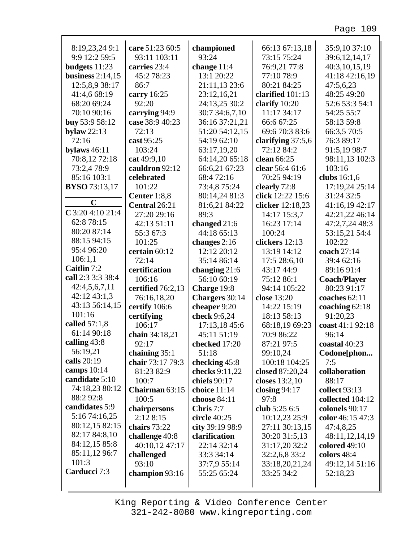| 8:19,23,24 9:1       | care 51:23 60:5   | championed      | 66:13 67:13,18    | 35:9,10 37:10       |
|----------------------|-------------------|-----------------|-------------------|---------------------|
| 9:9 12:2 59:5        | 93:11 103:11      | 93:24           | 73:15 75:24       | 39:6,12,14,17       |
| budgets 11:23        | carries 23:4      | change $11:4$   | 76:9,21 77:8      | 40:3,10,15,19       |
| business $2:14,15$   | 45:2 78:23        | 13:1 20:22      | 77:10 78:9        | 41:18 42:16,19      |
| 12:5,8,9 38:17       | 86:7              | 21:11,13 23:6   | 80:21 84:25       | 47:5,6,23           |
| 41:4,6 68:19         | carry 16:25       | 23:12,16,21     | clarified 101:13  | 48:25 49:20         |
| 68:20 69:24          | 92:20             | 24:13,25 30:2   | clarify 10:20     | 52:6 53:3 54:1      |
| 70:10 90:16          | carrying 94:9     | 30:7 34:6,7,10  | 11:17 34:17       | 54:25 55:7          |
| buy 53:9 58:12       | case 38:9 40:23   | 36:16 37:21,21  | 66:6 67:25        | 58:13 59:8          |
| bylaw $22:13$        | 72:13             | 51:20 54:12,15  | 69:6 70:3 83:6    | 66:3,5 70:5         |
| 72:16                | cast 95:25        | 54:19 62:10     | clarifying 37:5,6 | 76:3 89:17          |
| bylaws $46:11$       | 103:24            | 63:17,19,20     | 72:12 84:2        | 91:5,19 98:7        |
| 70:8,12 72:18        | cat 49:9,10       | 64:14,20 65:18  | clean 66:25       | 98:11,13 102:3      |
| 73:2,4 78:9          | cauldron 92:12    | 66:6,21 67:23   | clear 56:4 61:6   | 103:16              |
| 85:16 103:1          | celebrated        | 68:4 72:16      | 70:25 94:19       | clubs 16:1,6        |
| <b>BYSO</b> 73:13,17 | 101:22            | 73:4,8 75:24    | clearly 72:8      | 17:19,24 25:14      |
|                      | Center 1:8,8      | 80:14,24 81:3   | click 12:22 15:6  | 31:24 32:5          |
| $\mathbf C$          | Central 26:21     | 81:6,21 84:22   | clicker 12:18,23  | 41:16,19 42:17      |
| $C$ 3:20 4:10 21:4   | 27:20 29:16       | 89:3            | 14:17 15:3,7      | 42:21,22 46:14      |
| 62:8 78:15           | 42:13 51:11       | changed $21:6$  | 16:23 17:14       | 47:2,7,24 48:3      |
| 80:20 87:14          | 55:3 67:3         | 44:18 65:13     | 100:24            | 53:15,21 54:4       |
| 88:15 94:15          | 101:25            | changes $2:16$  | clickers 12:13    | 102:22              |
| 95:4 96:20           | certain 60:12     | 12:12 20:12     | 13:19 14:12       | coach 27:14         |
| 106:1,1              | 72:14             | 35:14 86:14     | 17:5 28:6,10      | 39:4 62:16          |
| Caitlin 7:2          | certification     | changing $21:6$ | 43:17 44:9        | 89:16 91:4          |
| call 2:3 3:3 38:4    | 106:16            | 56:10 60:19     | 75:12 86:1        | <b>Coach/Player</b> |
| 42:4,5,6,7,11        | certified 76:2,13 | Charge 19:8     | 94:14 105:22      | 80:23 91:17         |
| 42:12 43:1,3         | 76:16,18,20       | Chargers 30:14  | close 13:20       | coaches 62:11       |
| 43:13 56:14,15       | certify 106:6     | cheaper 9:20    | 14:22 15:19       | coaching $62:18$    |
| 101:16               | certifying        | check 9:6,24    | 18:13 58:13       | 91:20,23            |
| called 57:1,8        | 106:17            | 17:13,18 45:6   | 68:18,19 69:23    | coast 41:1 92:18    |
| 61:14 90:18          | chain 34:18,21    | 45:11 51:19     | 70:9 86:22        | 96:14               |
| calling 43:8         | 92:17             | checked 17:20   | 87:21 97:5        | coastal $40:23$     |
| 56:19,21             | chaining $35:1$   | 51:18           | 99:10,24          | Codone[phon         |
| calls 20:19          | chair 73:17 79:3  | checking 45:8   | 100:18 104:25     | 7:5                 |
| camps $10:14$        | 81:23 82:9        | checks 9:11,22  | closed 87:20,24   | collaboration       |
| candidate 5:10       | 100:7             | chiefs $90:17$  | closes $13:2,10$  | 88:17               |
| 74:18,23 80:12       | Chairman 63:15    | choice 11:14    | closing $94:17$   | collect 93:13       |
| 88:2 92:8            | 100:5             | choose 84:11    | 97:8              | collected 104:12    |
| candidates 5:9       | chairpersons      | Chris 7:7       | club 5:25 6:5     | colonels 90:17      |
| 5:16 74:16,25        | 2:128:15          | circle 40:25    | 10:12,23 25:9     | color 46:15 47:3    |
| 80:12,15 82:15       | chairs 73:22      | city 39:19 98:9 | 27:11 30:13,15    | 47:4,8,25           |
| 82:17 84:8,10        | challenge 40:8    | clarification   | 30:20 31:5,13     | 48:11,12,14,19      |
| 84:12,15 85:8        | 40:10,12 47:17    | 22:14 32:14     | 31:17,20 32:2     | colored 49:10       |
| 85:11,12 96:7        | challenged        | 33:3 34:14      | 32:2,6,8 33:2     | colors 48:4         |
| 101:3                | 93:10             | 37:7,9 55:14    | 33:18,20,21,24    | 49:12,14 51:16      |
| Carducci 7:3         | champion 93:16    | 55:25 65:24     | 33:25 34:2        | 52:18,23            |
|                      |                   |                 |                   |                     |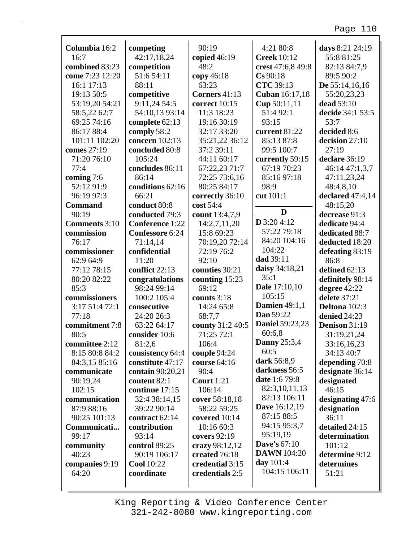|                                 | competing                            | 90:19                          | 4:21 80:8              | days 8:21 24:19               |
|---------------------------------|--------------------------------------|--------------------------------|------------------------|-------------------------------|
| Columbia 16:2<br>16:7           | 42:17,18,24                          | copied $46:19$                 | <b>Creek</b> 10:12     | 55:8 81:25                    |
| combined 83:23                  | competition                          | 48:2                           | crest 47:6,8 49:8      | 82:13 84:7,9                  |
| come 7:23 12:20                 | 51:6 54:11                           | copy 46:18                     | $Cs$ 90:18             | 89:5 90:2                     |
| 16:1 17:13                      | 88:11                                | 63:23                          | <b>CTC</b> 39:13       | De $55:14,16,16$              |
| 19:13 50:5                      | competitive                          | Corners 41:13                  | Cuban 16:17,18         | 55:20,23,23                   |
| 53:19,20 54:21                  | 9:11,24 54:5                         | correct 10:15                  | Cup 50:11,11           | dead 53:10                    |
| 58:5,22 62:7                    | 54:10,13 93:14                       | 11:3 18:23                     | 51:4 92:1              | decide 34:1 53:5              |
| 69:25 74:16                     | complete 62:13                       | 19:16 30:19                    | 93:15                  | 53:7                          |
| 86:17 88:4                      | comply 58:2                          | 32:17 33:20                    | current 81:22          | decided 8:6                   |
| 101:11 102:20                   | concern 102:13                       | 35:21,22 36:12                 | 85:13 87:8             | decision 27:10                |
| comes 27:19                     | concluded 80:8                       | 37:2 39:11                     | 99:5 100:7             | 27:19                         |
| 71:20 76:10                     | 105:24                               | 44:11 60:17                    | currently 59:15        | declare 36:19                 |
| 77:4                            | concludes 86:11                      | 67:22,23 71:7                  | 67:19 70:23            | 46:14 47:1,3,7                |
| coming 7:6                      | 86:14                                | 72:25 73:6,16                  | 85:16 97:18            | 47:11,23,24                   |
| 52:12 91:9                      | conditions 62:16                     | 80:25 84:17                    | 98:9                   | 48:4,8,10                     |
| 96:19 97:3                      | 66:21                                | correctly 36:10                | cut 101:1              | declared 47:4,14              |
| <b>Command</b>                  | conduct 80:8                         | cost 54:4                      |                        | 48:15,20                      |
| 90:19                           | conducted 79:3                       | count 13:4,7,9                 | D                      | decrease 91:3                 |
| <b>Comments</b> 3:10            | <b>Conference</b> 1:22               | 14:2,7,11,20                   | $D$ 3:20 4:12          | dedicate 94:4                 |
| commission                      | <b>Confessore 6:24</b>               | 15:8 69:23                     | 57:22 79:18            | dedicated 88:7                |
| 76:17                           | 71:14,14                             | 70:19,20 72:14                 | 84:20 104:16           | deducted 18:20                |
| commissioner                    | confidential                         | 72:19 76:2                     | 104:22                 | defeating 83:19               |
| 62:9 64:9                       | 11:20                                | 92:10                          | dad 39:11              | 86:8                          |
| 77:12 78:15                     | conflict 22:13                       | counties 30:21                 | daisy 34:18,21         | defined 62:13                 |
| 80:20 82:22                     | congratulations                      | counting 15:23                 | 35:1                   | definitely 98:14              |
| 85:3                            | 98:24 99:14                          | 69:12                          | Dale 17:10,10          | degree 42:22                  |
| commissioners                   | 100:2 105:4                          | counts $3:18$                  | 105:15                 | delete 37:21                  |
| 3:17 51:4 72:1                  | consecutive                          | 14:24 65:8                     | <b>Damien</b> 49:1,1   | Deltona 102:3                 |
|                                 |                                      |                                |                        |                               |
| 77:18                           |                                      |                                | Dan 59:22              |                               |
|                                 | 24:20 26:3<br>63:22 64:17            | 68:7,7                         | <b>Daniel 59:23,23</b> | denied 24:23<br>Denison 31:19 |
| commitment 7:8<br>80:5          | consider 10:6                        | county 31:2 40:5<br>71:25 72:1 | 60:6,8                 |                               |
| committee 2:12                  | 81:2,6                               | 106:4                          | <b>Danny</b> 25:3,4    | 31:19,21,24<br>33:16,16,23    |
|                                 |                                      |                                | 60:5                   | 34:13 40:7                    |
| 8:15 80:8 84:2<br>84:3,15 85:16 | consistency 64:4<br>constitute 47:17 | couple 94:24<br>course 64:16   | dark 56:8,9            |                               |
| communicate                     |                                      | 90:4                           | darkness 56:5          | depending 70:8                |
| 90:19,24                        | contain 90:20,21<br>content 82:1     | Court $1:21$                   | <b>date</b> 1:6 79:8   | designate 36:14               |
| 102:15                          | continue 17:15                       | 106:14                         | 82:3,10,11,13          | designated<br>46:15           |
| communication                   | 32:4 38:14,15                        | cover 58:18,18                 | 82:13 106:11           | designating $47:6$            |
| 87:9 88:16                      | 39:22 90:14                          | 58:22 59:25                    | <b>Dave</b> 16:12,19   | designation                   |
| 90:25 101:13                    | contract 62:14                       | covered $10:14$                | 87:15 88:5             | 36:11                         |
| Communicati                     | contribution                         | 10:16 60:3                     | 94:15 95:3,7           | detailed 24:15                |
| 99:17                           | 93:14                                | covers 92:19                   | 95:19,19               | determination                 |
| community                       | control 89:25                        | crazy 98:12,12                 | <b>Dave's 67:10</b>    | 101:12                        |
| 40:23                           | 90:19 106:17                         | created 76:18                  | <b>DAWN</b> 104:20     | determine 9:12                |
| companies 9:19                  | <b>Cool</b> 10:22                    | credential 3:15                | day 101:4              | determines                    |
| 64:20                           | coordinate                           | credentials 2:5                | 104:15 106:11          | 51:21                         |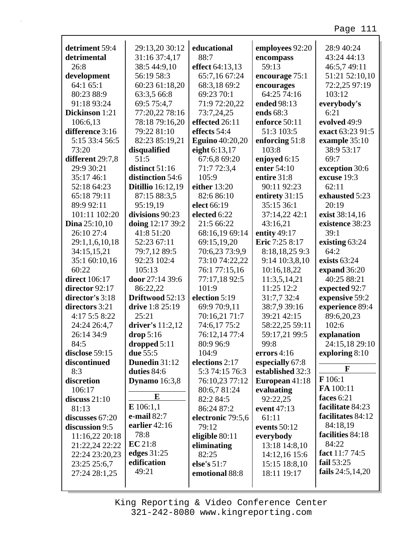| detriment 59:4         | 29:13,20 30:12           | educational            | employees 92:20  | 28:9 40:24         |
|------------------------|--------------------------|------------------------|------------------|--------------------|
| detrimental            | 31:16 37:4,17            | 88:7                   | encompass        | 43:24 44:13        |
| 26:8                   | 38:5 44:9,10             | effect 64:13,13        | 59:13            | 46:5,7 49:11       |
| development            | 56:19 58:3               | 65:7,16 67:24          | encourage 75:1   | 51:21 52:10,10     |
| 64:1 65:1              | 60:23 61:18,20           | 68:3,18 69:2           | encourages       | 72:2,25 97:19      |
| 80:23 88:9             | 63:3,5 66:8              | 69:23 70:1             | 64:25 74:16      | 103:12             |
| 91:18 93:24            | 69:5 75:4,7              | 71:9 72:20,22          | ended 98:13      | everybody's        |
| Dickinson 1:21         | 77:20,22 78:16           | 73:7,24,25             | ends 68:3        | 6:21               |
| 106:6,13               | 78:18 79:16,20           | effected 26:11         | enforce 50:11    | evolved 49:9       |
| difference 3:16        | 79:22 81:10              | effects 54:4           | 51:3 103:5       | exact 63:23 91:5   |
| 5:15 33:4 56:5         | 82:23 85:19,21           | <b>Eguino</b> 40:20,20 | enforcing 51:8   | example 35:10      |
| 73:20                  | disqualified             | eight 6:13,17          | 103:8            | 38:9 53:17         |
| different 29:7,8       | 51:5                     | 67:6,8 69:20           | enjoyed 6:15     | 69:7               |
| 29:9 30:21             | distinct 51:16           | 71:7 72:3,4            | enter 54:10      | exception 30:6     |
| 35:17 46:1             | distinction 54:6         | 105:9                  | entire 31:8      | excuse 19:3        |
| 52:18 64:23            | <b>Ditillio</b> 16:12,19 | either 13:20           | 90:11 92:23      | 62:11              |
| 65:18 79:11            | 87:15 88:3,5             | 82:6 86:10             | entirety 31:15   | exhausted 5:23     |
| 89:9 92:11             | 95:19,19                 | elect 66:19            | 35:15 36:1       | 20:19              |
| 101:11 102:20          | divisions 90:23          | elected 6:22           | 37:14,22 42:1    | exist 38:14,16     |
| <b>Dina</b> $25:10,10$ | doing 12:17 39:2         | 21:5 66:22             | 43:16,21         | existence 38:23    |
| 26:10 27:4             | 41:8 51:20               | 68:16,19 69:14         | entity 49:17     | 39:1               |
| 29:1,1,6,10,18         | 52:23 67:11              | 69:15,19,20            | Eric 7:25 8:17   | existing 63:24     |
| 34:15,15,21            | 79:7,12 89:5             | 70:6,23 73:9,9         | 8:18,18,25 9:3   | 64:2               |
| 35:1 60:10,16          | 92:23 102:4              | 73:10 74:22,22         | 9:14 10:3,8,10   | exists 63:24       |
| 60:22                  | 105:13                   | 76:1 77:15,16          | 10:16,18,22      | expand 36:20       |
| <b>direct</b> 106:17   | door 27:14 39:6          | 77:17,18 92:5          | 11:3,5,14,21     | 40:25 88:21        |
| director 92:17         | 86:22,22                 | 101:9                  | 11:25 12:2       | expected 92:7      |
| director's 3:18        | Driftwood 52:13          | election 5:19          | 31:7,7 32:4      | expensive 59:2     |
| directors 3:21         | drive 1:8 25:19          | 69:9 70:9,11           | 38:7,9 39:16     | experience 89:4    |
| 4:17 5:5 8:22          | 25:21                    | 70:16,21 71:7          | 39:21 42:15      | 89:6,20,23         |
| 24:24 26:4,7           | driver's 11:2,12         | 74:6,17 75:2           | 58:22,25 59:11   | 102:6              |
| 26:14 34:9             | drop 5:16                | 76:12,14 77:4          | 59:17,21 99:5    | explanation        |
| 84:5                   | dropped $5:11$           | 80:9 96:9              | 99:8             | 24:15,18 29:10     |
| disclose 59:15         | due 55:5                 | 104:9                  | errors 4:16      | exploring 8:10     |
| discontinued           | Dunedin 31:12            | elections 2:17         | especially 67:8  |                    |
| 8:3                    | duties 84:6              | 5:3 74:15 76:3         | established 32:3 | F                  |
| discretion             | <b>Dynamo</b> 16:3,8     | 76:10,23 77:12         | European 41:18   | F 106:1            |
| 106:17                 |                          | 80:6,7 81:24           | evaluating       | FA 100:11          |
| discuss $21:10$        | E                        | 82:2 84:5              | 92:22,25         | faces 6:21         |
| 81:13                  | $E$ 106:1,1              | 86:24 87:2             | event 47:13      | facilitate 84:23   |
| discusses 67:20        | e-mail 82:7              | electronic 79:5,6      | 61:11            | facilitates 84:12  |
| discussion 9:5         | earlier 42:16            | 79:12                  | events 50:12     | 84:18,19           |
| 11:16,22 20:18         | 78:8                     | eligible 80:11         | everybody        | facilities 84:18   |
| 21:22,24 22:22         | EC 21:8                  | eliminating            | 13:18 14:8,10    | 84:22              |
| 22:24 23:20,23         | edges 31:25              | 82:25                  | 14:12,16 15:6    | fact 11:7 74:5     |
| 23:25 25:6,7           | edification              | else's 51:7            | 15:15 18:8,10    | fail $53:25$       |
| 27:24 28:1,25          | 49:21                    | emotional 88:8         | 18:11 19:17      | fails $24:5,14,20$ |
|                        |                          |                        |                  |                    |

г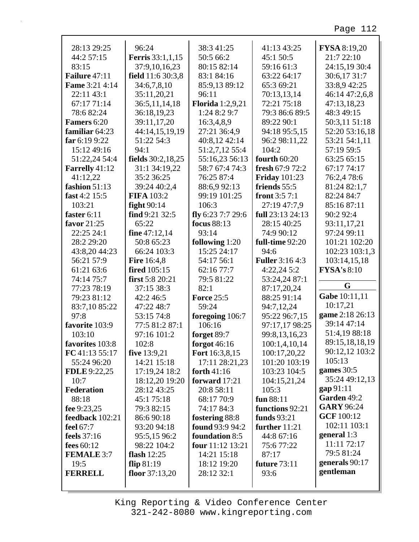| 28:13 29:25           | 96:24                   | 38:3 41:25              | 41:13 43:25            | <b>FYSA 8:19,20</b> |
|-----------------------|-------------------------|-------------------------|------------------------|---------------------|
| 44:2 57:15            | <b>Ferris</b> 33:1,1,15 | 50:5 66:2               | 45:1 50:5              | 21:7 22:10          |
| 83:15                 | 37:9,10,16,23           | 80:15 82:14             | 59:16 61:3             | 24:15,19 30:4       |
| Failure 47:11         | field 11:6 30:3,8       | 83:1 84:16              | 63:22 64:17            | 30:6,17 31:7        |
| <b>Fame</b> 3:21 4:14 | 34:6,7,8,10             | 85:9,13 89:12           | 65:3 69:21             | 33:8,9 42:25        |
| 22:11 43:1            | 35:11,20,21             | 96:11                   | 70:13,13,14            | 46:14 47:2,6,8      |
| 67:17 71:14           | 36:5,11,14,18           | <b>Florida</b> 1:2,9,21 | 72:21 75:18            | 47:13,18,23         |
| 78:6 82:24            | 36:18,19,23             | 1:24 8:2 9:7            | 79:3 86:6 89:5         | 48:3 49:15          |
| Famers 6:20           | 39:11,17,20             | 16:3,4,8,9              | 89:22 90:1             | 50:3,11 51:18       |
| familiar $64:23$      | 44:14,15,19,19          | 27:21 36:4,9            | 94:18 95:5,15          | 52:20 53:16,18      |
| far $6:199:22$        | 51:22 54:3              | 40:8,12 42:14           | 96:2 98:11,22          | 53:21 54:1,11       |
| 15:12 49:16           | 94:1                    | 51:2,7,12 55:4          | 104:2                  | 57:19 59:5          |
| 51:22,24 54:4         | fields 30:2,18,25       | 55:16,23 56:13          | <b>fourth 60:20</b>    | 63:25 65:15         |
| Farrelly 41:12        | 31:1 34:19,22           | 58:7 67:4 74:3          | fresh 67:9 72:2        | 67:17 74:17         |
| 41:12,22              | 35:2 36:25              | 76:25 87:4              | <b>Friday</b> 101:23   | 76:2,4 78:6         |
| fashion 51:13         | 39:24 40:2,4            | 88:6,992:13             | friends 55:5           | 81:24 82:1,7        |
| fast 4:2 15:5         | <b>FIFA</b> 103:2       | 99:19 101:25            | front $3:57:1$         | 82:24 84:7          |
| 103:21                | fight $90:14$           | 106:3                   | 27:19 47:7,9           | 85:16 87:11         |
| faster $6:11$         | find $9:21$ 32:5        | fly 6:23 7:7 29:6       | full 23:13 24:13       | 90:2 92:4           |
| favor 21:25           | 65:22                   | focus 88:13             | 28:15 40:25            | 93:11,17,21         |
| 22:25 24:1            | fine 47:12,14           | 93:14                   | 74:9 90:12             | 97:24 99:11         |
| 28:2 29:20            | 50:8 65:23              | following 1:20          | full-time 92:20        | 101:21 102:20       |
| 43:8,20 44:23         | 66:24 103:3             | 15:25 24:17             | 94:6                   | 102:23 103:1,3      |
| 56:21 57:9            | <b>Fire 16:4,8</b>      | 54:17 56:1              | <b>Fuller</b> 3:16 4:3 | 103:14,15,18        |
| 61:21 63:6            | <b>fired</b> 105:15     | 62:16 77:7              | 4:22,245:2             | <b>FYSA's 8:10</b>  |
| 74:14 75:7            | first 5:8 20:21         | 79:5 81:22              | 53:24,24 87:1          |                     |
| 77:23 78:19           | 37:15 38:3              | 82:1                    | 87:17,20,24            | G                   |
| 79:23 81:12           | 42:2 46:5               | <b>Force 25:5</b>       | 88:25 91:14            | Gabe 10:11,11       |
| 83:7,10 85:22         | 47:22 48:7              | 59:24                   | 94:7,12,24             | 10:17,21            |
| 97:8                  | 53:15 74:8              | foregoing 106:7         | 95:22 96:7,15          | game 2:18 26:13     |
| favorite 103:9        | 77:5 81:2 87:1          | 106:16                  | 97:17,17 98:25         | 39:14 47:14         |
| 103:10                | 97:16 101:2             | forget 89:7             | 99:8,13,16,23          | 51:4,19 88:18       |
| favorites 103:8       | 102:8                   | forgot $46:16$          | 100:1,4,10,14          | 89:15,18,18,19      |
| FC 41:13 55:17        | five 13:9,21            | Fort 16:3,8,15          | 100:17,20,22           | 90:12,12 103:2      |
| 55:24 96:20           | 14:21 15:18             | 17:11 28:21,23          | 101:20 103:19          | 105:13              |
| <b>FDLE</b> 9:22,25   | 17:19,24 18:2           | forth $41:16$           | 103:23 104:5           | games $30:5$        |
| 10:7                  | 18:12,20 19:20          | forward 17:21           | 104:15,21,24           | 35:24 49:12,13      |
| <b>Federation</b>     | 28:12 43:25             | 20:8 58:11              | 105:3                  | gap 91:11           |
| 88:18                 | 45:175:18               | 68:17 70:9              | fun 88:11              | Garden 49:2         |
| fee 9:23,25           | 79:3 82:15              | 74:17 84:3              | functions 92:21        | <b>GARY 96:24</b>   |
| feedback 102:21       | 86:6 90:18              | fostering 88:8          | <b>funds</b> 93:21     | <b>GCF</b> 100:12   |
| feel 67:7             | 93:20 94:18             | found 93:9 94:2         | further $11:21$        | 102:11 103:1        |
| <b>feels</b> 37:16    | 95:5,15 96:2            | foundation 8:5          | 44:8 67:16             | general 1:3         |
| fees $60:12$          | 98:22 104:2             | four 11:12 13:21        | 75:677:22              | 11:11 72:17         |
| <b>FEMALE 3:7</b>     | flash $12:25$           | 14:21 15:18             | 87:17                  | 79:5 81:24          |
| 19:5                  | flip $81:19$            | 18:12 19:20             | <b>future 73:11</b>    | generals 90:17      |
| <b>FERRELL</b>        | floor $37:13,20$        | 28:12 32:1              | 93:6                   | gentleman           |
|                       |                         |                         |                        |                     |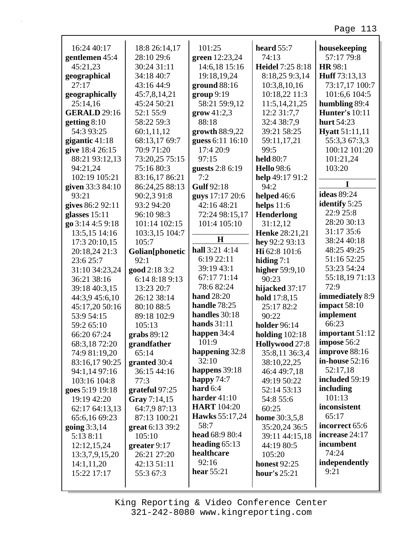| 16:24 40:17         | 18:8 26:14,17   | 101:25                  | heard $55:7$         | housekeeping          |
|---------------------|-----------------|-------------------------|----------------------|-----------------------|
| gentlemen 45:4      | 28:10 29:6      | green 12:23,24          | 74:13                | 57:17 79:8            |
| 45:21,23            | 30:24 31:11     | 14:6,18 15:16           | Heidel 7:25 8:18     | HR 98:1               |
| geographical        | 34:18 40:7      | 19:18,19,24             | 8:18,25 9:3,14       | Huff 73:13,13         |
| 27:17               | 43:16 44:9      | ground $88:16$          | 10:3,8,10,16         | 73:17,17 100:7        |
| geographically      | 45:7,8,14,21    | group 9:19              | 10:18,22 11:3        | 101:6,6 104:5         |
| 25:14,16            | 45:24 50:21     | 58:21 59:9,12           | 11:5, 14, 21, 25     | humbling 89:4         |
| <b>GERALD</b> 29:16 | 52:1 55:9       | $\mathbf{grow}\,41:2,3$ | 12:2 31:7,7          | <b>Hunter's 10:11</b> |
| getting $8:10$      | 58:22 59:3      | 88:18                   | 32:4 38:7,9          | hurt 54:23            |
| 54:3 93:25          | 60:1,11,12      | growth 88:9,22          | 39:21 58:25          | <b>Hyatt</b> 51:11,11 |
| gigantic 41:18      | 68:13,17 69:7   | guess 6:11 16:10        | 59:11,17,21          | 55:3,3 67:3,3         |
| give 18:4 26:15     | 70:9 71:20      | 17:4 20:9               | 99:5                 | 100:12 101:20         |
| 88:21 93:12,13      | 73:20,25 75:15  | 97:15                   | <b>held</b> 80:7     | 101:21,24             |
| 94:21,24            | 75:16 80:3      | guests 2:8 6:19         | <b>Hello</b> 98:6    | 103:20                |
| 102:19 105:21       | 83:16,17 86:21  | 7:2                     | help 49:17 91:2      |                       |
| given 33:3 84:10    | 86:24,25 88:13  | <b>Gulf</b> 92:18       | 94:2                 | T                     |
| 93:21               | 90:2,3 91:8     | guys 17:17 20:6         | helped 46:6          | <b>ideas</b> 89:24    |
| gives 86:2 92:11    | 93:2 94:20      | 42:16 48:21             | helps $11:6$         | identify 5:25         |
| glasses $15:11$     | 96:10 98:3      | 72:24 98:15,17          | <b>Henderlong</b>    | 22:9 25:8             |
| go 3:14 4:5 9:18    | 101:14 102:15   | 101:4 105:10            | 31:12,12             | 28:20 30:13           |
| 13:5,15 14:16       | 103:3,15 104:7  |                         | Henke 28:21,21       | 31:17 35:6            |
| 17:3 20:10,15       | 105:7           | H                       | hey 92:2 93:13       | 38:24 40:18           |
| 20:18,24 21:3       | Golian[phonetic | hall 3:21 4:14          | Hi 62:8 101:6        | 48:25 49:25           |
| 23:6 25:7           | 92:1            | 6:19 22:11              | hiding $7:1$         | 51:16 52:25           |
| 31:10 34:23,24      | good 2:18 3:2   | 39:19 43:1              | higher 59:9,10       | 53:23 54:24           |
| 36:21 38:16         | 6:14 8:18 9:13  | 67:17 71:14             | 90:23                | 55:18,1971:13         |
| 39:18 40:3,15       | 13:23 20:7      | 78:682:24               | hijacked 37:17       | 72:9                  |
| 44:3,9 45:6,10      | 26:12 38:14     | <b>hand</b> 28:20       | hold 17:8,15         | immediately 8:9       |
| 45:17,20 50:16      | 80:10 88:5      | handle 78:25            | 25:17 82:2           | impact $58:10$        |
| 53:9 54:15          | 89:18 102:9     | handles 30:18           | 90:22                | implement             |
| 59:2 65:10          | 105:13          | hands 31:11             | <b>holder</b> 96:14  | 66:23                 |
| 66:20 67:24         | grabs 89:12     | happen $34:4$           | holding $102:18$     | important 51:12       |
| 68:3,1872:20        | grandfather     | 101:9                   | Hollywood 27:8       | impose 56:2           |
| 74:9 81:19,20       | 65:14           | happening 32:8          | 35:8,11 36:3,4       | improve 88:16         |
| 83:16,17 90:25      | granted 30:4    | 32:10                   | 38:10,22,25          | in-house 52:16        |
| 94:1,14 97:16       | 36:15 44:16     | happens 39:18           | 46:4 49:7,18         | 52:17,18              |
| 103:16 104:8        | 77:3            | happy $74:7$            | 49:19 50:22          | included 59:19        |
| goes 5:19 19:18     | grateful 97:25  | hard $6:4$              | 52:14 53:13          | including             |
| 19:19 42:20         | Gray 7:14,15    | harder $41:10$          | 54:8 55:6            | 101:13                |
| 62:17 64:13,13      | 64:7,9 87:13    | <b>HART</b> 104:20      | 60:25                | inconsistent          |
| 65:6,16 69:23       | 87:13 100:21    | <b>Hawks</b> 55:17,24   | <b>home</b> 30:3,5,8 | 65:17                 |
| going $3:3,14$      | great 6:13 39:2 | 58:7                    | 35:20,24 36:5        | incorrect 65:6        |
| 5:13 8:11           | 105:10          | head 68:9 80:4          | 39:11 44:15,18       | increase 24:17        |
| 12:12,15,24         | greater $9:17$  | heading $65:13$         | 44:19 80:5           | incumbent             |
| 13:3,7,9,15,20      | 26:21 27:20     | healthcare              | 105:20               | 74:24                 |
| 14:1,11,20          | 42:13 51:11     | 92:16                   | <b>honest</b> 92:25  | independently         |
| 15:22 17:17         | 55:3 67:3       | hear $55:21$            | <b>hour's</b> 25:21  | 9:21                  |
|                     |                 |                         |                      |                       |

 $\Gamma$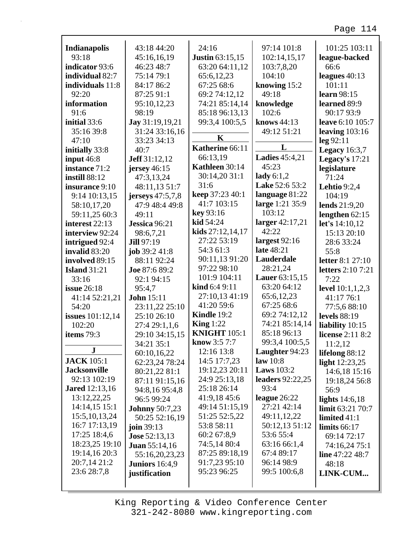| <b>Indianapolis</b>     | 43:18 44:20           | 24:16                  | 97:14 101:8                    | 101:25 103:11            |
|-------------------------|-----------------------|------------------------|--------------------------------|--------------------------|
| 93:18                   | 45:16,16,19           | <b>Justin 63:15,15</b> | 102:14,15,17                   | league-backed            |
| indicator 93:6          | 46:23 48:7            | 63:20 64:11,12         | 103:7,8,20                     | 66:6                     |
| individual 82:7         | 75:14 79:1            | 65:6,12,23             | 104:10                         | leagues $40:13$          |
| individuals 11:8        | 84:17 86:2            | 67:25 68:6             | knowing 15:2                   | 101:11                   |
| 92:20                   | 87:25 91:1            | 69:2 74:12,12          | 49:18                          | learn 98:15              |
| information             | 95:10,12,23           | 74:21 85:14,14         | knowledge                      | learned 89:9             |
| 91:6                    | 98:19                 | 85:18 96:13,13         | 102:6                          | 90:17 93:9               |
| initial 33:6            | Jay 31:19,19,21       | 99:3,4 100:5,5         | knows 44:13                    | leave 6:10 105:7         |
| 35:16 39:8              | 31:24 33:16,16        | $\mathbf K$            | 49:12 51:21                    | leaving $103:16$         |
| 47:10                   | 33:23 34:13           | Katherine 66:11        | L                              | leg 92:11                |
| initially 33:8          | 40:7                  |                        |                                | Legacy $16:3,7$          |
| input $46:8$            | <b>Jeff</b> 31:12,12  | 66:13,19               | <b>Ladies</b> 45:4,21          | Legacy's 17:21           |
| instance 71:2           | jersey $46:15$        | Kathleen 30:14         | 45:23                          | legislature              |
| <b>instill 88:12</b>    | 47:3,13,24            | 30:14,20 31:1          | lady $6:1,2$<br>Lake 52:6 53:2 | 71:24                    |
| insurance 9:10          | 48:11,13 51:7         | 31:6                   |                                | <b>Lehtio</b> 9:2,4      |
| 9:14 10:13,15           | jerseys 47:5,7,8      | keep 37:23 40:1        | language 81:22                 | 104:19                   |
| 58:10,17,20             | 47:9 48:4 49:8        | 41:7 103:15            | large 1:21 35:9                | lends 21:9,20            |
| 59:11,25 60:3           | 49:11                 | key 93:16              | 103:12                         | lengthen $62:15$         |
| interest 22:13          | Jessica 96:21         | kid 54:24              | larger 42:17,21                | let's 14:10,12           |
| interview 92:24         | 98:6,7,21             | kids $27:12,14,17$     | 42:22                          | 15:13 20:10              |
| intrigued 92:4          | <b>Jill 97:19</b>     | 27:22 53:19            | largest $92:16$                | 28:6 33:24               |
| invalid 83:20           | job 39:2 41:8         | 54:3 61:3              | late 48:21                     | 55:8                     |
| involved 89:15          | 88:11 92:24           | 90:11,13 91:20         | Lauderdale                     | <b>letter</b> 8:1 27:10  |
| <b>Island</b> 31:21     | Joe 87:6 89:2         | 97:22 98:10            | 28:21,24                       | <b>letters</b> 2:10 7:21 |
| 33:16                   | 92:1 94:15            | 101:9 104:11           | Lauer 63:15,15                 | 7:22                     |
| <b>issue</b> 26:18      | 95:4,7                | kind 6:4 9:11          | 63:20 64:12                    | level 10:1,1,2,3         |
| 41:14 52:21,21          | <b>John</b> 15:11     | 27:10,13 41:19         | 65:6,12,23                     | 41:17 76:1               |
| 54:20                   | 23:11,22 25:10        | 41:20 59:6             | 67:25 68:6                     | 77:5,688:10              |
| <b>issues</b> 101:12,14 | 25:10 26:10           | Kindle 19:2            | 69:2 74:12,12                  | <b>levels</b> 88:19      |
| 102:20                  | 27:4 29:1,1,6         | King $1:22$            | 74:21 85:14,14                 | liability 10:15          |
| items 79:3              | 29:10 34:15,15        | <b>KNIGHT 105:1</b>    | 85:18 96:13                    | license 2:11 8:2         |
|                         | 34:21 35:1            | know 3:5 7:7           | 99:3,4 100:5,5                 | 11:2,12                  |
| ${\bf J}$               | 60:10,16,22           | 12:16 13:8             | Laughter 94:23                 | lifelong 88:12           |
| <b>JACK</b> 105:1       | 62:23,24 78:24        | 14:5 17:7,23           | law $10:8$                     | light 12:23,25           |
| <b>Jacksonville</b>     | 80:21,22 81:1         | 19:12,23 20:11         | <b>Laws</b> 103:2              | 14:6,18 15:16            |
| 92:13 102:19            | 87:11 91:15,16        | 24:9 25:13,18          | <b>leaders</b> 92:22,25        | 19:18,24 56:8            |
| <b>Jared</b> 12:13,16   | 94:8,16 95:4,8        | 25:18 26:14            | 93:4                           | 56:9                     |
| 13:12,22,25             | 96:5 99:24            | 41:9,18 45:6           | league $26:22$                 | lights $14:6,18$         |
| 14:14,15 15:1           | <b>Johnny</b> 50:7,23 | 49:14 51:15,19         | 27:21 42:14                    | limit 63:21 70:7         |
| 15:5, 10, 13, 24        | 50:25 52:16,19        | 51:25 52:5,22          | 49:11,12,22                    | limited $41:1$           |
| 16:7 17:13,19           | join 39:13            | 53:8 58:11             | 50:12,13 51:12                 | limits $66:17$           |
| 17:25 18:4,6            | <b>Jose 52:13,13</b>  | 60:2 67:8,9            | 53:6 55:4                      | 69:14 72:17              |
| 18:23,25 19:10          | <b>Juan 55:14,16</b>  | 74:5,14 80:4           | 63:16 66:1,4                   | 74:16,24 75:1            |
| 19:14,16 20:3           | 55:16,20,23,23        | 87:25 89:18,19         | 67:4 89:17                     | line 47:22 48:7          |
| 20:7,14 21:2            | <b>Juniors</b> 16:4,9 | 91:7,23 95:10          | 96:14 98:9                     | 48:18                    |
| 23:6 28:7,8             | justification         | 95:23 96:25            | 99:5 100:6,8                   | LINK-CUM                 |
|                         |                       |                        |                                |                          |

г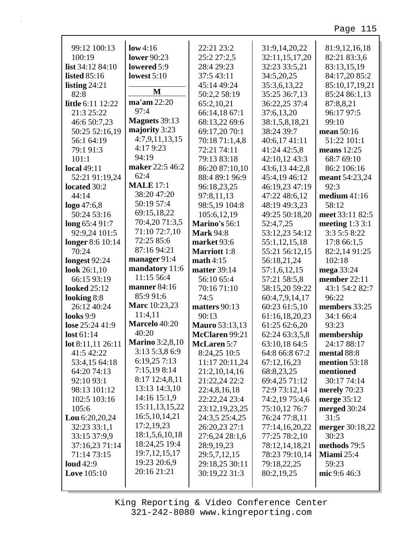| 99:12 100:13        | low 4:16               | 22:21 23:2            | 31:9,14,20,22  | 81:9,12,16,18          |
|---------------------|------------------------|-----------------------|----------------|------------------------|
| 100:19              | <b>lower</b> 90:23     | 25:2 27:2,5           | 32:11,15,17,20 | 82:21 83:3,6           |
| list 34:12 84:10    | lowered 5:9            | 28:4 29:23            | 32:23 33:5,21  | 83:13,15,19            |
| <b>listed</b> 85:16 | lowest $5:10$          | 37:5 43:11            | 34:5,20,25     | 84:17,20 85:2          |
| listing $24:21$     |                        | 45:14 49:24           | 35:3,6,13,22   | 85:10,17,19,21         |
| 82:8                | M                      | 50:2,2 58:19          | 35:25 36:7,13  | 85:24 86:1,13          |
| little 6:11 12:22   | ma'am 22:20            | 65:2,10,21            | 36:22,25 37:4  | 87:8,8,21              |
| 21:3 25:22          | 97:4                   | 66:14,18 67:1         | 37:6,13,20     | 96:17 97:5             |
| 46:6 50:7,23        | <b>Magnets</b> 39:13   | 68:13,22 69:6         | 38:1,5,8,18,21 | 99:10                  |
| 50:25 52:16,19      | majority 3:23          | 69:17,20 70:1         | 38:24 39:7     | mean 50:16             |
| 56:1 64:19          | 4:7,9,11,13,15         | 70:18 71:1,4,8        | 40:6,17 41:11  | 51:22 101:1            |
| 79:1 91:3           | 4:17 9:23              | 72:21 74:11           | 41:24 42:5,8   | means 12:25            |
| 101:1               | 94:19                  | 79:13 83:18           | 42:10,12 43:3  | 68:7 69:10             |
| <b>local</b> 49:11  | maker 22:5 46:2        | 86:20 87:10,10        | 43:6,13 44:2,8 | 86:2 106:16            |
| 52:21 91:19,24      | 62:4                   | 88:4 89:1 96:9        | 45:4,19 46:12  | meant 54:23,24         |
| located 30:2        | <b>MALE</b> 17:1       | 96:18,23,25           | 46:19,23 47:19 | 92:3                   |
| 44:14               | 38:20 47:20            | 97:8,11,13            | 47:22 48:6,12  | medium $41:16$         |
| $logo$ 47:6,8       | 50:19 57:4             | 98:5,19 104:8         | 48:19 49:3,23  | 58:12                  |
| 50:24 53:16         | 69:15,18,22            | 105:6,12,19           | 49:25 50:18,20 | meet 33:11 82:5        |
| long 65:4 91:7      | 70:4,20 71:3,5         | Marino's 56:1         | 52:4,7,25      | meeting $1:33:1$       |
| 92:9,24 101:5       | 71:10 72:7,10          | <b>Mark 94:8</b>      | 53:12,23 54:12 | 3:3 5:5 8:22           |
| longer 8:6 10:14    | 72:25 85:6             | market 93:6           | 55:1,12,15,18  | 17:8 66:1,5            |
| 70:24               | 87:16 94:21            | <b>Marriott</b> 1:8   | 55:21 56:12,15 | 82:2,14 91:25          |
| longest 92:24       | manager 91:4           | math $4:15$           | 56:18,21,24    | 102:18                 |
| look $26:1,10$      | mandatory 11:6         | <b>matter</b> 39:14   | 57:1,6,12,15   | mega 33:24             |
| 66:15 93:19         | 11:15 56:4             | 56:10 65:4            | 57:21 58:5,8   | member 22:11           |
| <b>looked</b> 25:12 | <b>manner</b> 84:16    | 70:16 71:10           | 58:15,20 59:22 | 43:1 54:2 82:7         |
| looking 8:8         | 85:9 91:6              | 74:5                  | 60:4,7,9,14,17 | 96:22                  |
| 26:12 40:24         | Marc 10:23,23          | matters 90:13         | 60:23 61:5,10  | members 33:25          |
| looks 9:9           | 11:4,11                | 90:13                 | 61:16,18,20,23 | 34:1 66:4              |
| lose 25:24 41:9     | Marcelo 40:20          | <b>Mauro</b> 53:13,13 | 61:25 62:6,20  | 93:23                  |
| lost 61:14          | 40:20                  | McClaren 99:21        | 62:24 63:3,5,8 | membership             |
| lot 8:11,11 26:11   | <b>Marino</b> 3:2,8,10 | <b>McLaren 5:7</b>    | 63:10,18 64:5  | 24:17 88:17            |
| 41:5 42:22          | 3:13 5:3,8 6:9         | 8:24,25 10:5          | 64:8 66:8 67:2 | mental 88:8            |
| 53:4,15 64:18       | 6:19,257:13            | 11:17 20:11,24        | 67:12,16,23    | mention 53:18          |
| 64:20 74:13         | 7:15,19 8:14           | 21:2,10,14,16         | 68:8,23,25     | mentioned              |
| 92:10 93:1          | 8:17 12:4,8,11         | 21:22,24 22:2         | 69:4,25 71:12  | 30:17 74:14            |
| 98:13 101:12        | 13:13 14:3,10          | 22:4,8,16,18          | 72:9 73:12,14  | merely $70:23$         |
| 102:5 103:16        | 14:16 15:1,9           | 22:22,24 23:4         | 74:2,19 75:4,6 | merge 35:12            |
| 105:6               | 15:11,13,15,22         | 23:12,19,23,25        | 75:10,12 76:7  | merged 30:24           |
| Lou $6:20,20,24$    | 16:5, 10, 14, 21       | 24:3,5 25:4,25        | 76:24 77:8,11  | 31:5                   |
| 32:23 33:1,1        | 17:2,19,23             | 26:20,23 27:1         | 77:14,16,20,22 | <b>merger</b> 30:18,22 |
| 33:15 37:9,9        | 18:1,5,6,10,18         | 27:6,24 28:1,6        | 77:25 78:2,10  | 30:23                  |
| 37:16,23 71:14      | 18:24,25 19:4          | 28:9,19,23            | 78:12,14,18,21 | methods 79:5           |
| 71:14 73:15         | 19:7, 12, 15, 17       | 29:5,7,12,15          | 78:23 79:10,14 | Miami 25:4             |
| <b>loud</b> 42:9    | 19:23 20:6,9           | 29:18,25 30:11        | 79:18,22,25    | 59:23                  |
| Love 105:10         | 20:16 21:21            | 30:19,22 31:3         | 80:2,19,25     | mic 9:6 46:3           |
|                     |                        |                       |                |                        |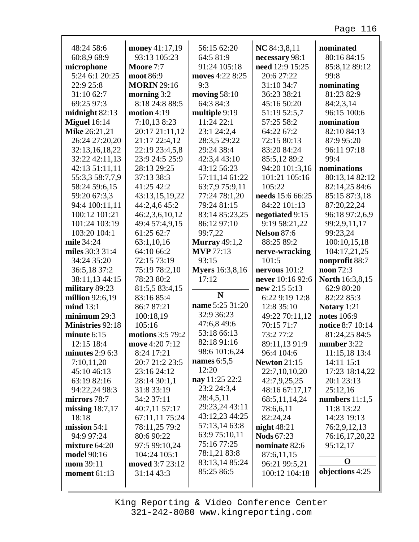| 48:24 58:6              | money 41:17,19     | 56:15 62:20            | NC 84:3,8,11        | nominated              |
|-------------------------|--------------------|------------------------|---------------------|------------------------|
| 60:8,9 68:9             | 93:13 105:23       | 64:5 81:9              | necessary 98:1      | 80:16 84:15            |
| microphone              | Moore 7:7          | 91:24 105:18           | need 12:9 15:25     | 85:8,12 89:12          |
| 5:24 6:1 20:25          | moot 86:9          | moves 4:22 8:25        | 20:6 27:22          | 99:8                   |
| 22:9 25:8               | <b>MORIN</b> 29:16 | 9:3                    | 31:10 34:7          | nominating             |
| 31:10 62:7              | morning $3:2$      | moving $58:10$         | 36:23 38:21         | 81:23 82:9             |
| 69:25 97:3              | 8:18 24:8 88:5     | 64:3 84:3              | 45:16 50:20         | 84:2,3,14              |
| midnight $82:13$        | motion $4:19$      | multiple 9:19          | 51:19 52:5,7        | 96:15 100:6            |
| <b>Miguel</b> 16:14     | 7:10,13 8:23       | 11:24 22:1             | 57:25 58:2          | nomination             |
| Mike 26:21,21           | 20:17 21:11,12     | 23:1 24:2,4            | 64:22 67:2          | 82:10 84:13            |
| 26:24 27:20,20          | 21:17 22:4,12      | 28:3,5 29:22           | 72:15 80:13         | 87:9 95:20             |
| 32:13,16,18,22          | 22:19 23:4,5,8     | 29:24 38:4             | 83:20 84:24         | 96:11 97:18            |
| 32:22 42:11,13          | 23:9 24:5 25:9     | 42:3,4 43:10           | 85:5,12 89:2        | 99:4                   |
| 42:13 51:11,11          | 28:13 29:25        | 43:12 56:23            | 94:20 101:3,16      | nominations            |
| 55:3,3 58:7,7,9         | 37:13 38:3         | 57:11,14 61:22         | 101:21 105:16       | 80:13,14 82:12         |
| 58:24 59:6,15           | 41:25 42:2         | 63:7,9 75:9,11         | 105:22              | 82:14,25 84:6          |
| 59:20 67:3,3            | 43:13,15,19,22     | 77:24 78:1,20          | needs 15:6 66:25    | 85:15 87:3,18          |
| 94:4 100:11,11          | 44:2,4,6 45:2      | 79:24 81:15            | 84:22 101:13        | 87:20,22,24            |
| 100:12 101:21           | 46:2,3,6,10,12     | 83:14 85:23,25         | negotiated 9:15     | 96:18 97:2,6,9         |
| 101:24 103:19           | 49:4 57:4,9,15     | 86:12 97:10            | 9:19 58:21,22       | 99:2,9,11,17           |
| 103:20 104:1            | 61:25 62:7         | 99:7,22                | Nelson 87:6         | 99:23,24               |
| mile 34:24              | 63:1,10,16         | <b>Murray</b> 49:1,2   | 88:25 89:2          | 100:10,15,18           |
| miles 30:3 31:4         | 64:10 66:2         | <b>MVP</b> 77:13       | nerve-wracking      | 104:17,21,25           |
| 34:24 35:20             | 72:15 73:19        | 93:15                  | 101:5               | nonprofit 88:7         |
|                         |                    |                        |                     |                        |
|                         |                    |                        |                     |                        |
| 36:5,18 37:2            | 75:19 78:2,10      | <b>Myers</b> 16:3,8,16 | nervous $101:2$     | noon 72:3              |
| 38:11,13 44:15          | 78:23 80:2         | 17:12                  | never 10:16 92:6    | <b>North</b> 16:3,8,15 |
| military 89:23          | 81:5,5 83:4,15     | N                      | new 2:15 5:13       | 62:9 80:20             |
| million 92:6,19         | 83:16 85:4         |                        | 6:22 9:19 12:8      | 82:22 85:3             |
| mid 13:1                | 86:7 87:21         | name 5:25 31:20        | 12:8 35:10          | Notary 1:21            |
| minimum 29:3            | 100:18,19          | 32:9 36:23             | 49:22 70:11,12      | notes 106:9            |
| <b>Ministries 92:18</b> | 105:16             | 47:6,8 49:6            | 70:15 71:7          | notice 8:7 10:14       |
| minute $6:15$           | motions 3:5 79:2   | 53:18 66:13            | 73:2 77:2           | 81:24,25 84:5          |
| 12:15 18:4              | move 4:20 7:12     | 82:18 91:16            | 89:11,13 91:9       | number 3:22            |
| minutes $2:96:3$        | 8:24 17:21         | 98:6 101:6,24          | 96:4 104:6          | 11:15,18 13:4          |
| 7:10,11,20              | 20:7 21:2 23:5     | names 6:5,5            | <b>Newton 21:15</b> | 14:11 15:1             |
| 45:10 46:13             | 23:16 24:12        | 12:20                  | 22:7,10,10,20       | 17:23 18:14,22         |
| 63:19 82:16             | 28:14 30:1,1       | nay 11:25 22:2         | 42:7,9,25,25        | 20:1 23:13             |
| 94:22,24 98:3           | 31:8 33:19         | 23:2 24:3,4            | 48:16 67:17,17      | 25:12,16               |
| mirrors 78:7            | 34:2 37:11         | 28:4,5,11              | 68:5,11,14,24       | numbers $11:1,5$       |
| missing $18:7,17$       | 40:7,11 57:17      | 29:23,24 43:11         | 78:6,6,11           | 11:8 13:22             |
| 18:18                   | 67:11,11 75:24     | 43:12,23 44:25         | 82:24,24            | 14:23 19:13            |
| mission $54:1$          | 78:11,25 79:2      | 57:13,14 63:8          | night $48:21$       | 76:2,9,12,13           |
| 94:9 97:24              | 80:6 90:22         | 63:9 75:10,11          | <b>Nods</b> 67:23   | 76:16,17,20,22         |
| mixture $64:20$         | 97:5 99:10,24      | 75:16 77:25            | nominate 82:6       | 95:12,17               |
| <b>model</b> 90:16      | 104:24 105:1       | 78:1,21 83:8           | 87:6,11,15          | $\mathbf 0$            |
| mom 39:11               | moved 3:7 23:12    | 83:13,14 85:24         | 96:21 99:5,21       |                        |
| moment $61:13$          | 31:14 43:3         | 85:25 86:5             | 100:12 104:18       | objections 4:25        |

 $\Gamma$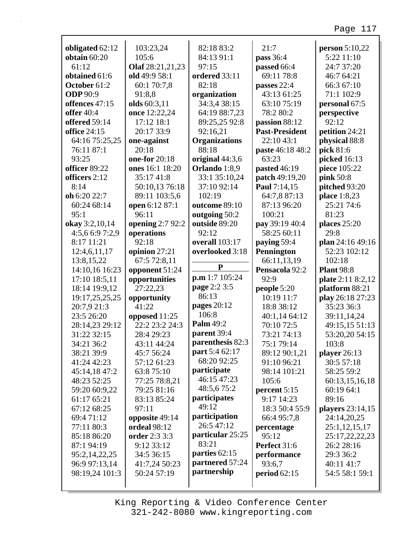| obligated 62:12     | 103:23,24        | 82:18 83:2           | 21:7                  | person $5:10,22$  |
|---------------------|------------------|----------------------|-----------------------|-------------------|
| obtain $60:20$      | 105:6            | 84:13 91:1           | pass 36:4             | 5:22 11:10        |
| 61:12               | Olaf 28:21,21,23 | 97:15                | passed 66:4           | 24:7 37:20        |
| obtained 61:6       | old 49:9 58:1    | ordered 33:11        | 69:11 78:8            | 46:7 64:21        |
| October 61:2        | 60:1 70:7,8      | 82:18                | passes 22:4           | 66:3 67:10        |
| <b>ODP</b> 90:9     | 91:8,8           | organization         | 43:13 61:25           | 71:1 102:9        |
| offences 47:15      | olds 60:3,11     | 34:3,4 38:15         | 63:10 75:19           | personal 67:5     |
| <b>offer</b> 40:4   | once 12:22,24    | 64:19 88:7,23        | 78:2 80:2             | perspective       |
| offered 59:14       | 17:12 18:1       | 89:25,25 92:8        | passion 88:12         | 92:12             |
| <b>office 24:15</b> | 20:17 33:9       | 92:16,21             | <b>Past-President</b> | petition 24:21    |
| 64:16 75:25,25      | one-against      | <b>Organizations</b> | 22:10 43:1            | physical 88:8     |
| 76:11 87:1          | 20:18            | 88:18                | paste 46:18 48:2      | pick 81:6         |
| 93:25               | one-for 20:18    | original 44:3,6      | 63:23                 | picked 16:13      |
| officer 89:22       | ones 16:1 18:20  | Orlando 1:8,9        | pasted 46:19          | piece 105:22      |
| officers 2:12       | 35:17 41:8       | 33:1 35:10,24        | patch 49:19,20        | pink 50:8         |
| 8:14                | 50:10,13 76:18   | 37:10 92:14          | Paul 7:14,15          | pitched 93:20     |
| oh 6:20 22:7        | 89:11 103:5,6    | 102:19               | 64:7,8 87:13          | place 1:8,23      |
| 60:24 68:14         | open 6:12 87:1   | outcome 89:10        | 87:13 96:20           | 25:21 74:6        |
| 95:1                | 96:11            | outgoing 50:2        | 100:21                | 81:23             |
| okay 3:2,10,14      | opening 2:7 92:2 | outside 89:20        | pay 39:19 40:4        | places 25:20      |
| 4:5,6 6:9 7:2,9     | operations       | 92:12                | 58:25 60:11           | 29:8              |
| 8:17 11:21          | 92:18            | overall 103:17       | paying 59:4           | plan 24:16 49:16  |
| 12:4,6,11,17        | opinion 27:21    | overlooked 3:18      | Pennington            | 52:23 102:12      |
| 13:8,15,22          | 67:5 72:8,11     |                      | 66:11,13,19           | 102:18            |
|                     |                  | ${\bf P}$            |                       |                   |
| 14:10,16 16:23      | opponent 51:24   |                      | Pensacola 92:2        | <b>Plant 98:8</b> |
| 17:10 18:5,11       | opportunities    | p.m 1:7 105:24       | 92:9                  | plate 2:11 8:2,12 |
| 18:14 19:9,12       | 27:22,23         | page 2:2 3:5         | people 5:20           | platform 88:21    |
| 19:17,25,25,25      | opportunity      | 86:13                | 10:19 11:7            | play 26:18 27:23  |
| 20:7,9 21:3         | 41:22            | pages 20:12          | 18:8 38:12            | 35:23 36:3        |
| 23:5 26:20          | opposed 11:25    | 106:8                | 40:1,14 64:12         | 39:11,14,24       |
| 28:14,23 29:12      | 22:2 23:2 24:3   | Palm 49:2            | 70:10 72:5            | 49:15,15 51:13    |
| 31:22 32:15         | 28:4 29:23       | parent 39:4          | 73:21 74:13           | 53:20,20 54:15    |
| 34:21 36:2          | 43:11 44:24      | parenthesis 82:3     | 75:1 79:14            | 103:8             |
| 38:21 39:9          | 45:7 56:24       | part 5:4 62:17       | 89:12 90:1,21         | player $26:13$    |
| 41:24 42:23         | 57:12 61:23      | 68:20 92:25          | 91:10 96:21           | 30:5 57:18        |
| 45:14,18 47:2       | 63:8 75:10       | participate          | 98:14 101:21          | 58:25 59:2        |
| 48:23 52:25         | 77:25 78:8,21    | 46:15 47:23          | 105:6                 | 60:13,15,16,18    |
| 59:20 60:9,22       | 79:25 81:16      | 48:5,675:2           | percent 5:15          | 60:19 64:1        |
| 61:17 65:21         | 83:13 85:24      | participates         | 9:17 14:23            | 89:16             |
| 67:12 68:25         | 97:11            | 49:12                | 18:3 50:4 55:9        | players 23:14,15  |
| 69:471:12           | opposite 49:14   | participation        | 66:4 95:7,8           | 24:14,20,25       |
| 77:11 80:3          | ordeal 98:12     | 26:5 47:12           | percentage            | 25:1,12,15,17     |
| 85:18 86:20         | order 2:3 3:3    | particular 25:25     | 95:12                 | 25:17,22,22,23    |
| 87:1 94:19          | 9:12 33:12       | 83:21                | Perfect 31:6          | 26:2 28:16        |
| 95:2,14,22,25       | 34:5 36:15       | parties 62:15        | performance           | 29:3 36:2         |
| 96:9 97:13,14       | 41:7,24 50:23    | partnered 57:24      | 93:6,7                | 40:11 41:7        |
| 98:19,24 101:3      | 50:24 57:19      | partnership          | period $62:15$        | 54:5 58:1 59:1    |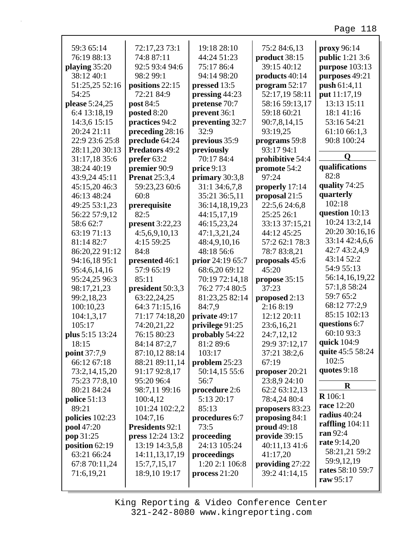| 59:3 65:14        | 72:17,23 73:1        | 19:18 28:10      | 75:2 84:6,13      | proxy 96:14            |
|-------------------|----------------------|------------------|-------------------|------------------------|
| 76:19 88:13       | 74:8 87:11           | 44:24 51:23      | product 38:15     | <b>public</b> 1:21 3:6 |
| playing 35:20     | 92:5 93:4 94:6       | 75:17 86:4       | 39:15 40:12       | purpose 103:13         |
| 38:12 40:1        | 98:2 99:1            | 94:14 98:20      | products 40:14    | purposes 49:21         |
| 51:25,25 52:16    | positions 22:15      | pressed 13:5     | program $52:17$   | push 61:4,11           |
| 54:25             | 72:21 84:9           | pressing 44:23   | 52:17,19 58:11    | put 11:17,19           |
| please 5:24,25    | post 84:5            | pretense 70:7    | 58:16 59:13,17    | 13:13 15:11            |
| 6:4 13:18,19      | posted 8:20          | prevent 36:1     | 59:18 60:21       | 18:1 41:16             |
| 14:3,6 15:15      | practices 94:2       | preventing 32:7  | 90:7,8,14,15      | 53:16 54:21            |
| 20:24 21:11       | preceding 28:16      | 32:9             | 93:19,25          | 61:10 66:1,3           |
| 22:9 23:6 25:8    | preclude 64:24       | previous 35:9    | programs 59:8     | 90:8 100:24            |
| 28:11,20 30:13    | Predators 49:2       | previously       | 93:17 94:1        |                        |
| 31:17,18 35:6     | prefer 63:2          | 70:17 84:4       | prohibitive 54:4  | Q                      |
| 38:24 40:19       | premier 90:9         | price 9:13       | promote 54:2      | qualifications         |
| 43:9,24 45:11     | <b>Prenat</b> 25:3,4 | primary 30:3,8   | 97:24             | 82:8                   |
| 45:15,20 46:3     | 59:23,23 60:6        | 31:1 34:6,7,8    | properly 17:14    | quality 74:25          |
| 46:13 48:24       | 60:8                 | 35:21 36:5,11    | proposal 21:5     | quarterly              |
| 49:25 53:1,23     | prerequisite         | 36:14,18,19,23   | 22:5,6 24:6,8     | 102:18                 |
| 56:22 57:9,12     | 82:5                 | 44:15,17,19      | 25:25 26:1        | question 10:13         |
| 58:6 62:7         | present $3:22,23$    | 46:15,23,24      | 33:13 37:15,21    | 10:24 13:2,14          |
| 63:19 71:13       | 4:5,6,9,10,13        | 47:1,3,21,24     | 44:12 45:25       | 20:20 30:16,16         |
| 81:14 82:7        | 4:15 59:25           | 48:4,9,10,16     | 57:2 62:1 78:3    | 33:14 42:4,6,6         |
| 86:20,22 91:12    | 84:8                 | 48:18 56:6       | 78:7 83:8,21      | 42:7 43:2,4,9          |
| 94:16,18 95:1     | presented 46:1       | prior 24:19 65:7 | proposals 45:6    | 43:14 52:2             |
| 95:4,6,14,16      | 57:9 65:19           | 68:6,20 69:12    | 45:20             | 54:9 55:13             |
| 95:24,25 96:3     | 85:11                | 70:19 72:14,18   | propose 35:15     | 56:14,16,19,22         |
| 98:17,21,23       | president 50:3,3     | 76:2 77:4 80:5   | 37:23             | 57:1,8 58:24           |
| 99:2,18,23        | 63:22,24,25          | 81:23,25 82:14   | proposed 2:13     | 59:7 65:2              |
| 100:10,23         | 64:3 71:15,16        | 84:7,9           | 2:16 8:19         | 68:12 77:2,9           |
|                   |                      | private 49:17    | 12:12 20:11       | 85:15 102:13           |
| 104:1,3,17        | 71:17 74:18,20       |                  |                   | questions 6:7          |
| 105:17            | 74:20,21,22          | privilege 91:25  | 23:6,16,21        | 60:10 93:3             |
| plus 5:15 13:24   | 76:15 80:23          | probably 54:22   | 24:7,12,12        | quick 104:9            |
| 18:15             | 84:14 87:2,7         | 81:2 89:6        | 29:9 37:12,17     | quite 45:5 58:24       |
| point 37:7,9      | 87:10,12 88:14       | 103:17           | 37:21 38:2,6      | 102:5                  |
| 66:12 67:18       | 88:21 89:11,14       | problem 25:23    | 67:19             |                        |
| 73:2,14,15,20     | 91:17 92:8,17        | 50:14,15 55:6    | proposer $20:21$  | quotes 9:18            |
| 75:23 77:8,10     | 95:20 96:4           | 56:7             | 23:8,9 24:10      | $\bf R$                |
| 80:21 84:24       | 98:7,11 99:16        | procedure 2:6    | 62:2 63:12,13     | <b>R</b> 106:1         |
| police $51:13$    | 100:4,12             | 5:13 20:17       | 78:4,24 80:4      | race 12:20             |
| 89:21             | 101:24 102:2,2       | 85:13            | proposers 83:23   |                        |
| policies 102:23   | 104:7,16             | procedures 6:7   | proposing 84:1    | radius 40:24           |
| <b>pool</b> 47:20 | Presidents 92:1      | 73:5             | proud 49:18       | raffling $104:11$      |
| pop 31:25         | press 12:24 13:2     | proceeding       | provide 39:15     | ran 92:4               |
| position $62:19$  | 13:19 14:3,5,8       | 24:13 105:24     | 40:11,13 41:6     | rate 9:14,20           |
| 63:21 66:24       | 14:11,13,17,19       | proceedings      | 41:17,20          | 58:21,21 59:2          |
| 67:8 70:11,24     | 15:7,7,15,17         | 1:20 2:1 106:8   | providing $27:22$ | 59:9,12,19             |
| 71:6,19,21        | 18:9,10 19:17        | process $21:20$  | 39:2 41:14,15     | rates 58:10 59:7       |
|                   |                      |                  |                   | raw 95:17              |

г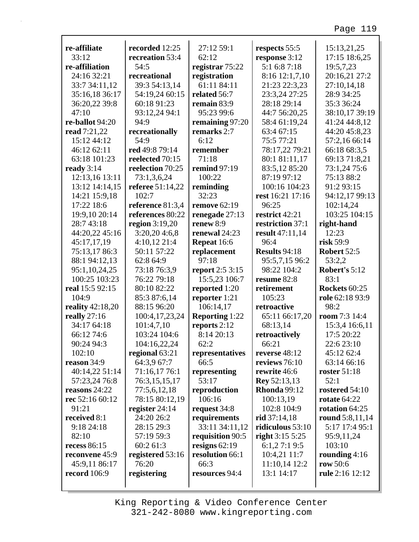| re-affiliate            | recorded 12:25   | 27:12 59:1            | respects 55:5        | 15:13,21,25         |
|-------------------------|------------------|-----------------------|----------------------|---------------------|
| 33:12                   | recreation 53:4  | 62:12                 | response 3:12        | 17:15 18:6,25       |
| re-affiliation          | 54:5             | registrar 75:22       | 5:1 6:8 7:18         | 19:5,7,23           |
| 24:16 32:21             | recreational     | registration          | 8:16 12:1,7,10       | 20:16,21 27:2       |
| 33:7 34:11,12           | 39:3 54:13,14    | 61:11 84:11           | 21:23 22:3,23        | 27:10,14,18         |
| 35:16,18 36:17          | 54:19,24 60:15   | related 56:7          | 23:3,24 27:25        | 28:9 34:25          |
| 36:20,22 39:8           | 60:18 91:23      | remain 83:9           | 28:18 29:14          | 35:3 36:24          |
| 47:10                   | 93:12,24 94:1    | 95:23 99:6            | 44:7 56:20,25        | 38:10,17 39:19      |
| re-ballot 94:20         | 94:9             | remaining 97:20       | 58:4 61:19,24        | 41:24 44:8,12       |
| read 7:21,22            | recreationally   | remarks 2:7           | 63:4 67:15           | 44:20 45:8,23       |
| 15:12 44:12             | 54:9             | 6:12                  | 75:5 77:21           | 57:2,16 66:14       |
| 46:12 62:11             | red 49:8 79:14   | remember              | 78:17,22 79:21       | 66:18 68:3,5        |
| 63:18 101:23            | reelected 70:15  | 71:18                 | 80:1 81:11,17        | 69:13 71:8,21       |
| ready $3:14$            | reelection 70:25 | remind $97:19$        | 83:5,12 85:20        | 73:1,24 75:6        |
| 12:13,16 13:11          | 73:1,3,6,24      | 100:22                | 87:19 97:12          | 75:13 88:2          |
| 13:12 14:14,15          | referee 51:14,22 | reminding             | 100:16 104:23        | 91:2 93:15          |
| 14:21 15:9,18           | 102:7            | 32:23                 | rest 16:21 17:16     | 94:12,17 99:13      |
| 17:22 18:6              | reference 81:3,4 | <b>remove</b> 62:19   | 96:25                | 102:14,24           |
| 19:9,10 20:14           | references 80:22 | renegade 27:13        | restrict 42:21       | 103:25 104:15       |
| 28:7 43:18              | region $3:19,20$ | renew 8:9             | restriction 37:1     | right-hand          |
| 44:20,22 45:16          | 3:20,204:6,8     | renewal 24:23         | result 47:11,14      | 12:23               |
| 45:17,17,19             | 4:10,12 21:4     | Repeat 16:6           | 96:4                 | risk 59:9           |
| 75:13,1786:3            | 50:11 57:22      | replacement           | <b>Results 94:18</b> | <b>Robert 52:5</b>  |
| 88:1 94:12,13           | 62:8 64:9        | 97:18                 | 95:5,7,15 96:2       | 53:2,2              |
| 95:1,10,24,25           | 73:18 76:3,9     | report 2:5 3:15       | 98:22 104:2          | Robert's 5:12       |
| 100:25 103:23           | 76:22 79:18      | 15:5,23 106:7         | resume 82:8          | 83:1                |
| real 15:5 92:15         | 80:10 82:22      | reported 1:20         | retirement           | Rockets 60:25       |
| 104:9                   | 85:3 87:6,14     | reporter 1:21         | 105:23               | role 62:18 93:9     |
| <b>reality</b> 42:18,20 | 88:15 96:20      | 106:14,17             | retroactive          | 98:2                |
| really $27:16$          | 100:4,17,23,24   | <b>Reporting 1:22</b> | 65:11 66:17,20       | room 7:3 14:4       |
| 34:17 64:18             | 101:4,7,10       | reports 2:12          | 68:13,14             | 15:3,4 16:6,11      |
| 66:12 74:6              | 103:24 104:6     | 8:14 20:13            | retroactively        | 17:5 20:22          |
| 90:24 94:3              | 104:16,22,24     | 62:2                  | 66:21                | 22:6 23:10          |
| 102:10                  | regional 63:21   | representatives       | reverse $48:12$      | 45:12 62:4          |
| reason 34:9             | 64:3,9 67:7      | 66:5                  | reviews 76:10        | 63:14 66:16         |
| 40:14,22 51:14          | 71:16,17 76:1    | representing          | rewrite 46:6         | <b>roster</b> 51:18 |
| 57:23,24 76:8           | 76:3,15,15,17    | 53:17                 | <b>Rey</b> 52:13,13  | 52:1                |
| reasons 24:22           | 77:5,6,12,18     | reproduction          | <b>Rhonda</b> 99:12  | rostered 54:10      |
| rec 52:16 60:12         | 78:15 80:12,19   | 106:16                | 100:13,19            | rotate 64:22        |
| 91:21                   | register $24:14$ | request 34:8          | 102:8 104:9          | rotation 64:25      |
| received 8:1            | 24:20 26:2       | requirements          | rid $37:14,18$       | round 5:8,11,14     |
| 9:18 24:18              | 28:15 29:3       | 33:11 34:11,12        | ridiculous 53:10     | 5:17 17:4 95:1      |
| 82:10                   | 57:19 59:3       | requisition 90:5      | right 3:15 5:25      | 95:9,11,24          |
| recess 86:15            | 60:2 61:3        | resigns $62:19$       | 6:1,27:19:5          | 103:10              |
| reconvene 45:9          | registered 53:16 | resolution 66:1       | 10:4,21 11:7         | rounding $4:16$     |
| 45:9,11 86:17           | 76:20            | 66:3                  | 11:10,14 12:2        | row 50:6            |
| <b>record</b> 106:9     | registering      | resources 94:4        | 13:1 14:17           | rule 2:16 12:12     |
|                         |                  |                       |                      |                     |

г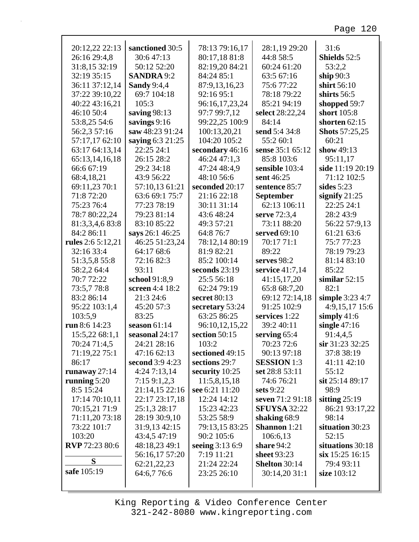| 20:12,22 22:13        | sanctioned 30:5    | 78:13 79:16,17  | 28:1,19 29:20        | 31:6                  |
|-----------------------|--------------------|-----------------|----------------------|-----------------------|
| 26:16 29:4,8          | 30:647:13          | 80:17,18 81:8   | 44:8 58:5            | Shields 52:5          |
| 31:8,15 32:19         | 50:12 52:20        | 82:19,20 84:21  | 60:24 61:20          | 53:2,2                |
| 32:19 35:15           | <b>SANDRA</b> 9:2  | 84:24 85:1      | 63:5 67:16           | ship $90:3$           |
| 36:11 37:12,14        | <b>Sandy 9:4,4</b> | 87:9,13,16,23   | 75:677:22            | shirt 56:10           |
| 37:22 39:10,22        | 69:7 104:18        | 92:16 95:1      | 78:18 79:22          | shirts $56:5$         |
| 40:22 43:16,21        | 105:3              | 96:16,17,23,24  | 85:21 94:19          | shopped 59:7          |
| 46:10 50:4            | saving $98:13$     | 97:7 99:7,12    | select 28:22,24      | short 105:8           |
| 53:8,25 54:6          | savings $9:16$     | 99:22,25 100:9  | 84:14                | shorten $62:15$       |
| 56:2,3 57:16          | saw 48:23 91:24    | 100:13,20,21    | send 5:4 34:8        | <b>Shots</b> 57:25,25 |
| 57:17,17 62:10        | saying 6:3 21:25   | 104:20 105:2    | 55:2 60:1            | 60:21                 |
| 63:17 64:13,14        | 22:25 24:1         | secondary 46:16 | sense 35:1 65:12     | show 49:13            |
| 65:13,14,16,18        | 26:15 28:2         | 46:24 47:1,3    | 85:8 103:6           | 95:11,17              |
| 66:6 67:19            | 29:2 34:18         | 47:24 48:4,9    | sensible 103:4       | side 11:19 20:19      |
| 68:4,18,21            | 43:9 56:22         | 48:10 56:6      | sent 46:25           | 71:12 102:5           |
| 69:11,23 70:1         | 57:10,13 61:21     | seconded 20:17  | sentence 85:7        | sides $5:23$          |
| 71:8 72:20            | 63:6 69:1 75:7     | 21:16 22:18     | <b>September</b>     | signify $21:25$       |
| 75:23 76:4            | 77:23 78:19        | 30:11 31:14     | 62:13 106:11         | 22:25 24:1            |
| 78:7 80:22,24         | 79:23 81:14        | 43:6 48:24      | serve 72:3,4         | 28:2 43:9             |
| 81:3,3,4,6 83:8       | 83:10 85:22        | 49:3 57:21      | 73:11 88:20          | 56:22 57:9,13         |
| 84:2 86:11            | says 26:1 46:25    | 64:8 76:7       | served 69:10         | 61:21 63:6            |
| rules 2:6 5:12,21     | 46:25 51:23,24     | 78:12,14 80:19  | 70:17 71:1           | 75:777:23             |
| 32:16 33:4            | 64:17 68:6         | 81:9 82:21      | 89:22                | 78:19 79:23           |
|                       |                    |                 |                      |                       |
| 51:3,5,8 55:8         | 72:16 82:3         | 85:2 100:14     | serves $98:2$        | 81:14 83:10           |
| 58:2,2 64:4           | 93:11              | seconds 23:19   | service 41:7,14      | 85:22                 |
| 70:7 72:22            | school 91:8,9      | 25:5 56:18      | 41:15,17,20          | similar $52:15$       |
| 73:5,778:8            | screen 4:4 18:2    | 62:24 79:19     | 65:8 68:7,20         | 82:1                  |
| 83:2 86:14            | 21:3 24:6          | secret 80:13    | 69:12 72:14,18       | simple 3:23 4:7       |
| 95:22 103:1,4         | 45:20 57:3         | secretary 53:24 | 91:25 102:9          | 4:9,15,17 15:6        |
| 103:5,9               | 83:25              | 63:25 86:25     | services 1:22        | simply $41:6$         |
| run 8:6 14:23         | season $61:14$     | 96:10,12,15,22  | 39:2 40:11           | single $47:16$        |
| 15:5,22 68:1,1        | seasonal 24:17     | section 50:15   | serving $65:4$       | 91:4,4,5              |
| 70:24 71:4,5          | 24:21 28:16        | 103:2           | 70:23 72:6           | sir 31:23 32:25       |
| 71:19,22 75:1         | 47:16 62:13        | sectioned 49:15 | 90:13 97:18          | 37:8 38:19            |
| 86:17                 | second 3:9 4:23    | sections 29:7   | <b>SESSION</b> 1:3   | 41:11 42:10           |
| runaway $27:14$       | 4:247:13,14        | security 10:25  | set 28:8 53:11       | 55:12                 |
| running $5:20$        | 7:159:1,2,3        | 11:5,8,15,18    | 74:6 76:21           | sit 25:14 89:17       |
| 8:5 15:24             | 21:14,15 22:16     | see 6:21 11:20  | sets 9:22            | 98:9                  |
| 17:14 70:10,11        | 22:17 23:17,18     | 12:24 14:12     | seven 71:2 91:18     | sitting $25:19$       |
| 70:15,21 71:9         | 25:1,3 28:17       | 15:23 42:23     | <b>SFUYSA 32:22</b>  | 86:21 93:17,22        |
| 71:11,20 73:18        | 28:19 30:9,10      | 53:25 58:9      | shaking 68:9         | 98:14                 |
| 73:22 101:7           | 31:9,13 42:15      | 79:13,15 83:25  | Shannon 1:21         | situation 30:23       |
| 103:20                | 43:4,5 47:19       | 90:2 105:6      | 106:6,13             | 52:15                 |
| <b>RVP</b> 72:23 80:6 | 48:18,23 49:1      | seeing 3:13 6:9 | share $94:2$         | situations 30:18      |
|                       | 56:16,17 57:20     | 7:19 11:21      | sheet 93:23          | six 15:25 16:15       |
| S                     |                    | 21:24 22:24     | <b>Shelton 30:14</b> |                       |
| safe 105:19           | 62:21,22,23        |                 |                      | 79:4 93:11            |
|                       | 64:6,7 76:6        | 23:25 26:10     | 30:14,20 31:1        | size 103:12           |
|                       |                    |                 |                      |                       |

г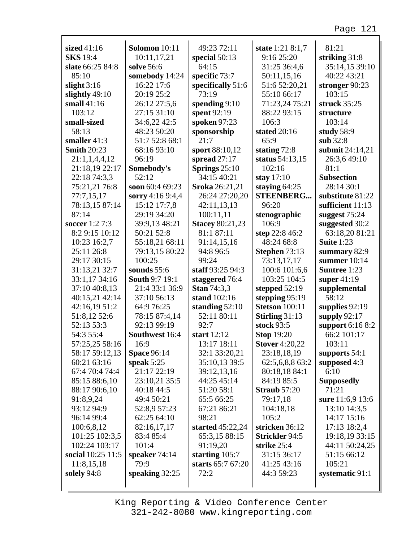| sized 41:16        | Solomon 10:11         | 49:23 72:11            | state 1:21 8:1,7      | 81:21               |
|--------------------|-----------------------|------------------------|-----------------------|---------------------|
| <b>SKS</b> 19:4    | 10:11,17,21           | special $50:13$        | 9:16 25:20            | striking $31:8$     |
| slate 66:25 84:8   | solve 56:6            | 64:15                  | 31:25 36:4,6          | 35:14,15 39:10      |
| 85:10              | somebody 14:24        | specific 73:7          | 50:11,15,16           | 40:22 43:21         |
| slight $3:16$      | 16:22 17:6            | specifically 51:6      | 51:6 52:20,21         | stronger 90:23      |
| slightly 49:10     | 20:19 25:2            | 73:19                  | 55:10 66:17           | 103:15              |
| small $41:16$      | 26:12 27:5,6          | spending $9:10$        | 71:23,24 75:21        | struck 35:25        |
| 103:12             | 27:15 31:10           | spent 92:19            | 88:22 93:15           | structure           |
| small-sized        | 34:6,22 42:5          | spoken 97:23           | 106:3                 | 103:14              |
| 58:13              | 48:23 50:20           | sponsorship            | stated 20:16          | study 58:9          |
| smaller $41:3$     | 51:7 52:8 68:1        | 21:7                   | 65:9                  | sub $32:8$          |
| <b>Smith 20:23</b> | 68:16 93:10           | sport 88:10,12         | stating 72:8          | submit 24:14,21     |
| 21:1,1,4,4,12      | 96:19                 | spread $27:17$         | status 54:13,15       | 26:3,6 49:10        |
| 21:18,19 22:17     | Somebody's            | Springs $25:10$        | 102:16                | 81:1                |
| 22:18 74:3,3       | 52:12                 | 34:15 40:21            | stay $17:10$          | <b>Subsection</b>   |
| 75:21,21 76:8      | soon 60:4 69:23       | Sroka 26:21,21         | staying $64:25$       | 28:14 30:1          |
| 77:7,15,17         | sorry 4:16 9:4,4      | 26:24 27:20,20         | <b>STEENBERG</b>      | substitute 81:22    |
| 78:13,15 87:14     | 15:12 17:7,8          | 42:11,13,13            | 96:20                 | sufficient 11:13    |
| 87:14              | 29:19 34:20           | 100:11,11              | stenographic          | suggest $75:24$     |
| soccer 1:2 7:3     | 39:9,13 48:21         | <b>Stacey 80:21,23</b> | 106:9                 | suggested 30:2      |
| 8:2 9:15 10:12     | 50:21 52:8            | 81:1 87:11             | step 22:8 46:2        | 63:18,20 81:21      |
| 10:23 16:2,7       | 55:18,21 68:11        | 91:14,15,16            | 48:24 68:8            | <b>Suite 1:23</b>   |
| 25:11 26:8         | 79:13,15 80:22        | 94:8 96:5              | Stephen 73:13         | summary $82:9$      |
| 29:17 30:15        | 100:25                | 99:24                  | 73:13,17,17           | summer $10:14$      |
| 31:13,21 32:7      | sounds $55:6$         | staff 93:25 94:3       | 100:6 101:6,6         | <b>Suntree 1:23</b> |
| 33:1,17 34:16      | <b>South 9:7 19:1</b> | staggered 76:4         | 103:25 104:5          | super $41:19$       |
| 37:10 40:8,13      | 21:4 33:1 36:9        | <b>Stan 74:3,3</b>     | stepped $52:19$       | supplemental        |
| 40:15,21 42:14     | 37:10 56:13           | stand 102:16           | stepping 95:19        | 58:12               |
| 42:16,19 51:2      | 64:9 76:25            | standing $52:10$       | <b>Stetson</b> 100:11 | supplies 92:19      |
| 51:8,12 52:6       | 78:15 87:4,14         | 52:11 80:11            | Stirling 31:13        | supply $92:17$      |
| 52:13 53:3         | 92:13 99:19           | 92:7                   | stock 93:5            | support $6:168:2$   |
| 54:3 55:4          | Southwest 16:4        | start 12:12            | <b>Stop 19:20</b>     | 66:2 101:17         |
| 57:25,25 58:16     | 16:9                  | 13:17 18:11            | <b>Stover 4:20,22</b> | 103:11              |
| 58:17 59:12,13     | <b>Space 96:14</b>    | 32:1 33:20,21          | 23:18,18,19           | supports 54:1       |
| 60:21 63:16        | speak $5:25$          | 35:10,13 39:5          | 62:5,6,8,8 63:2       | supposed 4:3        |
| 67:4 70:4 74:4     | 21:17 22:19           | 39:12,13,16            | 80:18,18 84:1         | 6:10                |
| 85:15 88:6,10      | 23:10,21 35:5         | 44:25 45:14            | 84:19 85:5            | <b>Supposedly</b>   |
| 88:17 90:6,10      | 40:18 44:5            | 51:20 58:1             | <b>Straub</b> 57:20   | 71:21               |
| 91:8,9,24          | 49:4 50:21            | 65:5 66:25             | 79:17,18              | sure 11:6,9 13:6    |
| 93:12 94:9         | 52:8,9 57:23          | 67:21 86:21            | 104:18,18             | 13:10 14:3,5        |
| 96:14 99:4         | 62:25 64:10           | 98:21                  | 105:2                 | 14:17 15:16         |
| 100:6,8,12         | 82:16,17,17           | started 45:22,24       | stricken 36:12        | 17:13 18:2,4        |
| 101:25 102:3,5     | 83:4 85:4             | 65:3,15 88:15          | <b>Strickler 94:5</b> | 19:18,19 33:15      |
| 102:24 103:17      | 101:4                 | 91:19,20               | strike 25:4           | 44:11 50:24,25      |
| social 10:25 11:5  | speaker $74:14$       | starting $105:7$       | 31:15 36:17           | 51:15 66:12         |
| 11:8,15,18         | 79:9                  | starts 65:7 67:20      | 41:25 43:16           | 105:21              |
| solely 94:8        | speaking 32:25        | 72:2                   | 44:3 59:23            | systematic 91:1     |
|                    |                       |                        |                       |                     |

 $\Gamma$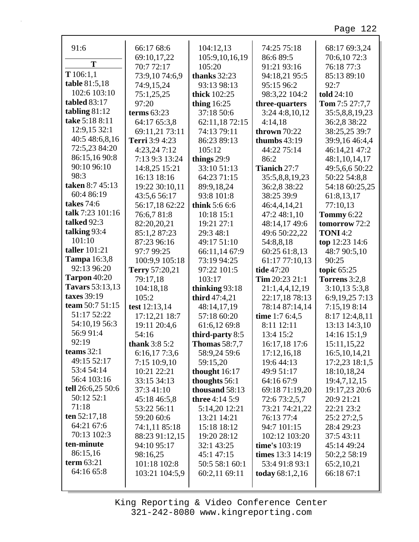| 91:6                   | 66:17 68:6     | 104:12,13             | 74:25 75:18        | 68:17 69:3,24         |
|------------------------|----------------|-----------------------|--------------------|-----------------------|
|                        | 69:10,17,22    | 105:9,10,16,19        | 86:6 89:5          | 70:6,1072:3           |
| T                      | 70:7 72:17     | 105:20                | 91:21 93:16        | 76:18 77:3            |
| T 106:1,1              | 73:9,1074:6,9  | thanks $32:23$        | 94:18,21 95:5      | 85:13 89:10           |
| table 81:5,18          | 74:9,15,24     | 93:13 98:13           | 95:15 96:2         | 92:7                  |
| 102:6 103:10           | 75:1,25,25     | <b>thick</b> 102:25   | 98:3,22 104:2      | told 24:10            |
| tabled 83:17           | 97:20          | thing $16:25$         | three-quarters     | <b>Tom</b> 7:5 27:7,7 |
| tabling $81:12$        | terms $63:23$  | 37:18 50:6            | 3:24 4:8,10,12     | 35:5,8,8,19,23        |
| take 5:18 8:11         | 64:17 65:3,8   | 62:11,18 72:15        | 4:14,18            | 36:2,8 38:22          |
| 12:9,15 32:1           | 69:11,21 73:11 | 74:13 79:11           | thrown $70:22$     | 38:25,25 39:7         |
| 40:5 48:6,8,16         | Terri 3:9 4:23 | 86:23 89:13           | thumbs $43:19$     | 39:9,16 46:4,4        |
| 72:5,23 84:20          | 4:23,247:12    | 105:12                | 44:22 75:14        | 46:14,21 47:2         |
| 86:15,16 90:8          | 7:13 9:3 13:24 | things 29:9           | 86:2               | 48:1,10,14,17         |
| 90:10 96:10            | 14:8,25 15:21  | 33:10 51:13           | Tianich 27:7       | 49:5,6,6 50:22        |
| 98:3                   | 16:13 18:16    | 64:23 71:15           | 35:5,8,8,19,23     | 50:22 54:8,8          |
| taken 8:7 45:13        | 19:22 30:10,11 | 89:9,18,24            | 36:2,8 38:22       | 54:18 60:25,25        |
| 60:4 86:19             | 43:5,6 56:17   | 93:8 101:8            | 38:25 39:9         | 61:8,13,17            |
| <b>takes</b> 74:6      | 56:17,18 62:22 | think 5:6 6:6         | 46:4,4,14,21       | 77:10,13              |
| talk 7:23 101:16       | 76:6,7 81:8    | 10:18 15:1            | 47:2 48:1,10       | <b>Tommy 6:22</b>     |
| talked 92:3            | 82:20,20,21    | 19:21 27:1            | 48:14,17 49:6      | tomorrow 72:2         |
| talking 93:4           | 85:1,287:23    | 29:3 48:1             | 49:6 50:22,22      | <b>TONI</b> 4:2       |
| 101:10                 | 87:23 96:16    | 49:17 51:10           | 54:8,8,18          | top 12:23 14:6        |
| taller 101:21          | 97:7 99:25     | 66:11,14 67:9         | 60:25 61:8,13      | 48:7 90:5,10          |
| <b>Tampa</b> 16:3,8    | 100:9,9 105:18 | 73:19 94:25           | 61:17 77:10,13     | 90:25                 |
|                        |                |                       |                    |                       |
| 92:13 96:20            | Terry 57:20,21 | 97:22 101:5           | tide 47:20         | topic $65:25$         |
| <b>Tarpon</b> 40:20    | 79:17,18       | 103:17                | Tim $20:23$ $21:1$ | Torrens 3:2,8         |
| <b>Tavars</b> 53:13,13 | 104:18,18      | thinking $93:18$      | 21:1,4,4,12,19     | 3:10,135:3,8          |
| taxes 39:19            | 105:2          | third 47:4,21         | 22:17,18 78:13     | 6:9,19,25 7:13        |
| team 50:7 51:15        | test 12:13,14  | 48:14,17,19           | 78:14 87:14,14     | 7:15,19 8:14          |
| 51:17 52:22            | 17:12,21 18:7  | 57:18 60:20           | time $1:76:4,5$    | 8:17 12:4,8,11        |
| 54:10,19 56:3          | 19:11 20:4,6   | 61:6,12 69:8          | 8:11 12:11         | 13:13 14:3,10         |
| 56:9 91:4              | 54:16          | third-party 8:5       | 13:4 15:2          | 14:16 15:1,9          |
| 92:19                  | thank $3:85:2$ | <b>Thomas</b> 58:7,7  | 16:17,18 17:6      | 15:11,15,22           |
| teams $32:1$           | 6:16,177:3,6   | 58:9,24 59:6          | 17:12,16,18        | 16:5, 10, 14, 21      |
| 49:15 52:17            | 7:15 10:9,10   | 59:15,20              | 19:6 44:13         | 17:2,23 18:1,5        |
| 53:4 54:14             | 10:21 22:21    | thought 16:17         | 49:9 51:17         | 18:10,18,24           |
| 56:4 103:16            | 33:15 34:13    | thoughts 56:1         | 64:16 67:9         | 19:4,7,12,15          |
| tell 26:6,25 50:6      | 37:3 41:10     | thousand 58:13        | 69:18 71:19,20     | 19:17,23 20:6         |
| 50:12 52:1             | 45:18 46:5,8   | <b>three</b> 4:14 5:9 | 72:6 73:2,5,7      | 20:9 21:21            |
| 71:18                  | 53:22 56:11    | 5:14,20 12:21         | 73:21 74:21,22     | 22:21 23:2            |
| ten $52:17,18$         | 59:20 60:6     | 13:21 14:21           | 76:13 77:4         | 25:2 27:2,5           |
| 64:21 67:6             | 74:1,11 85:18  | 15:18 18:12           | 94:7 101:15        | 28:4 29:23            |
| 70:13 102:3            | 88:23 91:12,15 | 19:20 28:12           | 102:12 103:20      | 37:5 43:11            |
| ten-minute             | 94:10 95:17    | 32:1 43:25            | time's 103:19      | 45:14 49:24           |
| 86:15,16               | 98:16,25       | 45:1 47:15            | times 13:3 14:19   | 50:2,2 58:19          |
| term $63:21$           | 101:18 102:8   | 50:5 58:1 60:1        | 53:4 91:8 93:1     | 65:2,10,21            |
| 64:16 65:8             | 103:21 104:5,9 | 60:2,11 69:11         | today $68:1,2,16$  | 66:18 67:1            |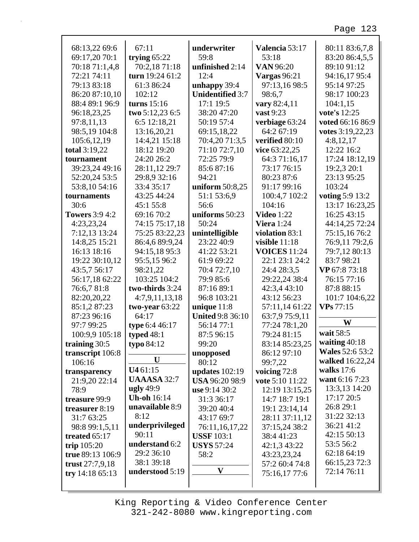| 68:13,22 69:6         | 67:11              | underwriter             | Valencia 53:17      | 80:11 83:6,7,8         |
|-----------------------|--------------------|-------------------------|---------------------|------------------------|
| 69:17,20 70:1         | trying $65:22$     | 59:8                    | 53:18               | 83:20 86:4,5,5         |
| 70:18 71:1,4,8        | 70:2,18 71:18      | unfinished 2:14         | <b>VAN</b> 96:20    | 89:10 91:12            |
| 72:21 74:11           | turn 19:24 61:2    | 12:4                    | <b>Vargas</b> 96:21 | 94:16,17 95:4          |
| 79:13 83:18           | 61:3 86:24         | unhappy 39:4            | 97:13,16 98:5       | 95:14 97:25            |
| 86:20 87:10,10        | 102:12             | <b>Unidentified 3:7</b> | 98:6,7              | 98:17 100:23           |
| 88:4 89:1 96:9        | turns $15:16$      | 17:1 19:5               | vary 82:4,11        | 104:1,15               |
| 96:18,23,25           | two $5:12,23$ 6:5  | 38:20 47:20             | vast 9:23           | vote's 12:25           |
| 97:8,11,13            | 6:5 12:18,21       | 50:19 57:4              | verbiage 63:24      | voted 66:16 86:9       |
| 98:5,19 104:8         | 13:16,20,21        | 69:15,18,22             | 64:2 67:19          | votes 3:19,22,23       |
| 105:6,12,19           | 14:4,21 15:18      | 70:4,20 71:3,5          | verified 80:10      | 4:8,12,17              |
| total 3:19,22         | 18:12 19:20        | 71:10 72:7,10           | vice 63:22,25       | 12:22 16:2             |
| tournament            | 24:20 26:2         | 72:25 79:9              | 64:3 71:16,17       | 17:24 18:12,19         |
| 39:23,24 49:16        | 28:11,12 29:7      | 85:687:16               | 73:17 76:15         | 19:2,3 20:1            |
| 52:20,24 53:5         | 29:8,9 32:16       | 94:21                   | 80:23 87:6          | 23:13 95:25            |
| 53:8,10 54:16         | 33:4 35:17         | uniform 50:8,25         | 91:17 99:16         | 103:24                 |
| tournaments           | 43:25 44:24        | 51:1 53:6,9             | 100:4,7 102:2       | voting 5:9 13:2        |
| 30:6                  | 45:1 55:8          | 56:6                    | 104:16              | 13:17 16:23,25         |
| <b>Towers</b> 3:9 4:2 | 69:16 70:2         | uniforms 50:23          | <b>Video</b> 1:22   | 16:25 43:15            |
| 4:23,23,24            | 74:15 75:17,18     | 50:24                   | Viera $1:24$        | 44:14,25 72:24         |
| 7:12,13 13:24         | 75:25 83:22,23     | unintelligible          | violation 83:1      | 75:15,1676:2           |
| 14:8,25 15:21         | 86:4,6 89:9,24     | 23:22 40:9              | visible $11:18$     | 76:9,11 79:2,6         |
| 16:13 18:16           | 94:15,18 95:3      | 41:22 53:21             | <b>VOICES</b> 11:24 | 79:7,12 80:13          |
| 19:22 30:10,12        | 95:5,15 96:2       | 61:9 69:22              | 22:1 23:1 24:2      | 83:7 98:21             |
| 43:5,7 56:17          | 98:21,22           | 70:4 72:7,10            | 24:4 28:3,5         | VP 67:8 73:18          |
| 56:17,18 62:22        | 103:25 104:2       | 79:9 85:6               | 29:22,24 38:4       | 76:15 77:16            |
| 76:6,781:8            | two-thirds 3:24    | 87:16 89:1              | 42:3,4 43:10        | 87:8 88:15             |
| 82:20,20,22           | 4:7,9,11,13,18     | 96:8 103:21             | 43:12 56:23         | 101:7 104:6,22         |
| 85:1,287:23           | two-year $63:22$   | unique $11:8$           | 57:11,14 61:22      | VPs 77:15              |
| 87:23 96:16           | 64:17              | <b>United 9:8 36:10</b> | 63:7,9 75:9,11      |                        |
| 97:7 99:25            | type 6:4 46:17     | 56:14 77:1              | 77:24 78:1,20       | W                      |
| 100:9,9 105:18        | typed $48:1$       | 87:5 96:15              | 79:24 81:15         | wait 58:5              |
| training 30:5         | typo 84:12         | 99:20                   | 83:14 85:23,25      | waiting $40:18$        |
| transcript 106:8      |                    | unopposed               | 86:12 97:10         | <b>Wales</b> 52:6 53:2 |
| 106:16                | U                  | 80:12                   | 99:7,22             | walked 16:22,24        |
| transparency          | U4 61:15           | updates $102:19$        | voicing $72:8$      | walks $17:6$           |
| 21:9,20 22:14         | <b>UAAASA 32:7</b> | USA 96:20 98:9          | vote 5:10 11:22     | want 6:16 7:23         |
| 78:9                  | ugly 49:9          | use 9:14 30:2           | 12:19 13:15,25      | 13:3,13 14:20          |
| treasure 99:9         | <b>Uh-oh</b> 16:14 | 31:3 36:17              | 14:7 18:7 19:1      | 17:17 20:5             |
| treasurer 8:19        | unavailable 8:9    | 39:20 40:4              | 19:1 23:14,14       | 26:8 29:1              |
| 31:7 63:25            | 8:12               | 43:17 69:7              | 28:11 37:11,12      | 31:22 32:13            |
| 98:8 99:1,5,11        | underprivileged    | 76:11,16,17,22          | 37:15,24 38:2       | 36:21 41:2             |
| treated 65:17         | 90:11              | <b>USSF</b> 103:1       | 38:4 41:23          | 42:15 50:13            |
| trip $105:20$         | understand 6:2     | <b>USYS</b> 57:24       | 42:1,3 43:22        | 53:5 56:2              |
| true 89:13 106:9      | 29:2 36:10         | 58:2                    | 43:23,23,24         | 62:18 64:19            |
| trust $27:7,9,18$     | 38:1 39:18         |                         | 57:2 60:4 74:8      | 66:15,23 72:3          |
| try $14:18\,65:13$    | understood 5:19    | $\mathbf{V}$            | 75:16,17 77:6       | 72:14 76:11            |
|                       |                    |                         |                     |                        |
|                       |                    |                         |                     |                        |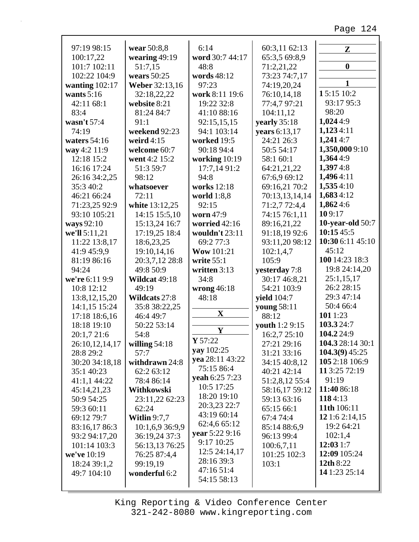| 97:19 98:15               | wear 50:8,8             | 6:14              | 60:3,11 62:13                 | $\mathbf{Z}$                 |
|---------------------------|-------------------------|-------------------|-------------------------------|------------------------------|
| 100:17,22                 | wearing $49:19$         | word 30:7 44:17   | 65:3,5 69:8,9                 |                              |
| 101:7 102:11              | 51:7,15                 | 48:8              | 71:2,21,22                    | $\boldsymbol{0}$             |
| 102:22 104:9              | wears $50:25$           | words 48:12       | 73:23 74:7,17                 |                              |
| wanting $102:17$          | Weber 32:13,16          | 97:23             | 74:19,20,24                   | $\mathbf{1}$                 |
| wants $5:16$              | 32:18,22,22             | work 8:11 19:6    | 76:10,14,18                   | 15:15 10:2                   |
| 42:11 68:1                | website 8:21            | 19:22 32:8        | 77:4,7 97:21                  | 93:17 95:3                   |
| 83:4                      | 81:24 84:7              | 41:10 88:16       | 104:11,12                     | 98:20                        |
| wasn't $57:4$             | 91:1                    | 92:15,15,15       | yearly 35:18                  | 1,0244:9                     |
| 74:19                     | weekend 92:23           | 94:1 103:14       | years 6:13,17                 | 1,1234:11                    |
| waters $54:16$            | weird $4:15$            | worked 19:5       | 24:21 26:3                    | 1,2414:7                     |
| way 4:2 11:9              | welcome 60:7            | 90:18 94:4        | 50:5 54:17                    | 1,350,000 9:10               |
| 12:18 15:2                | went 4:2 15:2           | working $10:19$   | 58:1 60:1                     | 1,3644:9                     |
| 16:16 17:24               | 51:3 59:7               | 17:7,14 91:2      | 64:21,21,22                   | 1,3974:8                     |
| 26:16 34:2,25             | 98:12                   | 94:8              | 67:6,9 69:12                  | 1,4964:11                    |
| 35:3 40:2                 | whatsoever              | works 12:18       | 69:16,21 70:2                 | 1,5354:10                    |
| 46:21 66:24               | 72:11                   | world $1:8,8$     | 70:13,13,14,14                | 1,6834:12                    |
| 71:23,25 92:9             | white 13:12,25          | 92:15             | 71:2,7 72:4,4                 | 1,8624:6                     |
| 93:10 105:21              | 14:15 15:5,10           | worn 47:9         | 74:15 76:1,11                 | 109:17                       |
| ways 92:10                | 15:13,24 16:7           | worried 42:16     | 89:16,21,22                   | <b>10-year-old</b> 50:7      |
| we'll 5:11,21             | 17:19,25 18:4           | wouldn't 23:11    | 91:18,19 92:6                 | 10:1545:5                    |
| 11:22 13:8,17             | 18:6,23,25              | 69:2 77:3         | 93:11,20 98:12                | 10:30 6:11 45:10             |
| 41:9 45:9,9               | 19:10,14,16             | <b>Wow</b> 101:21 | 102:1,4,7                     | 45:12                        |
| 81:19 86:16               | 20:3,7,12 28:8          | write $55:1$      | 105:9                         | 100 14:23 18:3               |
| 94:24                     | 49:8 50:9               | written 3:13      | yesterday 7:8                 | 19:8 24:14,20                |
| we're 6:11 9:9            | Wildcat 49:18           | 34:8              | 30:17 46:8,21                 | 25:1,15,17                   |
| 10:8 12:12                | 49:19                   | wrong $46:18$     | 54:21 103:9                   | 26:2 28:15                   |
| 13:8, 12, 15, 20          | Wildcats 27:8           | 48:18             | <b>yield</b> 104:7            | 29:3 47:14                   |
| 14:1,15 15:24             | 35:8 38:22,25           |                   | young 58:11                   | 50:4 66:4                    |
| 17:18 18:6,16             | 46:4 49:7               | $\mathbf X$       | 88:12                         | 101 1:23                     |
| 18:18 19:10               | 50:22 53:14             |                   | youth 1:2 9:15                | 103.324:7                    |
| 20:1,7 21:6               | 54:8                    | Y                 | 16:2,7 25:10                  | 104.224:9                    |
| 26:10,12,14,17            |                         | Y 57:22           | 27:21 29:16                   | 104.3 28:14 30:1             |
| 28:8 29:2                 | willing $54:18$<br>57:7 | yay 102:25        | 31:21 33:16                   | $104.3(9)$ 45:25             |
| 30:20 34:18,18            | withdrawn 24:8          | yea 28:11 43:22   | 34:15 40:8,12                 | 105 2:18 106:9               |
| 35:1 40:23                | 62:2 63:12              | 75:15 86:4        | 40:21 42:14                   | 11 3:25 72:19                |
| 41:1,1 44:22              | 78:4 86:14              | yeah 6:25 7:23    | 51:2,8,12 55:4                | 91:19                        |
|                           |                         | 10:5 17:25        |                               | 11:40 86:18                  |
| 45:14,21,23<br>50:9 54:25 | Withkowski              | 18:20 19:10       | 58:16,17 59:12<br>59:13 63:16 | 1184:13                      |
|                           | 23:11,22 62:23<br>62:24 | 20:3,23 22:7      | 65:15 66:1                    | 11th 106:11                  |
| 59:3 60:11                |                         | 43:19 60:14       |                               |                              |
| 69:12 79:7                | <b>Witlin</b> $9:7,7$   | 62:4,6 65:12      | 67:4 74:4                     | 12 1:6 2:14,15<br>19:2 64:21 |
| 83:16,17 86:3             | 10:1,6,9 36:9,9         | vear 5:22 9:16    | 85:14 88:6,9                  |                              |
| 93:2 94:17,20             | 36:19,24 37:3           | 9:17 10:25        | 96:13 99:4                    | 102:1,4                      |
| 101:14 103:3              | 56:13,13 76:25          | 12:5 24:14,17     | 100:6,7,11                    | 12:031:7                     |
| we've 10:19               | 76:25 87:4,4            | 28:16 39:3        | 101:25 102:3                  | 12:09 105:24                 |
| 18:24 39:1,2              | 99:19,19                | 47:16 51:4        | 103:1                         | 12th 8:22                    |
| 49:7 104:10               | wonderful 6:2           | 54:15 58:13       |                               | 14 1:23 25:14                |
|                           |                         |                   |                               |                              |

г